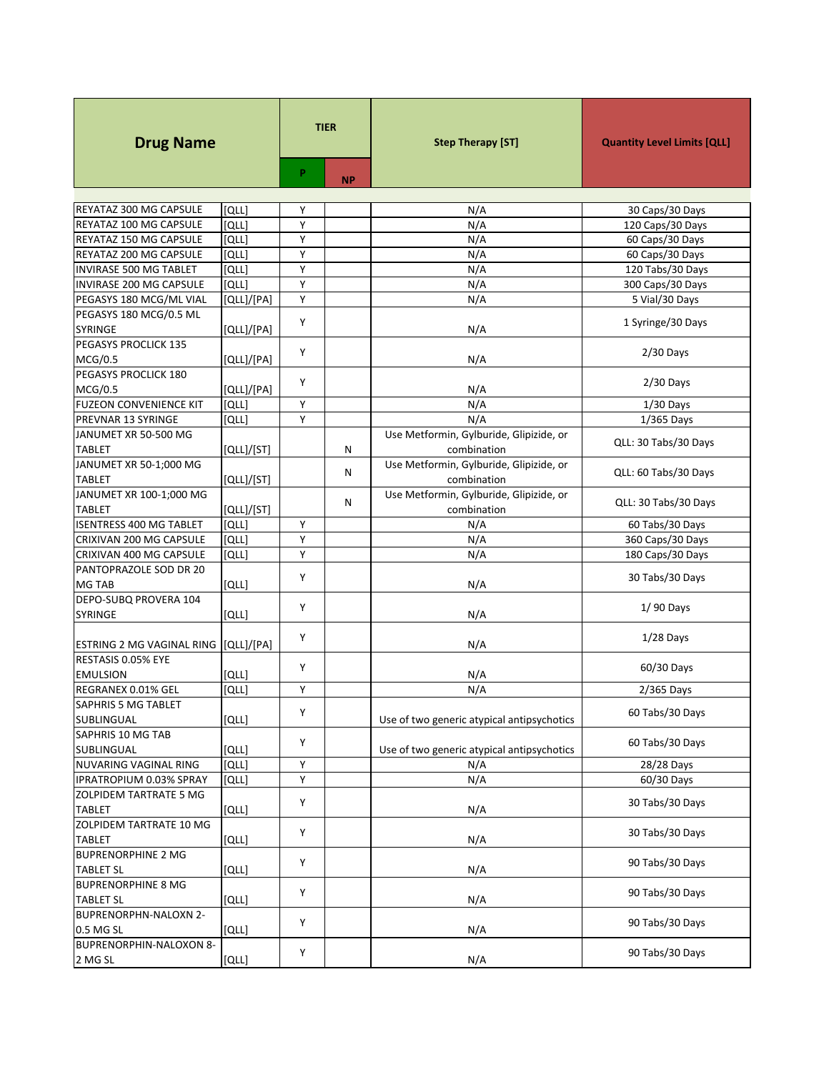| <b>Drug Name</b>                     |              | <b>TIER</b> |           | <b>Step Therapy [ST]</b>                   | <b>Quantity Level Limits [QLL]</b> |
|--------------------------------------|--------------|-------------|-----------|--------------------------------------------|------------------------------------|
|                                      |              | P.          | <b>NP</b> |                                            |                                    |
|                                      |              |             |           |                                            |                                    |
| REYATAZ 300 MG CAPSULE               | וֹםנו        | Υ           |           | N/A                                        | 30 Caps/30 Days                    |
| REYATAZ 100 MG CAPSULE               | [QLL]        | Υ           |           | N/A                                        | 120 Caps/30 Days                   |
| REYATAZ 150 MG CAPSULE               | [QLL]        | Y           |           | N/A                                        | 60 Caps/30 Days                    |
| REYATAZ 200 MG CAPSULE               | [QLL]        | Y           |           | N/A                                        | 60 Caps/30 Days                    |
| INVIRASE 500 MG TABLET               | <b>[QLL]</b> | Y           |           | N/A                                        | 120 Tabs/30 Days                   |
| INVIRASE 200 MG CAPSULE              | [QLL]        | Υ           |           | N/A                                        | 300 Caps/30 Days                   |
| PEGASYS 180 MCG/ML VIAL              | [QLL]/[PA]   | Υ           |           | N/A                                        | 5 Vial/30 Days                     |
| PEGASYS 180 MCG/0.5 ML               |              | Y           |           |                                            | 1 Syringe/30 Days                  |
| SYRINGE<br>PEGASYS PROCLICK 135      | [QLL]/[PA]   |             |           | N/A                                        |                                    |
|                                      |              | Y           |           |                                            | $2/30$ Days                        |
| MCG/0.5<br>PEGASYS PROCLICK 180      | [QLL]/[PA]   |             |           | N/A                                        |                                    |
| MCG/0.5                              | [QLL]/[PA]   | Y           |           | N/A                                        | $2/30$ Days                        |
| <b>FUZEON CONVENIENCE KIT</b>        | [QLL]        | Υ           |           | N/A                                        | $1/30$ Days                        |
| PREVNAR 13 SYRINGE                   | [QLL]        | Υ           |           | N/A                                        | 1/365 Days                         |
| JANUMET XR 50-500 MG                 |              |             |           | Use Metformin, Gylburide, Glipizide, or    |                                    |
| <b>TABLET</b>                        | [QLL]/[ST]   |             | Ν         | combination                                | QLL: 30 Tabs/30 Days               |
| JANUMET XR 50-1;000 MG               |              |             |           | Use Metformin, Gylburide, Glipizide, or    |                                    |
| <b>TABLET</b>                        | [QLL]/[ST]   |             | Ν         | combination                                | QLL: 60 Tabs/30 Days               |
| JANUMET XR 100-1;000 MG              |              |             |           | Use Metformin, Gylburide, Glipizide, or    |                                    |
| <b>TABLET</b>                        | [QLL]/[ST]   |             | N         | combination                                | QLL: 30 Tabs/30 Days               |
| <b>ISENTRESS 400 MG TABLET</b>       | [QLL]        | Y           |           | N/A                                        | 60 Tabs/30 Days                    |
| CRIXIVAN 200 MG CAPSULE              | [QLL]        | Y           |           | N/A                                        | 360 Caps/30 Days                   |
| CRIXIVAN 400 MG CAPSULE              | [QLL]        | Y           |           | N/A                                        | 180 Caps/30 Days                   |
| PANTOPRAZOLE SOD DR 20               |              |             |           |                                            |                                    |
| MG TAB                               | [QLL]        | Υ           |           | N/A                                        | 30 Tabs/30 Days                    |
| DEPO-SUBQ PROVERA 104                |              |             |           |                                            |                                    |
| <b>SYRINGE</b>                       | וֹםנו        | Y           |           | N/A                                        | 1/90 Days                          |
|                                      |              |             |           |                                            |                                    |
| ESTRING 2 MG VAGINAL RING [QLL]/[PA] |              | Υ           |           | N/A                                        | $1/28$ Days                        |
| RESTASIS 0.05% EYE                   |              | Υ           |           |                                            |                                    |
| <b>EMULSION</b>                      | [QLL]        |             |           | N/A                                        | 60/30 Days                         |
| REGRANEX 0.01% GEL                   | וֹםנו        | Υ           |           | N/A                                        | 2/365 Days                         |
| SAPHRIS 5 MG TABLET                  |              | Υ           |           |                                            | 60 Tabs/30 Days                    |
| SUBLINGUAL                           | [QLL]        |             |           | Use of two generic atypical antipsychotics |                                    |
| SAPHRIS 10 MG TAB                    |              | Υ           |           |                                            | 60 Tabs/30 Days                    |
| SUBLINGUAL                           | וֹםנו        |             |           | Use of two generic atypical antipsychotics |                                    |
| NUVARING VAGINAL RING                | [QLL]        | Υ           |           | N/A                                        | 28/28 Days                         |
| IPRATROPIUM 0.03% SPRAY              | וֹםנו        | Υ           |           | N/A                                        | 60/30 Days                         |
| ZOLPIDEM TARTRATE 5 MG               |              | Y           |           |                                            | 30 Tabs/30 Days                    |
| <b>TABLET</b>                        | [QLL]        |             |           | N/A                                        |                                    |
| ZOLPIDEM TARTRATE 10 MG              |              | Υ           |           |                                            | 30 Tabs/30 Days                    |
| <b>TABLET</b>                        | [QLL]        |             |           | N/A                                        |                                    |
| <b>BUPRENORPHINE 2 MG</b>            |              | Υ           |           |                                            | 90 Tabs/30 Days                    |
| <b>TABLET SL</b>                     | [QLL]        |             |           | N/A                                        |                                    |
| <b>BUPRENORPHINE 8 MG</b>            |              | Υ           |           |                                            | 90 Tabs/30 Days                    |
| <b>TABLET SL</b>                     | [QLL]        |             |           | N/A                                        |                                    |
| BUPRENORPHN-NALOXN 2-                |              | Υ           |           |                                            | 90 Tabs/30 Days                    |
| 0.5 MG SL                            | [QLL]        |             |           | N/A                                        |                                    |
| BUPRENORPHIN-NALOXON 8-              |              | Υ           |           |                                            | 90 Tabs/30 Days                    |
| 2 MG SL                              | [QLL]        |             |           | N/A                                        |                                    |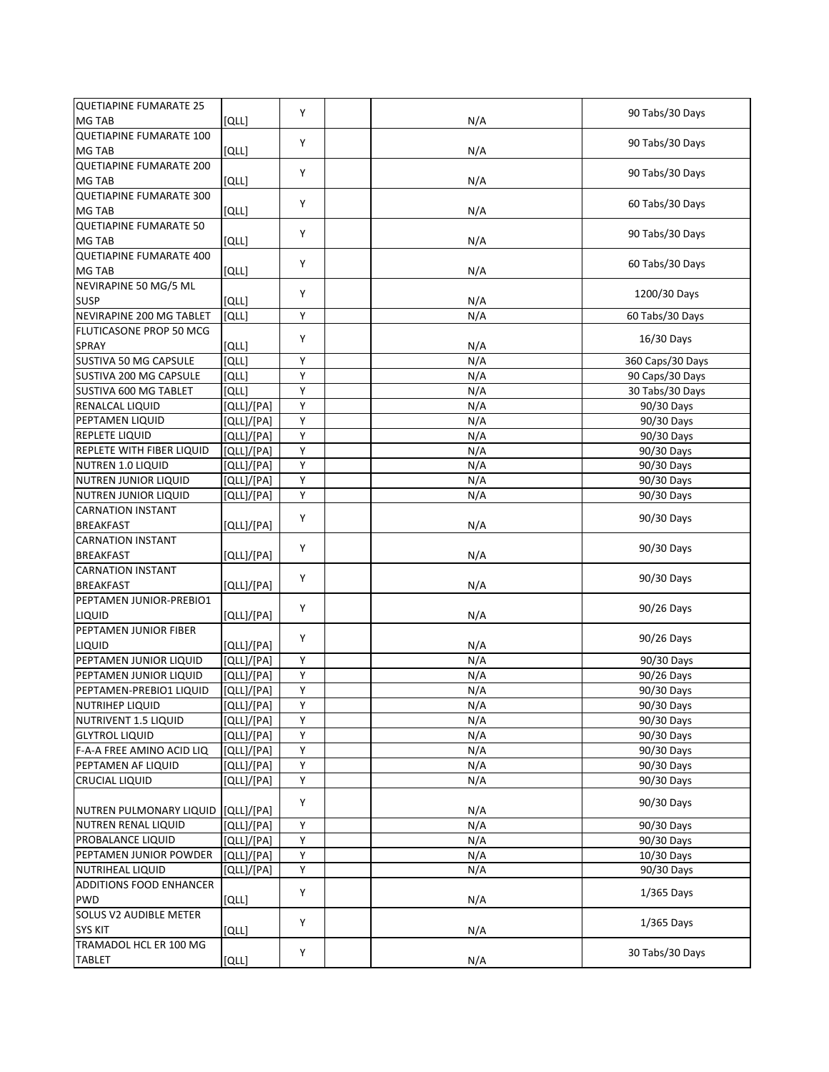| <b>QUETIAPINE FUMARATE 25</b>            |                         | Y |     | 90 Tabs/30 Days                    |
|------------------------------------------|-------------------------|---|-----|------------------------------------|
| MG TAB                                   | [QLL]                   |   | N/A |                                    |
| <b>QUETIAPINE FUMARATE 100</b>           |                         | Y |     | 90 Tabs/30 Days                    |
| MG TAB<br><b>QUETIAPINE FUMARATE 200</b> | [QLL]                   |   | N/A |                                    |
| MG TAB                                   |                         | Y |     | 90 Tabs/30 Days                    |
| <b>QUETIAPINE FUMARATE 300</b>           | [QLL]                   |   | N/A |                                    |
| MG TAB                                   |                         | Y |     | 60 Tabs/30 Days                    |
| <b>QUETIAPINE FUMARATE 50</b>            | [QLL]                   |   | N/A |                                    |
| MG TAB                                   | [QLL]                   | Y | N/A | 90 Tabs/30 Days                    |
| <b>QUETIAPINE FUMARATE 400</b>           |                         |   |     |                                    |
| MG TAB                                   | [QLL]                   | Y | N/A | 60 Tabs/30 Days                    |
| NEVIRAPINE 50 MG/5 ML                    |                         |   |     |                                    |
| <b>SUSP</b>                              | וֹםנו                   | Υ | N/A | 1200/30 Days                       |
| NEVIRAPINE 200 MG TABLET                 | [QLL]                   | Υ | N/A | 60 Tabs/30 Days                    |
| FLUTICASONE PROP 50 MCG                  |                         |   |     |                                    |
| SPRAY                                    | [QLL]                   | Y | N/A | 16/30 Days                         |
| SUSTIVA 50 MG CAPSULE                    | [QLL]                   | Y | N/A |                                    |
| SUSTIVA 200 MG CAPSULE                   | [QLL]                   | Υ | N/A | 360 Caps/30 Days                   |
| SUSTIVA 600 MG TABLET                    | וֹםנו                   | Y | N/A | 90 Caps/30 Days<br>30 Tabs/30 Days |
|                                          |                         | Y |     | 90/30 Days                         |
| RENALCAL LIQUID                          | [QLL]/[PA]              | Υ | N/A |                                    |
| PEPTAMEN LIQUID                          | [QLL]/[PA]              | Υ | N/A | 90/30 Days                         |
| REPLETE LIQUID                           | $\overline{[QLL]/[PA]}$ |   | N/A | 90/30 Days                         |
| REPLETE WITH FIBER LIQUID                | [QLL]/[PA]              | Υ | N/A | 90/30 Days                         |
| NUTREN 1.0 LIQUID                        | [QLL]/[PA]              | Υ | N/A | 90/30 Days                         |
| NUTREN JUNIOR LIQUID                     | [QLL]/[PA]              | Υ | N/A | 90/30 Days                         |
| NUTREN JUNIOR LIQUID                     | [QLL]/[PA]              | Υ | N/A | 90/30 Days                         |
| <b>CARNATION INSTANT</b>                 |                         | Υ |     | 90/30 Days                         |
| <b>BREAKFAST</b>                         | [QLL]/[PA]              |   | N/A |                                    |
| <b>CARNATION INSTANT</b>                 |                         | Y |     | 90/30 Days                         |
| <b>BREAKFAST</b>                         | [QLL]/[PA]              |   | N/A |                                    |
| <b>CARNATION INSTANT</b>                 |                         | Υ |     | 90/30 Days                         |
| <b>BREAKFAST</b>                         | [QLL]/[PA]              |   | N/A |                                    |
| PEPTAMEN JUNIOR-PREBIO1                  |                         | Υ |     | 90/26 Days                         |
| LIQUID                                   | [QLL]/[PA]              |   | N/A |                                    |
| PEPTAMEN JUNIOR FIBER                    |                         | Y |     | 90/26 Days                         |
| LIQUID                                   | [QLL]/[PA]              |   | N/A |                                    |
| PEPTAMEN JUNIOR LIQUID                   | [QLL]/[PA]              | Υ | N/A | 90/30 Days                         |
| PEPTAMEN JUNIOR LIQUID                   | [QLL]/[PA]              | Υ | N/A | 90/26 Days                         |
| PEPTAMEN-PREBIO1 LIQUID                  | [QLL]/[PA]              | Υ | N/A | 90/30 Days                         |
| <b>NUTRIHEP LIQUID</b>                   | [QLL]/[PA]              | Υ | N/A | 90/30 Days                         |
| NUTRIVENT 1.5 LIQUID                     | [QLL]/[PA]              | Y | N/A | 90/30 Days                         |
| <b>GLYTROL LIQUID</b>                    | [QLL]/[PA]              | Υ | N/A | 90/30 Days                         |
| F-A-A FREE AMINO ACID LIQ                | [QLL]/[PA]              | Υ | N/A | 90/30 Days                         |
| PEPTAMEN AF LIQUID                       | [QLL]/[PA]              | Υ | N/A | 90/30 Days                         |
| <b>CRUCIAL LIQUID</b>                    | [QLL]/[PA]              | Υ | N/A | 90/30 Days                         |
|                                          |                         | Υ |     | 90/30 Days                         |
| NUTREN PULMONARY LIQUID                  | [QLL]/[PA]              |   | N/A |                                    |
| NUTREN RENAL LIQUID                      | [QLL]/[PA]              | Υ | N/A | 90/30 Days                         |
| PROBALANCE LIQUID                        | [QLL]/[PA]              | Υ | N/A | 90/30 Days                         |
| PEPTAMEN JUNIOR POWDER                   | [QLL]/[PA]              | Υ | N/A | 10/30 Days                         |
| <b>NUTRIHEAL LIQUID</b>                  | [QLL]/[PA]              | Υ | N/A | 90/30 Days                         |
| <b>ADDITIONS FOOD ENHANCER</b>           |                         | Υ |     | $1/365$ Days                       |
| PWD                                      | [QLL]                   |   | N/A |                                    |
| SOLUS V2 AUDIBLE METER                   |                         | Υ |     | 1/365 Days                         |
| <b>SYS KIT</b>                           | [QLL]                   |   | N/A |                                    |
| TRAMADOL HCL ER 100 MG                   |                         | Υ |     | 30 Tabs/30 Days                    |
| <b>TABLET</b>                            | [QLL]                   |   | N/A |                                    |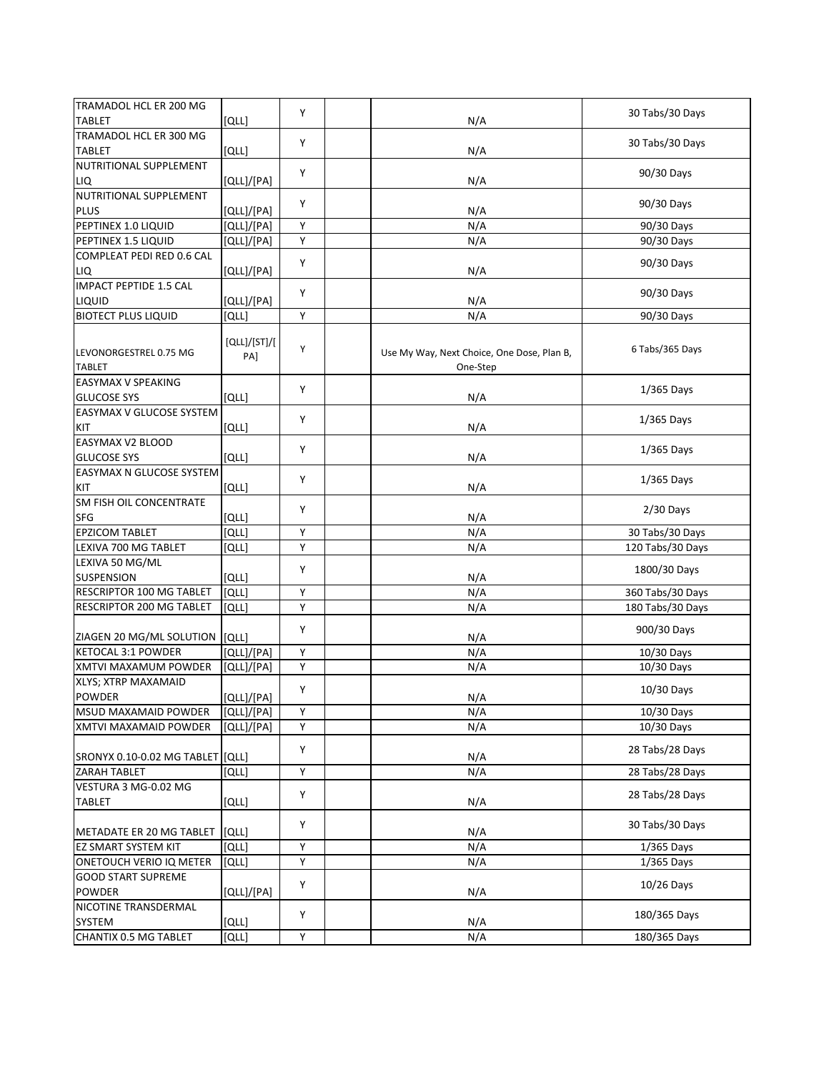| TRAMADOL HCL ER 200 MG                     |              |   |                                            |                  |
|--------------------------------------------|--------------|---|--------------------------------------------|------------------|
| <b>TABLET</b>                              | [QLL]        | Y | N/A                                        | 30 Tabs/30 Days  |
| TRAMADOL HCL ER 300 MG                     |              |   |                                            |                  |
| <b>TABLET</b>                              | [QLL]        | Y | N/A                                        | 30 Tabs/30 Days  |
| NUTRITIONAL SUPPLEMENT                     |              |   |                                            |                  |
| LIQ                                        | [QLL]/[PA]   | Y | N/A                                        | 90/30 Days       |
| NUTRITIONAL SUPPLEMENT                     |              |   |                                            |                  |
| <b>PLUS</b>                                | [QLL]/[PA]   | Y | N/A                                        | 90/30 Days       |
| PEPTINEX 1.0 LIQUID                        | [QLL]/[PA]   | Y | N/A                                        | 90/30 Days       |
| PEPTINEX 1.5 LIQUID                        | [QLL]/[PA]   | Y | N/A                                        | 90/30 Days       |
| COMPLEAT PEDI RED 0.6 CAL                  |              | Y |                                            |                  |
| LIQ                                        | [QLL]/[PA]   |   | N/A                                        | 90/30 Days       |
| <b>IMPACT PEPTIDE 1.5 CAL</b>              |              |   |                                            |                  |
| LIQUID                                     | [QLL]/[PA]   | Y | N/A                                        | 90/30 Days       |
| <b>BIOTECT PLUS LIQUID</b>                 | [QLL]        | Υ | N/A                                        | 90/30 Days       |
|                                            |              |   |                                            |                  |
|                                            | [QLL]/[ST]/[ | Y |                                            | 6 Tabs/365 Days  |
| LEVONORGESTREL 0.75 MG                     | PA]          |   | Use My Way, Next Choice, One Dose, Plan B, |                  |
| <b>TABLET</b><br><b>EASYMAX V SPEAKING</b> |              |   | One-Step                                   |                  |
| <b>GLUCOSE SYS</b>                         |              | Y |                                            | 1/365 Days       |
|                                            | [QLL]        |   | N/A                                        |                  |
| EASYMAX V GLUCOSE SYSTEM                   |              | Y |                                            | $1/365$ Days     |
| KIT                                        | [QLL]        |   | N/A                                        |                  |
| EASYMAX V2 BLOOD<br><b>GLUCOSE SYS</b>     |              | Y |                                            | 1/365 Days       |
|                                            | [QLL]        |   | N/A                                        |                  |
| EASYMAX N GLUCOSE SYSTEM                   |              | Y |                                            | $1/365$ Days     |
| KIT                                        | [QLL]        |   | N/A                                        |                  |
| SM FISH OIL CONCENTRATE                    |              | Y |                                            | $2/30$ Days      |
| SFG                                        | [QLL]        |   | N/A                                        |                  |
| <b>EPZICOM TABLET</b>                      | [QLL]        | Y | N/A                                        | 30 Tabs/30 Days  |
| LEXIVA 700 MG TABLET                       | [QLL]        | Υ | N/A                                        | 120 Tabs/30 Days |
| LEXIVA 50 MG/ML                            |              | Y |                                            | 1800/30 Days     |
| SUSPENSION                                 | [QLL]        |   | N/A                                        |                  |
| RESCRIPTOR 100 MG TABLET                   | [QLL]        | Υ | N/A                                        | 360 Tabs/30 Days |
| RESCRIPTOR 200 MG TABLET                   | [QLL]        | Υ | N/A                                        | 180 Tabs/30 Days |
|                                            |              | Y |                                            | 900/30 Days      |
| ZIAGEN 20 MG/ML SOLUTION                   | [QLL]        |   | N/A                                        |                  |
| <b>KETOCAL 3:1 POWDER</b>                  | [QLL]/[PA]   | Y | N/A                                        | 10/30 Days       |
| XMTVI MAXAMUM POWDER                       | [QLL]/[PA]   | Υ | N/A                                        | 10/30 Days       |
| XLYS; XTRP MAXAMAID                        |              | Y |                                            | 10/30 Days       |
| <b>POWDER</b>                              | [QLL]/[PA]   |   | N/A                                        |                  |
| MSUD MAXAMAID POWDER                       | [QLL]/[PA]   | Υ | N/A                                        | 10/30 Days       |
| XMTVI MAXAMAID POWDER                      | [QLL]/[PA]   | Υ | N/A                                        | 10/30 Days       |
|                                            |              | Υ |                                            | 28 Tabs/28 Days  |
| SRONYX 0.10-0.02 MG TABLET [QLL]           |              |   | N/A                                        |                  |
| ZARAH TABLET                               | [QLL]        | Υ | N/A                                        | 28 Tabs/28 Days  |
| VESTURA 3 MG-0.02 MG                       |              | Υ |                                            | 28 Tabs/28 Days  |
| <b>TABLET</b>                              | [QLL]        |   | N/A                                        |                  |
|                                            |              | Υ |                                            | 30 Tabs/30 Days  |
| METADATE ER 20 MG TABLET                   | [QLL]        |   | N/A                                        |                  |
| <b>EZ SMART SYSTEM KIT</b>                 | [QLL]        | Υ | N/A                                        | $1/365$ Days     |
| <b>ONETOUCH VERIO IQ METER</b>             | [QLL]        | Υ | N/A                                        | $1/365$ Days     |
| <b>GOOD START SUPREME</b>                  |              | Υ |                                            | $10/26$ Days     |
| POWDER                                     | [QLL]/[PA]   |   | N/A                                        |                  |
| NICOTINE TRANSDERMAL                       |              | Y |                                            | 180/365 Days     |
| SYSTEM                                     | [QLL]        |   | N/A                                        |                  |
| CHANTIX 0.5 MG TABLET                      | [QLL]        | Υ | N/A                                        | 180/365 Days     |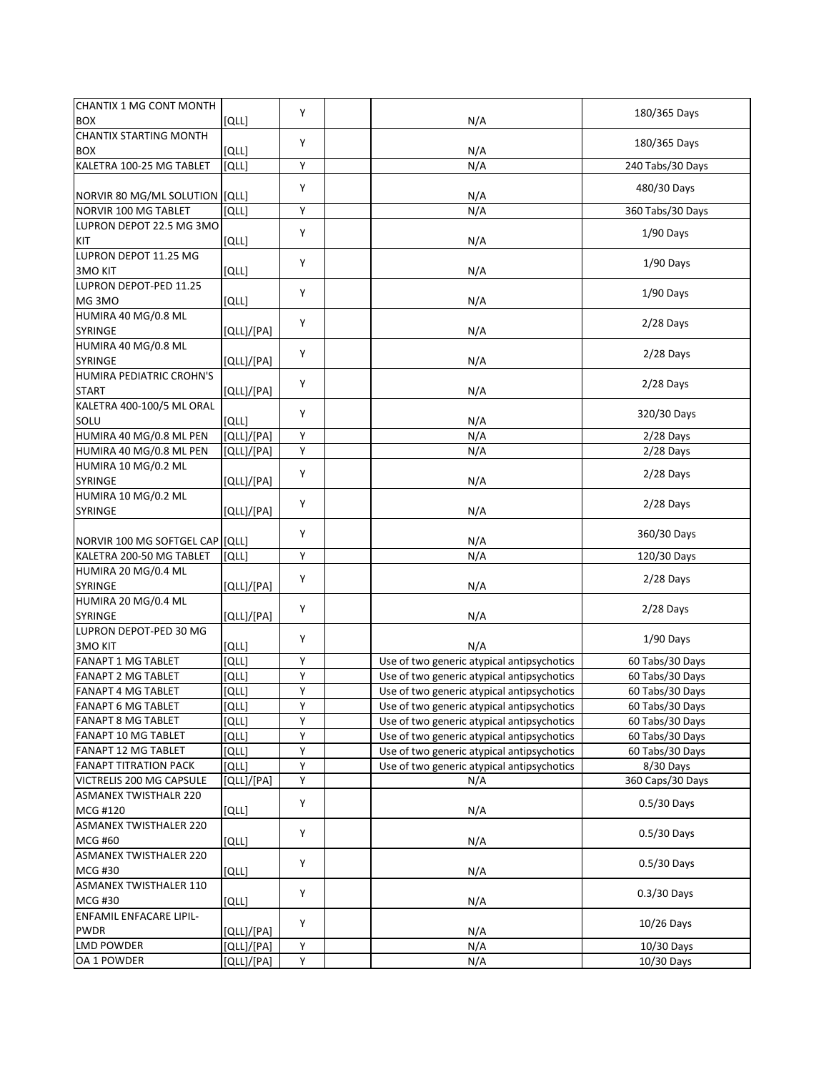| CHANTIX 1 MG CONT MONTH<br><b>BOX</b>                  | [QLL]          | Y                       | N/A                                                                                      | 180/365 Days                       |
|--------------------------------------------------------|----------------|-------------------------|------------------------------------------------------------------------------------------|------------------------------------|
| <b>CHANTIX STARTING MONTH</b>                          |                |                         |                                                                                          |                                    |
| <b>BOX</b>                                             | [QLL]          | Υ                       | N/A                                                                                      | 180/365 Days                       |
| KALETRA 100-25 MG TABLET                               | [QLL]          | Y                       | N/A                                                                                      | 240 Tabs/30 Days                   |
| NORVIR 80 MG/ML SOLUTION [QLL]                         |                | Υ                       | N/A                                                                                      | 480/30 Days                        |
| NORVIR 100 MG TABLET                                   | [QLL]          | Υ                       | N/A                                                                                      | 360 Tabs/30 Days                   |
| LUPRON DEPOT 22.5 MG 3MO                               |                |                         |                                                                                          |                                    |
| KIT                                                    | [QLL]          | Υ                       | N/A                                                                                      | $1/90$ Days                        |
| LUPRON DEPOT 11.25 MG<br><b>3MO KIT</b>                | [QLL]          | Υ                       | N/A                                                                                      | $1/90$ Days                        |
| LUPRON DEPOT-PED 11.25                                 |                |                         |                                                                                          |                                    |
| MG3MO                                                  | [QLL]          | Υ                       | N/A                                                                                      | $1/90$ Days                        |
| HUMIRA 40 MG/0.8 ML                                    |                |                         |                                                                                          |                                    |
| <b>SYRINGE</b>                                         | [QLL]/[PA]     | Y                       | N/A                                                                                      | 2/28 Days                          |
| HUMIRA 40 MG/0.8 ML                                    |                |                         |                                                                                          |                                    |
| <b>SYRINGE</b>                                         | [QLL]/[PA]     | Y                       | N/A                                                                                      | $2/28$ Days                        |
| HUMIRA PEDIATRIC CROHN'S                               |                | Υ                       |                                                                                          | $2/28$ Days                        |
| <b>START</b>                                           | [QLL]/[PA]     |                         | N/A                                                                                      |                                    |
| KALETRA 400-100/5 ML ORAL                              |                | Y                       |                                                                                          | 320/30 Days                        |
| SOLU                                                   | [QLL]          |                         | N/A                                                                                      |                                    |
| HUMIRA 40 MG/0.8 ML PEN                                | [QLL]/[PA]     | Y                       | N/A                                                                                      | $2/28$ Days                        |
| HUMIRA 40 MG/0.8 ML PEN                                | [QLL]/[PA]     | $\overline{\mathsf{Y}}$ | N/A                                                                                      | $2/28$ Days                        |
| HUMIRA 10 MG/0.2 ML                                    |                | Y                       |                                                                                          | $2/28$ Days                        |
| SYRINGE                                                | [QLL]/[PA]     |                         | N/A                                                                                      |                                    |
| HUMIRA 10 MG/0.2 ML                                    |                | Y                       |                                                                                          | $2/28$ Days                        |
| SYRINGE                                                | [QLL]/[PA]     |                         | N/A                                                                                      |                                    |
| NORVIR 100 MG SOFTGEL CAP                              | [QLL]          | Y                       | N/A                                                                                      | 360/30 Days                        |
| KALETRA 200-50 MG TABLET                               | [QLL]          | Y                       | N/A                                                                                      | 120/30 Days                        |
| HUMIRA 20 MG/0.4 ML                                    |                | Y                       |                                                                                          |                                    |
| SYRINGE                                                | [QLL]/[PA]     |                         | N/A                                                                                      | $2/28$ Days                        |
| HUMIRA 20 MG/0.4 ML                                    |                | Υ                       |                                                                                          | 2/28 Days                          |
| SYRINGE                                                | [QLL]/[PA]     |                         | N/A                                                                                      |                                    |
| LUPRON DEPOT-PED 30 MG                                 |                | Υ                       |                                                                                          | $1/90$ Days                        |
| <b>3MO KIT</b>                                         | [QLL]          |                         | N/A                                                                                      |                                    |
| <b>FANAPT 1 MG TABLET</b>                              | <b>[QLL]</b>   | Υ                       | Use of two generic atypical antipsychotics                                               | 60 Tabs/30 Days                    |
| <b>FANAPT 2 MG TABLET</b>                              | וֹםנו          | Υ                       | Use of two generic atypical antipsychotics                                               | 60 Tabs/30 Days                    |
| <b>FANAPT 4 MG TABLET</b><br><b>FANAPT 6 MG TABLET</b> | וֹםנו          | Υ                       | Use of two generic atypical antipsychotics                                               | 60 Tabs/30 Days                    |
| <b>FANAPT 8 MG TABLET</b>                              | [QLL]          | Υ<br>Υ                  | Use of two generic atypical antipsychotics                                               | 60 Tabs/30 Days                    |
| FANAPT 10 MG TABLET                                    | [QLL]          | Υ                       | Use of two generic atypical antipsychotics<br>Use of two generic atypical antipsychotics | 60 Tabs/30 Days<br>60 Tabs/30 Days |
| FANAPT 12 MG TABLET                                    | [QLL]<br>[QLL] | Υ                       | Use of two generic atypical antipsychotics                                               | 60 Tabs/30 Days                    |
| <b>FANAPT TITRATION PACK</b>                           | [QLL]          | Υ                       | Use of two generic atypical antipsychotics                                               | 8/30 Days                          |
| VICTRELIS 200 MG CAPSULE                               | [QLL]/[PA]     | Υ                       | N/A                                                                                      | 360 Caps/30 Days                   |
| <b>ASMANEX TWISTHALR 220</b>                           |                |                         |                                                                                          |                                    |
| MCG #120                                               | [QLL]          | Y                       | N/A                                                                                      | $0.5/30$ Days                      |
| <b>ASMANEX TWISTHALER 220</b>                          |                |                         |                                                                                          |                                    |
| <b>MCG #60</b>                                         | [QLL]          | Υ                       | N/A                                                                                      | $0.5/30$ Days                      |
| <b>ASMANEX TWISTHALER 220</b>                          |                |                         |                                                                                          |                                    |
| <b>MCG #30</b>                                         | [QLL]          | Y                       | N/A                                                                                      | $0.5/30$ Days                      |
| <b>ASMANEX TWISTHALER 110</b>                          |                |                         |                                                                                          |                                    |
| MCG #30                                                | [QLL]          | Y                       | N/A                                                                                      | $0.3/30$ Days                      |
| <b>ENFAMIL ENFACARE LIPIL-</b>                         |                | Y                       |                                                                                          |                                    |
| PWDR                                                   | [QLL]/[PA]     |                         | N/A                                                                                      | $10/26$ Days                       |
| <b>LMD POWDER</b>                                      | [QLL]/[PA]     | Υ                       | N/A                                                                                      | 10/30 Days                         |
| OA 1 POWDER                                            | [QLL]/[PA]     | Y                       | N/A                                                                                      | 10/30 Days                         |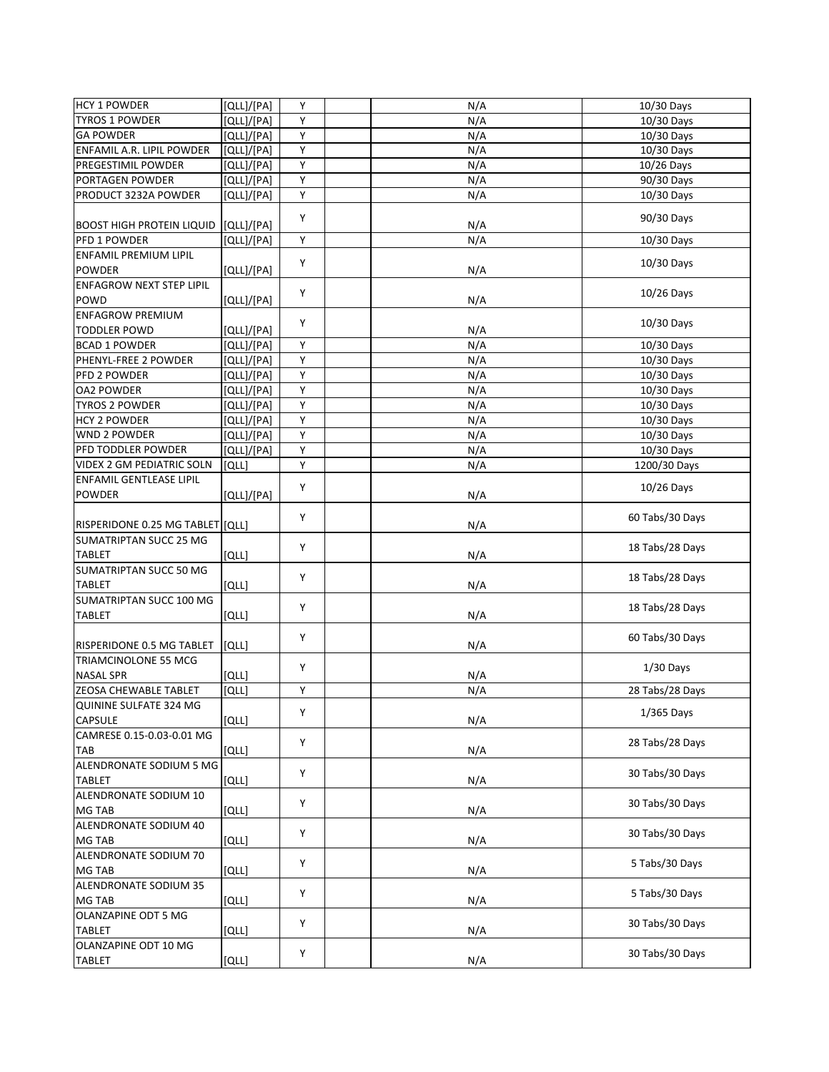| <b>HCY 1 POWDER</b>              | [QLL]/[PA] | Y                       | N/A              | 10/30 Days      |
|----------------------------------|------------|-------------------------|------------------|-----------------|
| <b>TYROS 1 POWDER</b>            | [QLL]/[PA] | Υ                       | N/A              | 10/30 Days      |
| <b>GA POWDER</b>                 | [QLL]/[PA] | Y                       | N/A              | 10/30 Days      |
| ENFAMIL A.R. LIPIL POWDER        | [QLL]/[PA] | Υ                       | N/A              | 10/30 Days      |
| PREGESTIMIL POWDER               | [QLL]/[PA] | $\overline{\mathsf{Y}}$ | $N/\overline{A}$ | 10/26 Days      |
| PORTAGEN POWDER                  | [QLL]/[PA] | Υ                       | N/A              | 90/30 Days      |
| PRODUCT 3232A POWDER             | [QLL]/[PA] | Υ                       | N/A              | 10/30 Days      |
|                                  |            |                         |                  |                 |
| <b>BOOST HIGH PROTEIN LIQUID</b> | [QLL]/[PA] | Y                       | N/A              | 90/30 Days      |
| PFD 1 POWDER                     | [QLL]/[PA] | Y                       | N/A              | 10/30 Days      |
|                                  |            |                         |                  |                 |
| <b>ENFAMIL PREMIUM LIPIL</b>     |            | Υ                       |                  | 10/30 Days      |
| <b>POWDER</b>                    | [QLL]/[PA] |                         | N/A              |                 |
| <b>ENFAGROW NEXT STEP LIPIL</b>  |            | Υ                       |                  | $10/26$ Days    |
| POWD                             | [QLL]/[PA] |                         | N/A              |                 |
| <b>ENFAGROW PREMIUM</b>          |            | Y                       |                  | 10/30 Days      |
| <b>TODDLER POWD</b>              | [QLL]/[PA] |                         | N/A              |                 |
| <b>BCAD 1 POWDER</b>             | [QLL]/[PA] | Y                       | N/A              | 10/30 Days      |
| PHENYL-FREE 2 POWDER             | [QLL]/[PA] | Υ                       | N/A              | 10/30 Days      |
| PFD 2 POWDER                     | [QLL]/[PA] | Υ                       | N/A              | 10/30 Days      |
| <b>OA2 POWDER</b>                | [QLL]/[PA] | Υ                       | N/A              | 10/30 Days      |
| <b>TYROS 2 POWDER</b>            | [QLL]/[PA] | Υ                       | N/A              | 10/30 Days      |
| <b>HCY 2 POWDER</b>              | [QLL]/[PA] | Υ                       |                  |                 |
|                                  |            |                         | N/A              | 10/30 Days      |
| <b>WND 2 POWDER</b>              | [QLL]/[PA] | Υ                       | N/A              | 10/30 Days      |
| PFD TODDLER POWDER               | [QLL]/[PA] | $\overline{\mathsf{Y}}$ | N/A              | 10/30 Days      |
| <b>VIDEX 2 GM PEDIATRIC SOLN</b> | [QLL]      | Υ                       | N/A              | 1200/30 Days    |
| <b>ENFAMIL GENTLEASE LIPIL</b>   |            | Y                       |                  | $10/26$ Days    |
| <b>POWDER</b>                    | [QLL]/[PA] |                         | N/A              |                 |
|                                  |            |                         |                  |                 |
| RISPERIDONE 0.25 MG TABLET [QLL] |            | Y                       | N/A              | 60 Tabs/30 Days |
| <b>SUMATRIPTAN SUCC 25 MG</b>    |            |                         |                  |                 |
| <b>TABLET</b>                    | [QLL]      | Υ                       | N/A              | 18 Tabs/28 Days |
| <b>SUMATRIPTAN SUCC 50 MG</b>    |            |                         |                  |                 |
|                                  |            | Υ                       |                  | 18 Tabs/28 Days |
| <b>TABLET</b>                    | [QLL]      |                         | N/A              |                 |
| SUMATRIPTAN SUCC 100 MG          |            | Y                       |                  | 18 Tabs/28 Days |
| <b>TABLET</b>                    | [QLL]      |                         | N/A              |                 |
|                                  |            | Y                       |                  | 60 Tabs/30 Days |
| RISPERIDONE 0.5 MG TABLET        | [QLL]      |                         | N/A              |                 |
| TRIAMCINOLONE 55 MCG             |            |                         |                  | $1/30$ Days     |
| <b>NASAL SPR</b>                 | וֹםנו      | Υ                       | N/A              |                 |
| ZEOSA CHEWABLE TABLET            | [QLL]      | Υ                       | N/A              | 28 Tabs/28 Days |
| QUININE SULFATE 324 MG           |            |                         |                  |                 |
| <b>CAPSULE</b>                   | [QLL]      | Υ                       | N/A              | 1/365 Days      |
| CAMRESE 0.15-0.03-0.01 MG        |            |                         |                  |                 |
|                                  |            | Y                       |                  | 28 Tabs/28 Days |
| <b>TAB</b>                       | [QLL]      |                         | N/A              |                 |
| ALENDRONATE SODIUM 5 MG          |            | Υ                       |                  | 30 Tabs/30 Days |
| <b>TABLET</b>                    | [QLL]      |                         | N/A              |                 |
| ALENDRONATE SODIUM 10            |            | Y                       |                  | 30 Tabs/30 Days |
| <b>MG TAB</b>                    | [QLL]      |                         | N/A              |                 |
| ALENDRONATE SODIUM 40            |            |                         |                  |                 |
| <b>MG TAB</b>                    | [QLL]      | Y                       | N/A              | 30 Tabs/30 Days |
| ALENDRONATE SODIUM 70            |            |                         |                  |                 |
| <b>MG TAB</b>                    | [QLL]      | Y                       | N/A              | 5 Tabs/30 Days  |
| ALENDRONATE SODIUM 35            |            |                         |                  |                 |
| MG TAB                           |            | Y                       | N/A              | 5 Tabs/30 Days  |
|                                  | [QLL]      |                         |                  |                 |
| OLANZAPINE ODT 5 MG              |            | Υ                       |                  | 30 Tabs/30 Days |
| <b>TABLET</b>                    | [QLL]      |                         | N/A              |                 |
| OLANZAPINE ODT 10 MG             |            | Υ                       |                  | 30 Tabs/30 Days |
| <b>TABLET</b>                    | [QLL]      |                         | N/A              |                 |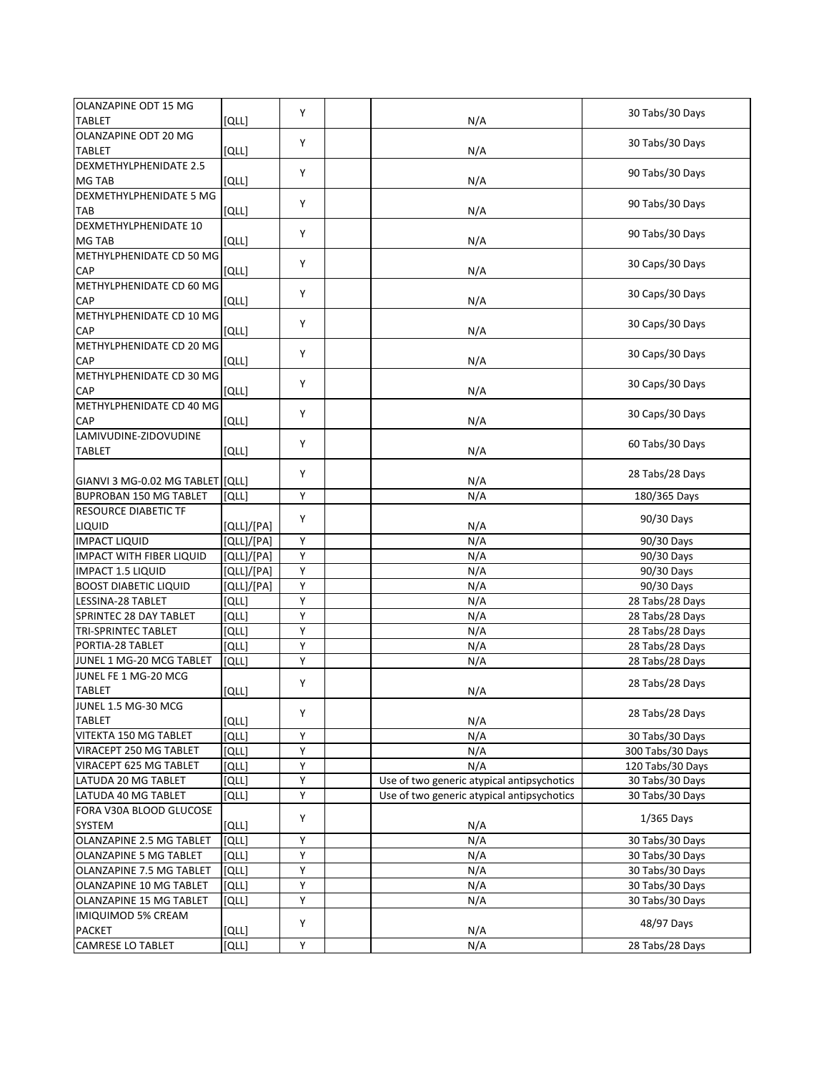| OLANZAPINE ODT 15 MG             |            |   |                                            |                  |
|----------------------------------|------------|---|--------------------------------------------|------------------|
| <b>TABLET</b>                    | וֹםנו      | Y | N/A                                        | 30 Tabs/30 Days  |
| OLANZAPINE ODT 20 MG             |            |   |                                            |                  |
| <b>TABLET</b>                    | [QLL]      | Y | N/A                                        | 30 Tabs/30 Days  |
| <b>DEXMETHYLPHENIDATE 2.5</b>    |            |   |                                            |                  |
| MG TAB                           | [QLL]      | Υ | N/A                                        | 90 Tabs/30 Days  |
| DEXMETHYLPHENIDATE 5 MG          |            |   |                                            |                  |
| TAB                              | [QLL]      | Υ | N/A                                        | 90 Tabs/30 Days  |
| DEXMETHYLPHENIDATE 10            |            |   |                                            |                  |
| MG TAB                           | [QLL]      | Y | N/A                                        | 90 Tabs/30 Days  |
| METHYLPHENIDATE CD 50 MG         |            |   |                                            |                  |
| CAP                              | [QLL]      | Υ | N/A                                        | 30 Caps/30 Days  |
| METHYLPHENIDATE CD 60 MG         |            |   |                                            |                  |
| CAP                              | [QLL]      | Υ | N/A                                        | 30 Caps/30 Days  |
| METHYLPHENIDATE CD 10 MG         |            |   |                                            |                  |
| CAP                              | [QLL]      | Y | N/A                                        | 30 Caps/30 Days  |
| METHYLPHENIDATE CD 20 MG         |            |   |                                            |                  |
| CAP                              | [QLL]      | Y | N/A                                        | 30 Caps/30 Days  |
| METHYLPHENIDATE CD 30 MG         |            |   |                                            |                  |
| CAP                              | [QLL]      | Υ | N/A                                        | 30 Caps/30 Days  |
| METHYLPHENIDATE CD 40 MG         |            | Y |                                            | 30 Caps/30 Days  |
| <b>CAP</b>                       | [QLL]      |   | N/A                                        |                  |
| LAMIVUDINE-ZIDOVUDINE            |            | Y |                                            | 60 Tabs/30 Days  |
| <b>TABLET</b>                    | [QLL]      |   | N/A                                        |                  |
|                                  |            | Υ |                                            | 28 Tabs/28 Days  |
| GIANVI 3 MG-0.02 MG TABLET [QLL] |            |   | N/A                                        |                  |
| <b>BUPROBAN 150 MG TABLET</b>    | וֹםנו      | Υ | N/A                                        | 180/365 Days     |
| RESOURCE DIABETIC TF             |            | Y |                                            | 90/30 Days       |
| LIQUID                           | [QLL]/[PA] |   | N/A                                        |                  |
| <b>IMPACT LIQUID</b>             | [QLL]/[PA] | Y | N/A                                        | 90/30 Days       |
| <b>IMPACT WITH FIBER LIQUID</b>  | [QLL]/[PA] | Υ | N/A                                        | 90/30 Days       |
| IMPACT 1.5 LIQUID                | [QLL]/[PA] | Υ | N/A                                        | 90/30 Days       |
| <b>BOOST DIABETIC LIQUID</b>     | [QLL]/[PA] | Υ | N/A                                        | 90/30 Days       |
| LESSINA-28 TABLET                | וֹםנו      | Υ | N/A                                        | 28 Tabs/28 Days  |
| SPRINTEC 28 DAY TABLET           | [QLL]      | Υ | N/A                                        | 28 Tabs/28 Days  |
| <b>TRI-SPRINTEC TABLET</b>       | [QLL]      | Υ | N/A                                        | 28 Tabs/28 Days  |
| PORTIA-28 TABLET                 | [QLL]      | Υ | N/A                                        | 28 Tabs/28 Days  |
| JUNEL 1 MG-20 MCG TABLET         | [QLL]      | Υ | N/A                                        | 28 Tabs/28 Days  |
| JUNEL FE 1 MG-20 MCG             |            | Υ |                                            | 28 Tabs/28 Days  |
| <b>TABLET</b>                    | וֹםנו      |   | N/A                                        |                  |
| JUNEL 1.5 MG-30 MCG              |            | Υ |                                            | 28 Tabs/28 Days  |
| <b>TABLET</b>                    | [QLL]      |   | N/A                                        |                  |
| VITEKTA 150 MG TABLET            | [QLL]      | Y | N/A                                        | 30 Tabs/30 Days  |
| VIRACEPT 250 MG TABLET           | [QLL]      | Υ | N/A                                        | 300 Tabs/30 Days |
| VIRACEPT 625 MG TABLET           | [QLL]      | Υ | N/A                                        | 120 Tabs/30 Days |
| LATUDA 20 MG TABLET              | [QLL]      | Υ | Use of two generic atypical antipsychotics | 30 Tabs/30 Days  |
| LATUDA 40 MG TABLET              | [QLL]      | Υ | Use of two generic atypical antipsychotics | 30 Tabs/30 Days  |
| FORA V30A BLOOD GLUCOSE          |            | Υ |                                            | $1/365$ Days     |
| SYSTEM                           | [QLL]      |   | N/A                                        |                  |
| OLANZAPINE 2.5 MG TABLET         | [QLL]      | Υ | N/A                                        | 30 Tabs/30 Days  |
| OLANZAPINE 5 MG TABLET           | [QLL]      | Υ | N/A                                        | 30 Tabs/30 Days  |
| OLANZAPINE 7.5 MG TABLET         | [QLL]      | Υ | N/A                                        | 30 Tabs/30 Days  |
| OLANZAPINE 10 MG TABLET          | [QLL]      | Υ | N/A                                        | 30 Tabs/30 Days  |
| OLANZAPINE 15 MG TABLET          | [QLL]      | Υ | N/A                                        | 30 Tabs/30 Days  |
| <b>IMIQUIMOD 5% CREAM</b>        |            | Υ |                                            | 48/97 Days       |
| <b>PACKET</b>                    | [QLL]      |   | N/A                                        |                  |
| <b>CAMRESE LO TABLET</b>         | [QLL]      | Υ | N/A                                        | 28 Tabs/28 Days  |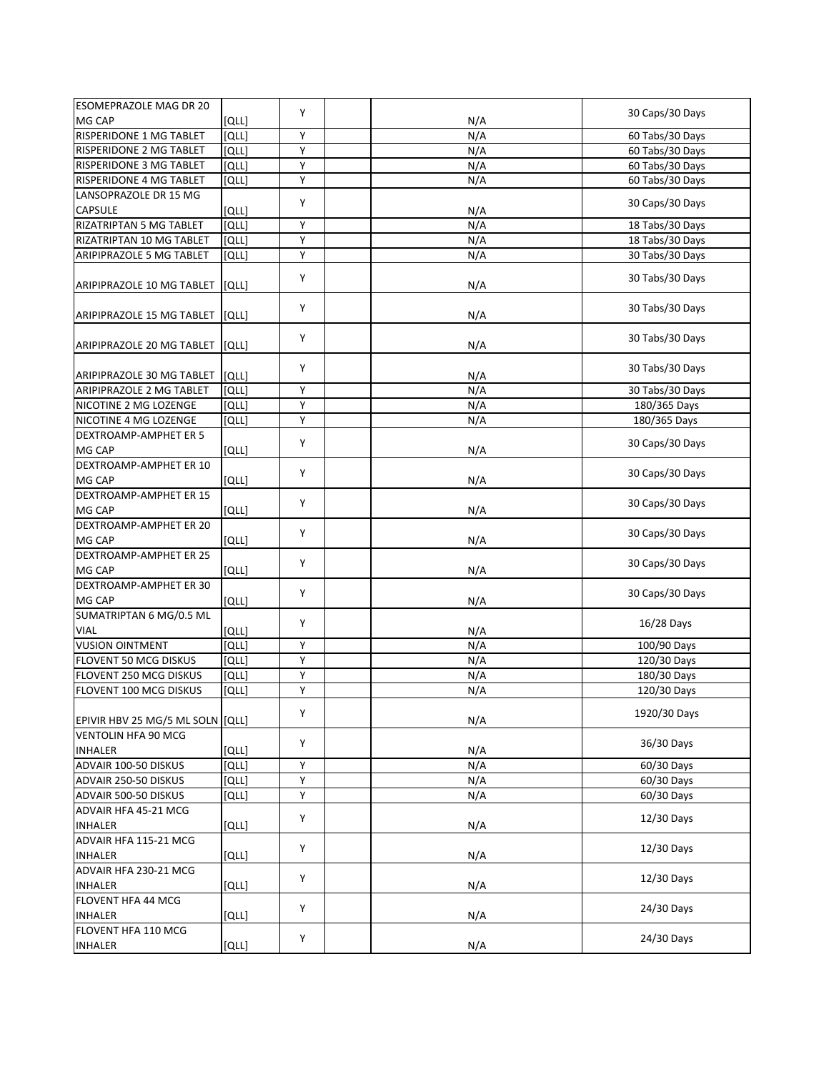| <b>ESOMEPRAZOLE MAG DR 20</b>    |       |   |     |                 |
|----------------------------------|-------|---|-----|-----------------|
| MG CAP                           | [QLL] | Y | N/A | 30 Caps/30 Days |
| <b>RISPERIDONE 1 MG TABLET</b>   | [QLL] | Y | N/A | 60 Tabs/30 Days |
| RISPERIDONE 2 MG TABLET          | [QLL] | Υ | N/A | 60 Tabs/30 Days |
| RISPERIDONE 3 MG TABLET          | [QLL] | Υ | N/A | 60 Tabs/30 Days |
| RISPERIDONE 4 MG TABLET          | [QLL] | Y | N/A | 60 Tabs/30 Days |
| LANSOPRAZOLE DR 15 MG            |       |   |     |                 |
| <b>CAPSULE</b>                   | [QLL] | Y | N/A | 30 Caps/30 Days |
| RIZATRIPTAN 5 MG TABLET          | [QLL] | Υ | N/A | 18 Tabs/30 Days |
| RIZATRIPTAN 10 MG TABLET         | [QLL] | Y | N/A | 18 Tabs/30 Days |
| ARIPIPRAZOLE 5 MG TABLET         | [QLL] | Y | N/A | 30 Tabs/30 Days |
|                                  |       |   |     |                 |
| ARIPIPRAZOLE 10 MG TABLET        | [QLL] | Υ | N/A | 30 Tabs/30 Days |
|                                  |       | Y |     | 30 Tabs/30 Days |
| ARIPIPRAZOLE 15 MG TABLET        | [QLL] |   | N/A |                 |
| ARIPIPRAZOLE 20 MG TABLET        | [QLL] | Y | N/A | 30 Tabs/30 Days |
|                                  |       | Υ |     | 30 Tabs/30 Days |
| ARIPIPRAZOLE 30 MG TABLET        | [QLL] |   | N/A |                 |
| ARIPIPRAZOLE 2 MG TABLET         | [QLL] | Υ | N/A | 30 Tabs/30 Days |
| NICOTINE 2 MG LOZENGE            | [QLL] | Y | N/A | 180/365 Days    |
| NICOTINE 4 MG LOZENGE            | [QLL] | Y | N/A | 180/365 Days    |
| DEXTROAMP-AMPHET ER 5            |       | Y |     | 30 Caps/30 Days |
| MG CAP                           | [QLL] |   | N/A |                 |
| DEXTROAMP-AMPHET ER 10           |       | Υ |     | 30 Caps/30 Days |
| MG CAP                           | [QLL] |   | N/A |                 |
| DEXTROAMP-AMPHET ER 15           |       | Y |     | 30 Caps/30 Days |
| MG CAP                           | [QLL] |   | N/A |                 |
| DEXTROAMP-AMPHET ER 20           |       | Y |     | 30 Caps/30 Days |
| MG CAP                           | [QLL] |   | N/A |                 |
| DEXTROAMP-AMPHET ER 25           |       | Υ |     | 30 Caps/30 Days |
| MG CAP                           | [QLL] |   | N/A |                 |
| DEXTROAMP-AMPHET ER 30           |       | Y |     |                 |
| MG CAP                           | [QLL] |   | N/A | 30 Caps/30 Days |
| SUMATRIPTAN 6 MG/0.5 ML          |       |   |     |                 |
| <b>VIAL</b>                      | [QLL] | Y | N/A | 16/28 Days      |
| <b>VUSION OINTMENT</b>           | [QLL] | Y | N/A | 100/90 Days     |
| FLOVENT 50 MCG DISKUS            | [QLL] | Y | N/A | 120/30 Days     |
| FLOVENT 250 MCG DISKUS           | [QLL] | Y | N/A | 180/30 Days     |
| FLOVENT 100 MCG DISKUS           | [QLL] | Υ | N/A | 120/30 Days     |
|                                  |       |   |     |                 |
| EPIVIR HBV 25 MG/5 ML SOLN (QLL) |       | Υ | N/A | 1920/30 Days    |
| <b>VENTOLIN HFA 90 MCG</b>       |       |   |     |                 |
| <b>INHALER</b>                   | [QLL] | Υ | N/A | 36/30 Days      |
| ADVAIR 100-50 DISKUS             | [QLL] | Υ | N/A | 60/30 Days      |
| ADVAIR 250-50 DISKUS             | וֹםנו | Υ | N/A | 60/30 Days      |
| ADVAIR 500-50 DISKUS             | [QLL] | Υ | N/A | 60/30 Days      |
| ADVAIR HFA 45-21 MCG             |       |   |     |                 |
| <b>INHALER</b>                   | [QLL] | Υ | N/A | 12/30 Days      |
| ADVAIR HFA 115-21 MCG            |       |   |     |                 |
| <b>INHALER</b>                   | [QLL] | Υ | N/A | 12/30 Days      |
| ADVAIR HFA 230-21 MCG            |       |   |     |                 |
| <b>INHALER</b>                   | [QLL] | Υ | N/A | 12/30 Days      |
| FLOVENT HFA 44 MCG               |       |   |     |                 |
| <b>INHALER</b>                   | [QLL] | Υ | N/A | 24/30 Days      |
| FLOVENT HFA 110 MCG              |       |   |     |                 |
| <b>INHALER</b>                   | [QLL] | Υ | N/A | 24/30 Days      |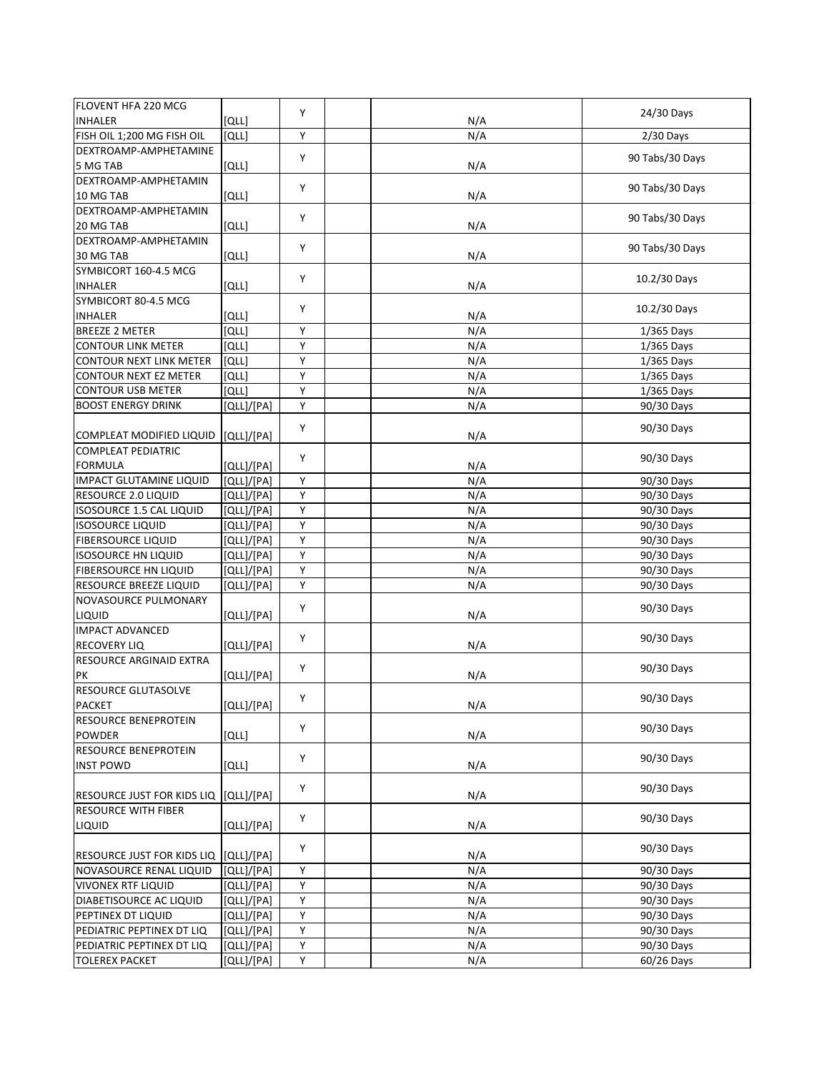| FLOVENT HFA 220 MCG                                   |              |   |     |                 |
|-------------------------------------------------------|--------------|---|-----|-----------------|
| <b>INHALER</b>                                        | וֹםנו        | Y | N/A | 24/30 Days      |
| FISH OIL 1;200 MG FISH OIL                            | [QLL]        | Y | N/A | $2/30$ Days     |
| DEXTROAMP-AMPHETAMINE                                 |              | Y |     |                 |
| 5 MG TAB                                              | [QLL]        |   | N/A | 90 Tabs/30 Days |
| DEXTROAMP-AMPHETAMIN                                  |              | Υ |     | 90 Tabs/30 Days |
| 10 MG TAB                                             | [QLL]        |   | N/A |                 |
| DEXTROAMP-AMPHETAMIN                                  |              | Υ |     | 90 Tabs/30 Days |
| 20 MG TAB                                             | [QLL]        |   | N/A |                 |
| DEXTROAMP-AMPHETAMIN                                  |              | Y |     | 90 Tabs/30 Days |
| 30 MG TAB                                             | [QLL]        |   | N/A |                 |
| SYMBICORT 160-4.5 MCG                                 |              | Υ |     | 10.2/30 Days    |
| <b>INHALER</b>                                        | [QLL]        |   | N/A |                 |
| SYMBICORT 80-4.5 MCG                                  |              | Y |     | 10.2/30 Days    |
| <b>INHALER</b>                                        | וֹםנו        |   | N/A |                 |
| <b>BREEZE 2 METER</b>                                 | [QLL]        | Υ | N/A | 1/365 Days      |
| <b>CONTOUR LINK METER</b>                             | [QLL]        | Υ | N/A | $1/365$ Days    |
| <b>CONTOUR NEXT LINK METER</b>                        | <b>[QLL]</b> | Υ | N/A | 1/365 Days      |
| CONTOUR NEXT EZ METER                                 | [QLL]        | Υ | N/A | 1/365 Days      |
| <b>CONTOUR USB METER</b>                              | [QLL]        | Υ | N/A | $1/365$ Days    |
| <b>BOOST ENERGY DRINK</b>                             | [QLL]/[PA]   | Y | N/A | 90/30 Days      |
|                                                       |              | Υ |     | 90/30 Days      |
| COMPLEAT MODIFIED LIQUID<br><b>COMPLEAT PEDIATRIC</b> | [QLL]/[PA]   |   | N/A |                 |
| <b>FORMULA</b>                                        | [QLL]/[PA]   | Y | N/A | 90/30 Days      |
| IMPACT GLUTAMINE LIQUID                               | [QLL]/[PA]   | Y | N/A | 90/30 Days      |
| RESOURCE 2.0 LIQUID                                   | [QLL]/[PA]   | Υ | N/A | 90/30 Days      |
| ISOSOURCE 1.5 CAL LIQUID                              | [QLL]/[PA]   | Y | N/A | 90/30 Days      |
| <b>ISOSOURCE LIQUID</b>                               | [QLL]/[PA]   | Υ | N/A | 90/30 Days      |
| <b>FIBERSOURCE LIQUID</b>                             | [QLL]/[PA]   | Υ | N/A | 90/30 Days      |
| <b>ISOSOURCE HN LIQUID</b>                            | [QLL]/[PA]   | Υ | N/A | 90/30 Days      |
| FIBERSOURCE HN LIQUID                                 | [QLL]/[PA]   | Υ | N/A | 90/30 Days      |
| RESOURCE BREEZE LIQUID                                | [QLL]/[PA]   | Υ | N/A | 90/30 Days      |
| NOVASOURCE PULMONARY                                  |              |   |     |                 |
| LIQUID                                                | [QLL]/[PA]   | Υ | N/A | 90/30 Days      |
| <b>IMPACT ADVANCED</b>                                |              |   |     |                 |
| <b>RECOVERY LIQ</b>                                   | [QLL]/[PA]   | Y | N/A | 90/30 Days      |
| RESOURCE ARGINAID EXTRA                               |              |   |     |                 |
| PК                                                    | [QLL]/[PA]   | Υ | N/A | 90/30 Days      |
| RESOURCE GLUTASOLVE                                   |              |   |     |                 |
| PACKET                                                | [QLL]/[PA]   | Υ | N/A | 90/30 Days      |
| RESOURCE BENEPROTEIN                                  |              |   |     |                 |
| <b>POWDER</b>                                         | [QLL]        | Υ | N/A | 90/30 Days      |
| RESOURCE BENEPROTEIN                                  |              | Y |     | 90/30 Days      |
| <b>INST POWD</b>                                      | [QLL]        |   | N/A |                 |
|                                                       |              | Υ |     | 90/30 Days      |
| <b>RESOURCE JUST FOR KIDS LIQ</b>                     | [QLL]/[PA]   |   | N/A |                 |
| <b>RESOURCE WITH FIBER</b>                            |              | Υ |     | 90/30 Days      |
| LIQUID                                                | [QLL]/[PA]   |   | N/A |                 |
|                                                       |              | Y |     | 90/30 Days      |
| RESOURCE JUST FOR KIDS LIQ                            | [QLL]/[PA]   |   | N/A |                 |
| NOVASOURCE RENAL LIQUID                               | [QLL]/[PA]   | Υ | N/A | 90/30 Days      |
| <b>VIVONEX RTF LIQUID</b>                             | [QLL]/[PA]   | Υ | N/A | 90/30 Days      |
| DIABETISOURCE AC LIQUID                               | [QLL]/[PA]   | Υ | N/A | 90/30 Days      |
| PEPTINEX DT LIQUID                                    | [QLL]/[PA]   | Y | N/A | 90/30 Days      |
| PEDIATRIC PEPTINEX DT LIQ                             | [QLL]/[PA]   | Υ | N/A | 90/30 Days      |
| PEDIATRIC PEPTINEX DT LIQ                             | [QLL]/[PA]   | Υ | N/A | 90/30 Days      |
| <b>TOLEREX PACKET</b>                                 | [QLL]/[PA]   | Υ | N/A | 60/26 Days      |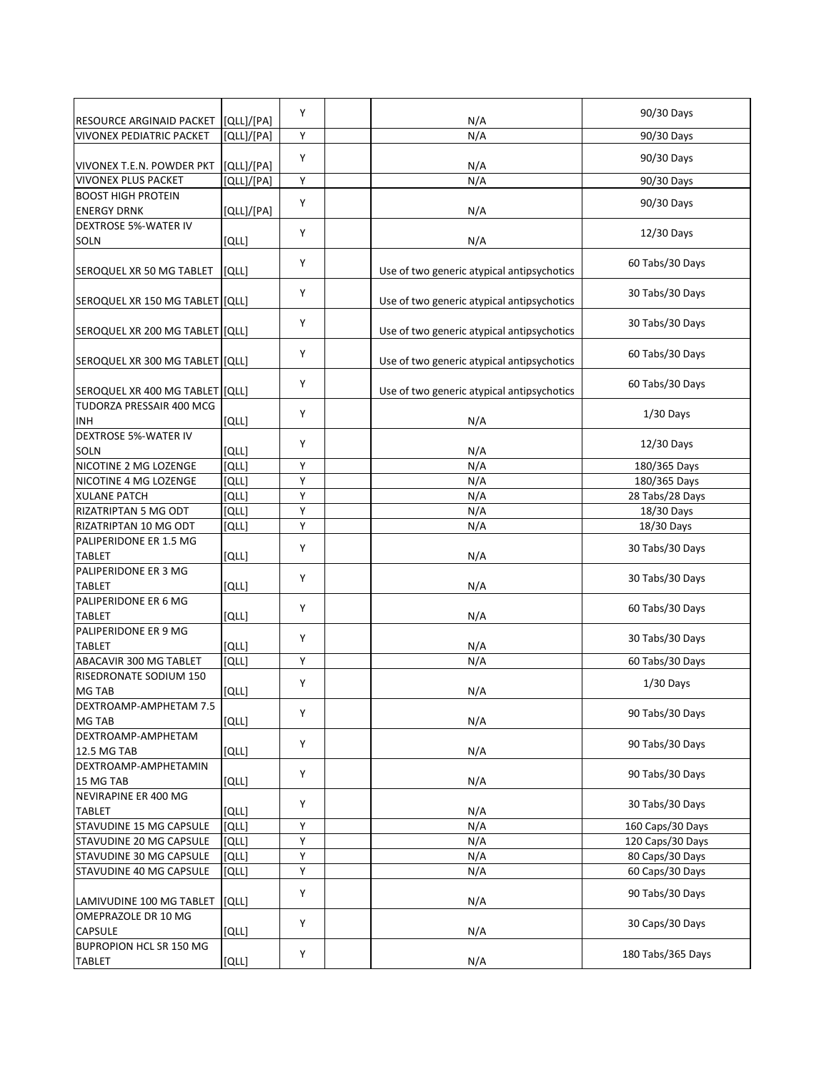| RESOURCE ARGINAID PACKET              |                          | Y |                                            | 90/30 Days        |
|---------------------------------------|--------------------------|---|--------------------------------------------|-------------------|
| <b>VIVONEX PEDIATRIC PACKET</b>       | [QLL]/[PA]<br>[QLL]/[PA] | Υ | N/A<br>N/A                                 | 90/30 Days        |
|                                       |                          |   |                                            |                   |
| VIVONEX T.E.N. POWDER PKT             | [QLL]/[PA]               | Y | N/A                                        | 90/30 Days        |
| <b>VIVONEX PLUS PACKET</b>            | [QLL]/[PA]               | Υ | N/A                                        | 90/30 Days        |
| <b>BOOST HIGH PROTEIN</b>             |                          | Y |                                            | 90/30 Days        |
| <b>ENERGY DRNK</b>                    | [QLL]/[PA]               |   | N/A                                        |                   |
| <b>DEXTROSE 5%-WATER IV</b>           |                          | Υ |                                            | 12/30 Days        |
| SOLN                                  | [QLL]                    |   | N/A                                        |                   |
| SEROQUEL XR 50 MG TABLET              | [QLL]                    | Υ | Use of two generic atypical antipsychotics | 60 Tabs/30 Days   |
| SEROQUEL XR 150 MG TABLET [[QLL]      |                          | Υ | Use of two generic atypical antipsychotics | 30 Tabs/30 Days   |
| SEROQUEL XR 200 MG TABLET [QLL]       |                          | Y | Use of two generic atypical antipsychotics | 30 Tabs/30 Days   |
| SEROQUEL XR 300 MG TABLET [QLL]       |                          | Y | Use of two generic atypical antipsychotics | 60 Tabs/30 Days   |
|                                       |                          |   |                                            |                   |
| SEROQUEL XR 400 MG TABLET [QLL]       |                          | Υ | Use of two generic atypical antipsychotics | 60 Tabs/30 Days   |
| TUDORZA PRESSAIR 400 MCG              |                          |   |                                            |                   |
| <b>INH</b>                            | [QLL]                    | Y | N/A                                        | $1/30$ Days       |
| <b>DEXTROSE 5%-WATER IV</b>           |                          |   |                                            |                   |
| SOLN                                  | [QLL]                    | Υ | N/A                                        | 12/30 Days        |
| NICOTINE 2 MG LOZENGE                 | [QLL]                    | Υ | N/A                                        | 180/365 Days      |
| NICOTINE 4 MG LOZENGE                 | [QLL]                    | Υ | N/A                                        | 180/365 Days      |
| <b>XULANE PATCH</b>                   | [QLL]                    | Υ | N/A                                        | 28 Tabs/28 Days   |
| RIZATRIPTAN 5 MG ODT                  | [QLL]                    | Υ | N/A                                        | 18/30 Days        |
| RIZATRIPTAN 10 MG ODT                 | [QLL]                    | Y | N/A                                        | 18/30 Days        |
| PALIPERIDONE ER 1.5 MG                |                          |   |                                            |                   |
| <b>TABLET</b>                         | וֹםנו                    | Y | N/A                                        | 30 Tabs/30 Days   |
| PALIPERIDONE ER 3 MG                  |                          |   |                                            |                   |
| <b>TABLET</b>                         | [QLL]                    | Υ | N/A                                        | 30 Tabs/30 Days   |
| PALIPERIDONE ER 6 MG                  |                          |   |                                            |                   |
| <b>TABLET</b>                         | [QLL]                    | Υ | N/A                                        | 60 Tabs/30 Days   |
| PALIPERIDONE ER 9 MG                  |                          |   |                                            |                   |
| <b>TABLET</b>                         | [QLL]                    | Υ | N/A                                        | 30 Tabs/30 Days   |
| ABACAVIR 300 MG TABLET                | [QLL]                    | Υ | N/A                                        | 60 Tabs/30 Days   |
| RISEDRONATE SODIUM 150                |                          |   |                                            |                   |
| MG TAB                                | [QLL]                    | Υ | N/A                                        | $1/30$ Days       |
| DEXTROAMP-AMPHETAM 7.5                |                          |   |                                            |                   |
| <b>MG TAB</b>                         | [QLL]                    | Υ | N/A                                        | 90 Tabs/30 Days   |
| DEXTROAMP-AMPHETAM                    |                          | Y |                                            | 90 Tabs/30 Days   |
| 12.5 MG TAB                           | [QLL]                    |   | N/A                                        |                   |
| DEXTROAMP-AMPHETAMIN                  |                          | Υ |                                            | 90 Tabs/30 Days   |
| 15 MG TAB                             | [QLL]                    |   | N/A                                        |                   |
| NEVIRAPINE ER 400 MG                  |                          | Υ |                                            | 30 Tabs/30 Days   |
| <b>TABLET</b>                         | [QLL]                    |   | N/A                                        |                   |
| STAVUDINE 15 MG CAPSULE               | [QLL]                    | Y | N/A                                        | 160 Caps/30 Days  |
| STAVUDINE 20 MG CAPSULE               | [QLL]                    | Υ | N/A                                        | 120 Caps/30 Days  |
| STAVUDINE 30 MG CAPSULE               | וֹםנו                    | Υ | N/A                                        | 80 Caps/30 Days   |
| STAVUDINE 40 MG CAPSULE               | [QLL]                    | Υ | N/A                                        | 60 Caps/30 Days   |
|                                       |                          | Y |                                            | 90 Tabs/30 Days   |
| LAMIVUDINE 100 MG TABLET              | [QLL]                    |   | N/A                                        |                   |
| OMEPRAZOLE DR 10 MG<br><b>CAPSULE</b> | [QLL]                    | Υ | N/A                                        | 30 Caps/30 Days   |
| <b>BUPROPION HCL SR 150 MG</b>        |                          |   |                                            |                   |
| <b>TABLET</b>                         | [QLL]                    | Υ | N/A                                        | 180 Tabs/365 Days |
|                                       |                          |   |                                            |                   |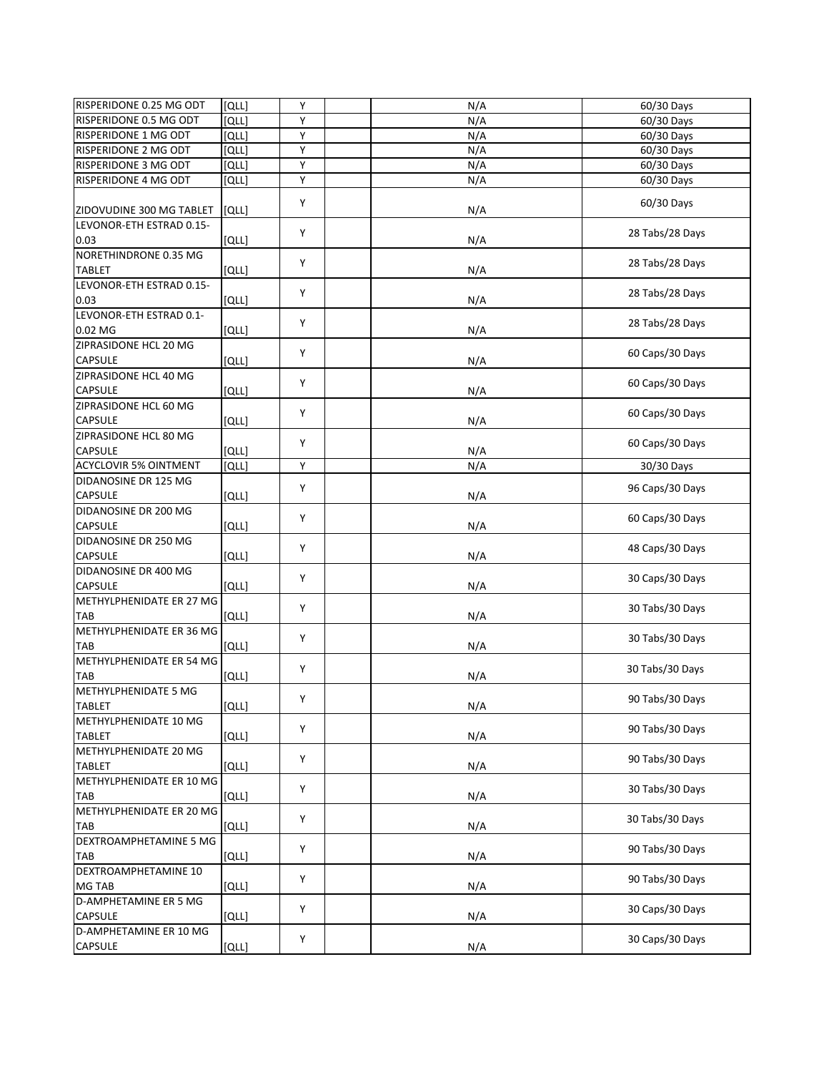| Υ<br>N/A<br>60/30 Days<br>RISPERIDONE 0.5 MG ODT<br>[QLL]<br>RISPERIDONE 1 MG ODT<br>Υ<br>[QLL]<br>N/A<br>60/30 Days<br>Y<br>RISPERIDONE 2 MG ODT<br>N/A<br>60/30 Days<br>[QLL]<br>Y<br>RISPERIDONE 3 MG ODT<br>[QLL]<br>N/A<br>60/30 Days<br>Υ<br>RISPERIDONE 4 MG ODT<br>N/A<br>[QLL]<br>60/30 Days<br>Y<br>60/30 Days<br>N/A<br>[QLL]<br>LEVONOR-ETH ESTRAD 0.15-<br>Y<br>28 Tabs/28 Days<br>[QLL]<br>N/A<br>NORETHINDRONE 0.35 MG<br>Y<br>28 Tabs/28 Days<br><b>TABLET</b><br>[QLL]<br>N/A<br>LEVONOR-ETH ESTRAD 0.15-<br>Y<br>28 Tabs/28 Days<br>0.03<br>[QLL]<br>N/A<br>LEVONOR-ETH ESTRAD 0.1-<br>Y<br>28 Tabs/28 Days<br>N/A<br>0.02 MG<br>וֹםנו<br>ZIPRASIDONE HCL 20 MG<br>Y<br>60 Caps/30 Days<br><b>CAPSULE</b><br>[QLL]<br>N/A<br>Y<br>60 Caps/30 Days<br><b>CAPSULE</b><br>[QLL]<br>N/A<br>ZIPRASIDONE HCL 60 MG<br>Y<br>60 Caps/30 Days<br><b>CAPSULE</b><br>[QLL]<br>N/A<br>ZIPRASIDONE HCL 80 MG<br>Y<br>60 Caps/30 Days<br><b>CAPSULE</b><br>[QLL]<br>N/A<br>Y<br>N/A<br><b>ACYCLOVIR 5% OINTMENT</b><br>[QLL]<br>30/30 Days<br>DIDANOSINE DR 125 MG<br>Y<br>96 Caps/30 Days<br><b>CAPSULE</b><br>[QLL]<br>N/A<br>DIDANOSINE DR 200 MG<br>Y<br>60 Caps/30 Days<br><b>CAPSULE</b><br>N/A<br>[QLL]<br>DIDANOSINE DR 250 MG<br>Y<br>48 Caps/30 Days<br><b>CAPSULE</b><br>N/A<br>וֹםנו<br>DIDANOSINE DR 400 MG<br>Y<br>30 Caps/30 Days<br><b>CAPSULE</b><br>[QLL]<br>N/A<br>METHYLPHENIDATE ER 27 MG<br>Y<br>30 Tabs/30 Days<br>[QLL]<br>N/A<br>TAB<br>METHYLPHENIDATE ER 36 MG<br>Y<br>30 Tabs/30 Days<br><b>TAB</b><br>N/A<br>[QLL]<br>METHYLPHENIDATE ER 54 MG<br>Y<br>30 Tabs/30 Days<br><b>TAB</b><br>[QLL]<br>N/A<br><b>METHYLPHENIDATE 5 MG</b><br>Υ<br>90 Tabs/30 Days<br>TABLET<br>[QLL]<br>N/A<br>METHYLPHENIDATE 10 MG<br>Υ<br>90 Tabs/30 Days<br>[QLL]<br>N/A<br><b>TABLET</b><br>Y<br>90 Tabs/30 Days<br>[QLL]<br>N/A<br><b>TABLET</b><br>METHYLPHENIDATE ER 10 MG<br>Υ<br>30 Tabs/30 Days<br>TAB<br>[QLL]<br>N/A<br>METHYLPHENIDATE ER 20 MG<br>Y<br>30 Tabs/30 Days<br><b>TAB</b><br>N/A<br>[QLL]<br>DEXTROAMPHETAMINE 5 MG<br>Y<br>90 Tabs/30 Days<br>N/A<br><b>TAB</b><br>[QLL]<br>DEXTROAMPHETAMINE 10<br>Y<br>90 Tabs/30 Days<br>MG TAB<br>[QLL]<br>N/A<br>30 Caps/30 Days<br>Υ<br>[QLL]<br>N/A<br>CAPSULE<br>D-AMPHETAMINE ER 10 MG<br>Υ<br>30 Caps/30 Days<br>CAPSULE<br>[QLL]<br>N/A | RISPERIDONE 0.25 MG ODT      | [QLL] | Y | N/A | 60/30 Days |
|--------------------------------------------------------------------------------------------------------------------------------------------------------------------------------------------------------------------------------------------------------------------------------------------------------------------------------------------------------------------------------------------------------------------------------------------------------------------------------------------------------------------------------------------------------------------------------------------------------------------------------------------------------------------------------------------------------------------------------------------------------------------------------------------------------------------------------------------------------------------------------------------------------------------------------------------------------------------------------------------------------------------------------------------------------------------------------------------------------------------------------------------------------------------------------------------------------------------------------------------------------------------------------------------------------------------------------------------------------------------------------------------------------------------------------------------------------------------------------------------------------------------------------------------------------------------------------------------------------------------------------------------------------------------------------------------------------------------------------------------------------------------------------------------------------------------------------------------------------------------------------------------------------------------------------------------------------------------------------------------------------------------------------------------------------------------------------------------------------------------------------------------------------------------------------------------------------------------------------------------------------------------------------------------------------------------------|------------------------------|-------|---|-----|------------|
|                                                                                                                                                                                                                                                                                                                                                                                                                                                                                                                                                                                                                                                                                                                                                                                                                                                                                                                                                                                                                                                                                                                                                                                                                                                                                                                                                                                                                                                                                                                                                                                                                                                                                                                                                                                                                                                                                                                                                                                                                                                                                                                                                                                                                                                                                                                          |                              |       |   |     |            |
|                                                                                                                                                                                                                                                                                                                                                                                                                                                                                                                                                                                                                                                                                                                                                                                                                                                                                                                                                                                                                                                                                                                                                                                                                                                                                                                                                                                                                                                                                                                                                                                                                                                                                                                                                                                                                                                                                                                                                                                                                                                                                                                                                                                                                                                                                                                          |                              |       |   |     |            |
|                                                                                                                                                                                                                                                                                                                                                                                                                                                                                                                                                                                                                                                                                                                                                                                                                                                                                                                                                                                                                                                                                                                                                                                                                                                                                                                                                                                                                                                                                                                                                                                                                                                                                                                                                                                                                                                                                                                                                                                                                                                                                                                                                                                                                                                                                                                          |                              |       |   |     |            |
|                                                                                                                                                                                                                                                                                                                                                                                                                                                                                                                                                                                                                                                                                                                                                                                                                                                                                                                                                                                                                                                                                                                                                                                                                                                                                                                                                                                                                                                                                                                                                                                                                                                                                                                                                                                                                                                                                                                                                                                                                                                                                                                                                                                                                                                                                                                          |                              |       |   |     |            |
|                                                                                                                                                                                                                                                                                                                                                                                                                                                                                                                                                                                                                                                                                                                                                                                                                                                                                                                                                                                                                                                                                                                                                                                                                                                                                                                                                                                                                                                                                                                                                                                                                                                                                                                                                                                                                                                                                                                                                                                                                                                                                                                                                                                                                                                                                                                          |                              |       |   |     |            |
|                                                                                                                                                                                                                                                                                                                                                                                                                                                                                                                                                                                                                                                                                                                                                                                                                                                                                                                                                                                                                                                                                                                                                                                                                                                                                                                                                                                                                                                                                                                                                                                                                                                                                                                                                                                                                                                                                                                                                                                                                                                                                                                                                                                                                                                                                                                          |                              |       |   |     |            |
|                                                                                                                                                                                                                                                                                                                                                                                                                                                                                                                                                                                                                                                                                                                                                                                                                                                                                                                                                                                                                                                                                                                                                                                                                                                                                                                                                                                                                                                                                                                                                                                                                                                                                                                                                                                                                                                                                                                                                                                                                                                                                                                                                                                                                                                                                                                          |                              |       |   |     |            |
|                                                                                                                                                                                                                                                                                                                                                                                                                                                                                                                                                                                                                                                                                                                                                                                                                                                                                                                                                                                                                                                                                                                                                                                                                                                                                                                                                                                                                                                                                                                                                                                                                                                                                                                                                                                                                                                                                                                                                                                                                                                                                                                                                                                                                                                                                                                          | ZIDOVUDINE 300 MG TABLET     |       |   |     |            |
|                                                                                                                                                                                                                                                                                                                                                                                                                                                                                                                                                                                                                                                                                                                                                                                                                                                                                                                                                                                                                                                                                                                                                                                                                                                                                                                                                                                                                                                                                                                                                                                                                                                                                                                                                                                                                                                                                                                                                                                                                                                                                                                                                                                                                                                                                                                          |                              |       |   |     |            |
|                                                                                                                                                                                                                                                                                                                                                                                                                                                                                                                                                                                                                                                                                                                                                                                                                                                                                                                                                                                                                                                                                                                                                                                                                                                                                                                                                                                                                                                                                                                                                                                                                                                                                                                                                                                                                                                                                                                                                                                                                                                                                                                                                                                                                                                                                                                          | 0.03                         |       |   |     |            |
|                                                                                                                                                                                                                                                                                                                                                                                                                                                                                                                                                                                                                                                                                                                                                                                                                                                                                                                                                                                                                                                                                                                                                                                                                                                                                                                                                                                                                                                                                                                                                                                                                                                                                                                                                                                                                                                                                                                                                                                                                                                                                                                                                                                                                                                                                                                          |                              |       |   |     |            |
|                                                                                                                                                                                                                                                                                                                                                                                                                                                                                                                                                                                                                                                                                                                                                                                                                                                                                                                                                                                                                                                                                                                                                                                                                                                                                                                                                                                                                                                                                                                                                                                                                                                                                                                                                                                                                                                                                                                                                                                                                                                                                                                                                                                                                                                                                                                          |                              |       |   |     |            |
|                                                                                                                                                                                                                                                                                                                                                                                                                                                                                                                                                                                                                                                                                                                                                                                                                                                                                                                                                                                                                                                                                                                                                                                                                                                                                                                                                                                                                                                                                                                                                                                                                                                                                                                                                                                                                                                                                                                                                                                                                                                                                                                                                                                                                                                                                                                          |                              |       |   |     |            |
|                                                                                                                                                                                                                                                                                                                                                                                                                                                                                                                                                                                                                                                                                                                                                                                                                                                                                                                                                                                                                                                                                                                                                                                                                                                                                                                                                                                                                                                                                                                                                                                                                                                                                                                                                                                                                                                                                                                                                                                                                                                                                                                                                                                                                                                                                                                          |                              |       |   |     |            |
|                                                                                                                                                                                                                                                                                                                                                                                                                                                                                                                                                                                                                                                                                                                                                                                                                                                                                                                                                                                                                                                                                                                                                                                                                                                                                                                                                                                                                                                                                                                                                                                                                                                                                                                                                                                                                                                                                                                                                                                                                                                                                                                                                                                                                                                                                                                          |                              |       |   |     |            |
|                                                                                                                                                                                                                                                                                                                                                                                                                                                                                                                                                                                                                                                                                                                                                                                                                                                                                                                                                                                                                                                                                                                                                                                                                                                                                                                                                                                                                                                                                                                                                                                                                                                                                                                                                                                                                                                                                                                                                                                                                                                                                                                                                                                                                                                                                                                          |                              |       |   |     |            |
|                                                                                                                                                                                                                                                                                                                                                                                                                                                                                                                                                                                                                                                                                                                                                                                                                                                                                                                                                                                                                                                                                                                                                                                                                                                                                                                                                                                                                                                                                                                                                                                                                                                                                                                                                                                                                                                                                                                                                                                                                                                                                                                                                                                                                                                                                                                          |                              |       |   |     |            |
|                                                                                                                                                                                                                                                                                                                                                                                                                                                                                                                                                                                                                                                                                                                                                                                                                                                                                                                                                                                                                                                                                                                                                                                                                                                                                                                                                                                                                                                                                                                                                                                                                                                                                                                                                                                                                                                                                                                                                                                                                                                                                                                                                                                                                                                                                                                          |                              |       |   |     |            |
|                                                                                                                                                                                                                                                                                                                                                                                                                                                                                                                                                                                                                                                                                                                                                                                                                                                                                                                                                                                                                                                                                                                                                                                                                                                                                                                                                                                                                                                                                                                                                                                                                                                                                                                                                                                                                                                                                                                                                                                                                                                                                                                                                                                                                                                                                                                          |                              |       |   |     |            |
|                                                                                                                                                                                                                                                                                                                                                                                                                                                                                                                                                                                                                                                                                                                                                                                                                                                                                                                                                                                                                                                                                                                                                                                                                                                                                                                                                                                                                                                                                                                                                                                                                                                                                                                                                                                                                                                                                                                                                                                                                                                                                                                                                                                                                                                                                                                          | ZIPRASIDONE HCL 40 MG        |       |   |     |            |
|                                                                                                                                                                                                                                                                                                                                                                                                                                                                                                                                                                                                                                                                                                                                                                                                                                                                                                                                                                                                                                                                                                                                                                                                                                                                                                                                                                                                                                                                                                                                                                                                                                                                                                                                                                                                                                                                                                                                                                                                                                                                                                                                                                                                                                                                                                                          |                              |       |   |     |            |
|                                                                                                                                                                                                                                                                                                                                                                                                                                                                                                                                                                                                                                                                                                                                                                                                                                                                                                                                                                                                                                                                                                                                                                                                                                                                                                                                                                                                                                                                                                                                                                                                                                                                                                                                                                                                                                                                                                                                                                                                                                                                                                                                                                                                                                                                                                                          |                              |       |   |     |            |
|                                                                                                                                                                                                                                                                                                                                                                                                                                                                                                                                                                                                                                                                                                                                                                                                                                                                                                                                                                                                                                                                                                                                                                                                                                                                                                                                                                                                                                                                                                                                                                                                                                                                                                                                                                                                                                                                                                                                                                                                                                                                                                                                                                                                                                                                                                                          |                              |       |   |     |            |
|                                                                                                                                                                                                                                                                                                                                                                                                                                                                                                                                                                                                                                                                                                                                                                                                                                                                                                                                                                                                                                                                                                                                                                                                                                                                                                                                                                                                                                                                                                                                                                                                                                                                                                                                                                                                                                                                                                                                                                                                                                                                                                                                                                                                                                                                                                                          |                              |       |   |     |            |
|                                                                                                                                                                                                                                                                                                                                                                                                                                                                                                                                                                                                                                                                                                                                                                                                                                                                                                                                                                                                                                                                                                                                                                                                                                                                                                                                                                                                                                                                                                                                                                                                                                                                                                                                                                                                                                                                                                                                                                                                                                                                                                                                                                                                                                                                                                                          |                              |       |   |     |            |
|                                                                                                                                                                                                                                                                                                                                                                                                                                                                                                                                                                                                                                                                                                                                                                                                                                                                                                                                                                                                                                                                                                                                                                                                                                                                                                                                                                                                                                                                                                                                                                                                                                                                                                                                                                                                                                                                                                                                                                                                                                                                                                                                                                                                                                                                                                                          |                              |       |   |     |            |
|                                                                                                                                                                                                                                                                                                                                                                                                                                                                                                                                                                                                                                                                                                                                                                                                                                                                                                                                                                                                                                                                                                                                                                                                                                                                                                                                                                                                                                                                                                                                                                                                                                                                                                                                                                                                                                                                                                                                                                                                                                                                                                                                                                                                                                                                                                                          |                              |       |   |     |            |
|                                                                                                                                                                                                                                                                                                                                                                                                                                                                                                                                                                                                                                                                                                                                                                                                                                                                                                                                                                                                                                                                                                                                                                                                                                                                                                                                                                                                                                                                                                                                                                                                                                                                                                                                                                                                                                                                                                                                                                                                                                                                                                                                                                                                                                                                                                                          |                              |       |   |     |            |
|                                                                                                                                                                                                                                                                                                                                                                                                                                                                                                                                                                                                                                                                                                                                                                                                                                                                                                                                                                                                                                                                                                                                                                                                                                                                                                                                                                                                                                                                                                                                                                                                                                                                                                                                                                                                                                                                                                                                                                                                                                                                                                                                                                                                                                                                                                                          |                              |       |   |     |            |
|                                                                                                                                                                                                                                                                                                                                                                                                                                                                                                                                                                                                                                                                                                                                                                                                                                                                                                                                                                                                                                                                                                                                                                                                                                                                                                                                                                                                                                                                                                                                                                                                                                                                                                                                                                                                                                                                                                                                                                                                                                                                                                                                                                                                                                                                                                                          |                              |       |   |     |            |
|                                                                                                                                                                                                                                                                                                                                                                                                                                                                                                                                                                                                                                                                                                                                                                                                                                                                                                                                                                                                                                                                                                                                                                                                                                                                                                                                                                                                                                                                                                                                                                                                                                                                                                                                                                                                                                                                                                                                                                                                                                                                                                                                                                                                                                                                                                                          |                              |       |   |     |            |
|                                                                                                                                                                                                                                                                                                                                                                                                                                                                                                                                                                                                                                                                                                                                                                                                                                                                                                                                                                                                                                                                                                                                                                                                                                                                                                                                                                                                                                                                                                                                                                                                                                                                                                                                                                                                                                                                                                                                                                                                                                                                                                                                                                                                                                                                                                                          |                              |       |   |     |            |
|                                                                                                                                                                                                                                                                                                                                                                                                                                                                                                                                                                                                                                                                                                                                                                                                                                                                                                                                                                                                                                                                                                                                                                                                                                                                                                                                                                                                                                                                                                                                                                                                                                                                                                                                                                                                                                                                                                                                                                                                                                                                                                                                                                                                                                                                                                                          |                              |       |   |     |            |
|                                                                                                                                                                                                                                                                                                                                                                                                                                                                                                                                                                                                                                                                                                                                                                                                                                                                                                                                                                                                                                                                                                                                                                                                                                                                                                                                                                                                                                                                                                                                                                                                                                                                                                                                                                                                                                                                                                                                                                                                                                                                                                                                                                                                                                                                                                                          |                              |       |   |     |            |
|                                                                                                                                                                                                                                                                                                                                                                                                                                                                                                                                                                                                                                                                                                                                                                                                                                                                                                                                                                                                                                                                                                                                                                                                                                                                                                                                                                                                                                                                                                                                                                                                                                                                                                                                                                                                                                                                                                                                                                                                                                                                                                                                                                                                                                                                                                                          |                              |       |   |     |            |
|                                                                                                                                                                                                                                                                                                                                                                                                                                                                                                                                                                                                                                                                                                                                                                                                                                                                                                                                                                                                                                                                                                                                                                                                                                                                                                                                                                                                                                                                                                                                                                                                                                                                                                                                                                                                                                                                                                                                                                                                                                                                                                                                                                                                                                                                                                                          |                              |       |   |     |            |
|                                                                                                                                                                                                                                                                                                                                                                                                                                                                                                                                                                                                                                                                                                                                                                                                                                                                                                                                                                                                                                                                                                                                                                                                                                                                                                                                                                                                                                                                                                                                                                                                                                                                                                                                                                                                                                                                                                                                                                                                                                                                                                                                                                                                                                                                                                                          |                              |       |   |     |            |
|                                                                                                                                                                                                                                                                                                                                                                                                                                                                                                                                                                                                                                                                                                                                                                                                                                                                                                                                                                                                                                                                                                                                                                                                                                                                                                                                                                                                                                                                                                                                                                                                                                                                                                                                                                                                                                                                                                                                                                                                                                                                                                                                                                                                                                                                                                                          |                              |       |   |     |            |
|                                                                                                                                                                                                                                                                                                                                                                                                                                                                                                                                                                                                                                                                                                                                                                                                                                                                                                                                                                                                                                                                                                                                                                                                                                                                                                                                                                                                                                                                                                                                                                                                                                                                                                                                                                                                                                                                                                                                                                                                                                                                                                                                                                                                                                                                                                                          |                              |       |   |     |            |
|                                                                                                                                                                                                                                                                                                                                                                                                                                                                                                                                                                                                                                                                                                                                                                                                                                                                                                                                                                                                                                                                                                                                                                                                                                                                                                                                                                                                                                                                                                                                                                                                                                                                                                                                                                                                                                                                                                                                                                                                                                                                                                                                                                                                                                                                                                                          |                              |       |   |     |            |
|                                                                                                                                                                                                                                                                                                                                                                                                                                                                                                                                                                                                                                                                                                                                                                                                                                                                                                                                                                                                                                                                                                                                                                                                                                                                                                                                                                                                                                                                                                                                                                                                                                                                                                                                                                                                                                                                                                                                                                                                                                                                                                                                                                                                                                                                                                                          |                              |       |   |     |            |
|                                                                                                                                                                                                                                                                                                                                                                                                                                                                                                                                                                                                                                                                                                                                                                                                                                                                                                                                                                                                                                                                                                                                                                                                                                                                                                                                                                                                                                                                                                                                                                                                                                                                                                                                                                                                                                                                                                                                                                                                                                                                                                                                                                                                                                                                                                                          |                              |       |   |     |            |
|                                                                                                                                                                                                                                                                                                                                                                                                                                                                                                                                                                                                                                                                                                                                                                                                                                                                                                                                                                                                                                                                                                                                                                                                                                                                                                                                                                                                                                                                                                                                                                                                                                                                                                                                                                                                                                                                                                                                                                                                                                                                                                                                                                                                                                                                                                                          |                              |       |   |     |            |
|                                                                                                                                                                                                                                                                                                                                                                                                                                                                                                                                                                                                                                                                                                                                                                                                                                                                                                                                                                                                                                                                                                                                                                                                                                                                                                                                                                                                                                                                                                                                                                                                                                                                                                                                                                                                                                                                                                                                                                                                                                                                                                                                                                                                                                                                                                                          |                              |       |   |     |            |
|                                                                                                                                                                                                                                                                                                                                                                                                                                                                                                                                                                                                                                                                                                                                                                                                                                                                                                                                                                                                                                                                                                                                                                                                                                                                                                                                                                                                                                                                                                                                                                                                                                                                                                                                                                                                                                                                                                                                                                                                                                                                                                                                                                                                                                                                                                                          |                              |       |   |     |            |
|                                                                                                                                                                                                                                                                                                                                                                                                                                                                                                                                                                                                                                                                                                                                                                                                                                                                                                                                                                                                                                                                                                                                                                                                                                                                                                                                                                                                                                                                                                                                                                                                                                                                                                                                                                                                                                                                                                                                                                                                                                                                                                                                                                                                                                                                                                                          |                              |       |   |     |            |
|                                                                                                                                                                                                                                                                                                                                                                                                                                                                                                                                                                                                                                                                                                                                                                                                                                                                                                                                                                                                                                                                                                                                                                                                                                                                                                                                                                                                                                                                                                                                                                                                                                                                                                                                                                                                                                                                                                                                                                                                                                                                                                                                                                                                                                                                                                                          | METHYLPHENIDATE 20 MG        |       |   |     |            |
|                                                                                                                                                                                                                                                                                                                                                                                                                                                                                                                                                                                                                                                                                                                                                                                                                                                                                                                                                                                                                                                                                                                                                                                                                                                                                                                                                                                                                                                                                                                                                                                                                                                                                                                                                                                                                                                                                                                                                                                                                                                                                                                                                                                                                                                                                                                          |                              |       |   |     |            |
|                                                                                                                                                                                                                                                                                                                                                                                                                                                                                                                                                                                                                                                                                                                                                                                                                                                                                                                                                                                                                                                                                                                                                                                                                                                                                                                                                                                                                                                                                                                                                                                                                                                                                                                                                                                                                                                                                                                                                                                                                                                                                                                                                                                                                                                                                                                          |                              |       |   |     |            |
|                                                                                                                                                                                                                                                                                                                                                                                                                                                                                                                                                                                                                                                                                                                                                                                                                                                                                                                                                                                                                                                                                                                                                                                                                                                                                                                                                                                                                                                                                                                                                                                                                                                                                                                                                                                                                                                                                                                                                                                                                                                                                                                                                                                                                                                                                                                          |                              |       |   |     |            |
|                                                                                                                                                                                                                                                                                                                                                                                                                                                                                                                                                                                                                                                                                                                                                                                                                                                                                                                                                                                                                                                                                                                                                                                                                                                                                                                                                                                                                                                                                                                                                                                                                                                                                                                                                                                                                                                                                                                                                                                                                                                                                                                                                                                                                                                                                                                          |                              |       |   |     |            |
|                                                                                                                                                                                                                                                                                                                                                                                                                                                                                                                                                                                                                                                                                                                                                                                                                                                                                                                                                                                                                                                                                                                                                                                                                                                                                                                                                                                                                                                                                                                                                                                                                                                                                                                                                                                                                                                                                                                                                                                                                                                                                                                                                                                                                                                                                                                          |                              |       |   |     |            |
|                                                                                                                                                                                                                                                                                                                                                                                                                                                                                                                                                                                                                                                                                                                                                                                                                                                                                                                                                                                                                                                                                                                                                                                                                                                                                                                                                                                                                                                                                                                                                                                                                                                                                                                                                                                                                                                                                                                                                                                                                                                                                                                                                                                                                                                                                                                          |                              |       |   |     |            |
|                                                                                                                                                                                                                                                                                                                                                                                                                                                                                                                                                                                                                                                                                                                                                                                                                                                                                                                                                                                                                                                                                                                                                                                                                                                                                                                                                                                                                                                                                                                                                                                                                                                                                                                                                                                                                                                                                                                                                                                                                                                                                                                                                                                                                                                                                                                          |                              |       |   |     |            |
|                                                                                                                                                                                                                                                                                                                                                                                                                                                                                                                                                                                                                                                                                                                                                                                                                                                                                                                                                                                                                                                                                                                                                                                                                                                                                                                                                                                                                                                                                                                                                                                                                                                                                                                                                                                                                                                                                                                                                                                                                                                                                                                                                                                                                                                                                                                          |                              |       |   |     |            |
|                                                                                                                                                                                                                                                                                                                                                                                                                                                                                                                                                                                                                                                                                                                                                                                                                                                                                                                                                                                                                                                                                                                                                                                                                                                                                                                                                                                                                                                                                                                                                                                                                                                                                                                                                                                                                                                                                                                                                                                                                                                                                                                                                                                                                                                                                                                          |                              |       |   |     |            |
|                                                                                                                                                                                                                                                                                                                                                                                                                                                                                                                                                                                                                                                                                                                                                                                                                                                                                                                                                                                                                                                                                                                                                                                                                                                                                                                                                                                                                                                                                                                                                                                                                                                                                                                                                                                                                                                                                                                                                                                                                                                                                                                                                                                                                                                                                                                          |                              |       |   |     |            |
|                                                                                                                                                                                                                                                                                                                                                                                                                                                                                                                                                                                                                                                                                                                                                                                                                                                                                                                                                                                                                                                                                                                                                                                                                                                                                                                                                                                                                                                                                                                                                                                                                                                                                                                                                                                                                                                                                                                                                                                                                                                                                                                                                                                                                                                                                                                          | <b>D-AMPHETAMINE ER 5 MG</b> |       |   |     |            |
|                                                                                                                                                                                                                                                                                                                                                                                                                                                                                                                                                                                                                                                                                                                                                                                                                                                                                                                                                                                                                                                                                                                                                                                                                                                                                                                                                                                                                                                                                                                                                                                                                                                                                                                                                                                                                                                                                                                                                                                                                                                                                                                                                                                                                                                                                                                          |                              |       |   |     |            |
|                                                                                                                                                                                                                                                                                                                                                                                                                                                                                                                                                                                                                                                                                                                                                                                                                                                                                                                                                                                                                                                                                                                                                                                                                                                                                                                                                                                                                                                                                                                                                                                                                                                                                                                                                                                                                                                                                                                                                                                                                                                                                                                                                                                                                                                                                                                          |                              |       |   |     |            |
|                                                                                                                                                                                                                                                                                                                                                                                                                                                                                                                                                                                                                                                                                                                                                                                                                                                                                                                                                                                                                                                                                                                                                                                                                                                                                                                                                                                                                                                                                                                                                                                                                                                                                                                                                                                                                                                                                                                                                                                                                                                                                                                                                                                                                                                                                                                          |                              |       |   |     |            |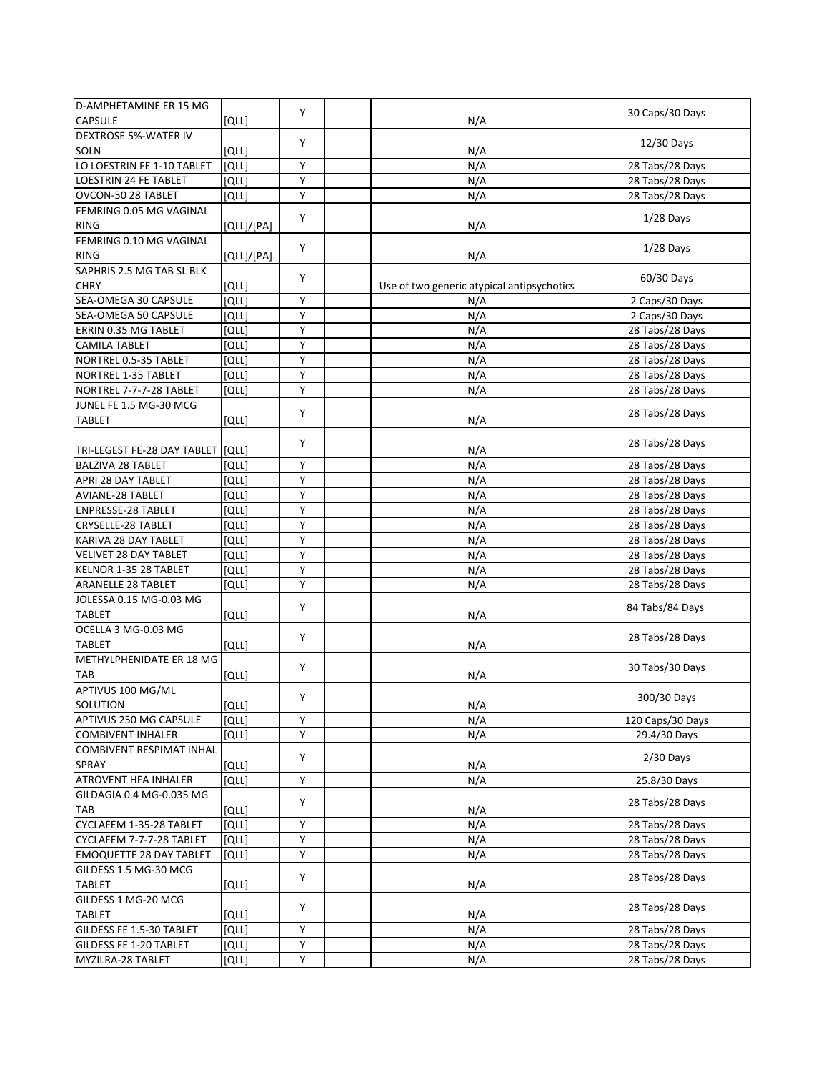| <b>D-AMPHETAMINE ER 15 MG</b>   |            | Y |                                            | 30 Caps/30 Days                    |
|---------------------------------|------------|---|--------------------------------------------|------------------------------------|
| <b>CAPSULE</b>                  | [QLL]      |   | N/A                                        |                                    |
| <b>DEXTROSE 5%-WATER IV</b>     |            | Y |                                            | 12/30 Days                         |
| SOLN                            | וֹםנו      |   | N/A                                        |                                    |
| LO LOESTRIN FE 1-10 TABLET      | [QLL]      | Υ | N/A                                        | 28 Tabs/28 Days                    |
| <b>LOESTRIN 24 FE TABLET</b>    | וֹםנו      | Y | N/A                                        | 28 Tabs/28 Days                    |
| OVCON-50 28 TABLET              | וֹםנו      | Y | N/A                                        | 28 Tabs/28 Days                    |
| FEMRING 0.05 MG VAGINAL         |            | Υ |                                            |                                    |
| <b>RING</b>                     | [QLL]/[PA] |   | N/A                                        | $1/28$ Days                        |
| FEMRING 0.10 MG VAGINAL         |            |   |                                            |                                    |
| <b>RING</b>                     | [QLL]/[PA] | Y | N/A                                        | $1/28$ Days                        |
| SAPHRIS 2.5 MG TAB SL BLK       |            |   |                                            |                                    |
| <b>CHRY</b>                     | [QLL]      | Υ | Use of two generic atypical antipsychotics | 60/30 Days                         |
| SEA-OMEGA 30 CAPSULE            | וֹםנו      | Y | N/A                                        | 2 Caps/30 Days                     |
| SEA-OMEGA 50 CAPSULE            | [QLL]      | Υ | N/A                                        | 2 Caps/30 Days                     |
| ERRIN 0.35 MG TABLET            | [QLL]      | Y | $N/\overline{A}$                           | 28 Tabs/28 Days                    |
| <b>CAMILA TABLET</b>            | [QLL]      | Y | N/A                                        | 28 Tabs/28 Days                    |
| NORTREL 0.5-35 TABLET           | וֹםנו      | Υ | N/A                                        | 28 Tabs/28 Days                    |
| NORTREL 1-35 TABLET             | וֹםנו      | Y | N/A                                        | 28 Tabs/28 Days                    |
| NORTREL 7-7-7-28 TABLET         | וֹםנו      | Y | N/A                                        | 28 Tabs/28 Days                    |
| JUNEL FE 1.5 MG-30 MCG          |            |   |                                            |                                    |
| <b>TABLET</b>                   | [QLL]      | Y | N/A                                        | 28 Tabs/28 Days                    |
|                                 |            |   |                                            |                                    |
| TRI-LEGEST FE-28 DAY TABLET     | [QLL]      | Y | N/A                                        | 28 Tabs/28 Days                    |
| <b>BALZIVA 28 TABLET</b>        | [QLL]      | Υ | N/A                                        | 28 Tabs/28 Days                    |
| APRI 28 DAY TABLET              | וֹםנו      | Υ | N/A                                        | 28 Tabs/28 Days                    |
| AVIANE-28 TABLET                | וֹםנו      | Υ | N/A                                        | 28 Tabs/28 Days                    |
| <b>ENPRESSE-28 TABLET</b>       | [QLL]      | Υ | N/A                                        |                                    |
| <b>CRYSELLE-28 TABLET</b>       | [QLL]      | Y | N/A                                        | 28 Tabs/28 Days<br>28 Tabs/28 Days |
| KARIVA 28 DAY TABLET            |            | Y |                                            |                                    |
|                                 | [QLL]      |   | N/A                                        | 28 Tabs/28 Days                    |
| VELIVET 28 DAY TABLET           | [QLL]      | Y | N/A                                        | 28 Tabs/28 Days                    |
| KELNOR 1-35 28 TABLET           | וֹםנו      | Υ | N/A                                        | 28 Tabs/28 Days                    |
| ARANELLE 28 TABLET              | וֹםנו      | Υ | N/A                                        | 28 Tabs/28 Days                    |
| JOLESSA 0.15 MG-0.03 MG         |            | Y |                                            | 84 Tabs/84 Days                    |
| <b>TABLET</b>                   | [QLL]      |   | N/A                                        |                                    |
| OCELLA 3 MG-0.03 MG             |            | Y |                                            | 28 Tabs/28 Days                    |
| <b>TABLET</b>                   | [QLL]      |   | N/A                                        |                                    |
| METHYLPHENIDATE ER 18 MG        |            | Υ |                                            | 30 Tabs/30 Days                    |
| TAB                             | וֹםנו      |   | N/A                                        |                                    |
| APTIVUS 100 MG/ML               |            | Υ |                                            | 300/30 Days                        |
| SOLUTION                        | [QLL]      |   | N/A                                        |                                    |
| APTIVUS 250 MG CAPSULE          | [QLL]      | Υ | N/A                                        | 120 Caps/30 Days                   |
| <b>COMBIVENT INHALER</b>        | [QLL]      | Y | N/A                                        | 29.4/30 Days                       |
| <b>COMBIVENT RESPIMAT INHAL</b> |            | Υ |                                            | $2/30$ Days                        |
| SPRAY                           | [QLL]      |   | N/A                                        |                                    |
| <b>ATROVENT HFA INHALER</b>     | וֹםנו      | Υ | N/A                                        | 25.8/30 Days                       |
| GILDAGIA 0.4 MG-0.035 MG        |            |   |                                            |                                    |
| TAB                             | [QLL]      | Y | N/A                                        | 28 Tabs/28 Days                    |
| CYCLAFEM 1-35-28 TABLET         | [QLL]      | Υ | N/A                                        | 28 Tabs/28 Days                    |
| CYCLAFEM 7-7-7-28 TABLET        | וֹםנו      | Υ | N/A                                        | 28 Tabs/28 Days                    |
| <b>EMOQUETTE 28 DAY TABLET</b>  | [QLL]      | Υ | N/A                                        | 28 Tabs/28 Days                    |
| GILDESS 1.5 MG-30 MCG           |            |   |                                            |                                    |
| <b>TABLET</b>                   | [QLL]      | Υ | N/A                                        | 28 Tabs/28 Days                    |
| GILDESS 1 MG-20 MCG             |            |   |                                            |                                    |
| <b>TABLET</b>                   | וֹםנו      | Υ | N/A                                        | 28 Tabs/28 Days                    |
| GILDESS FE 1.5-30 TABLET        | וֹםנו      | Υ | N/A                                        | 28 Tabs/28 Days                    |
| GILDESS FE 1-20 TABLET          | [QLL]      | Υ | N/A                                        | 28 Tabs/28 Days                    |
| MYZILRA-28 TABLET               | [QLL]      | Υ | N/A                                        | 28 Tabs/28 Days                    |
|                                 |            |   |                                            |                                    |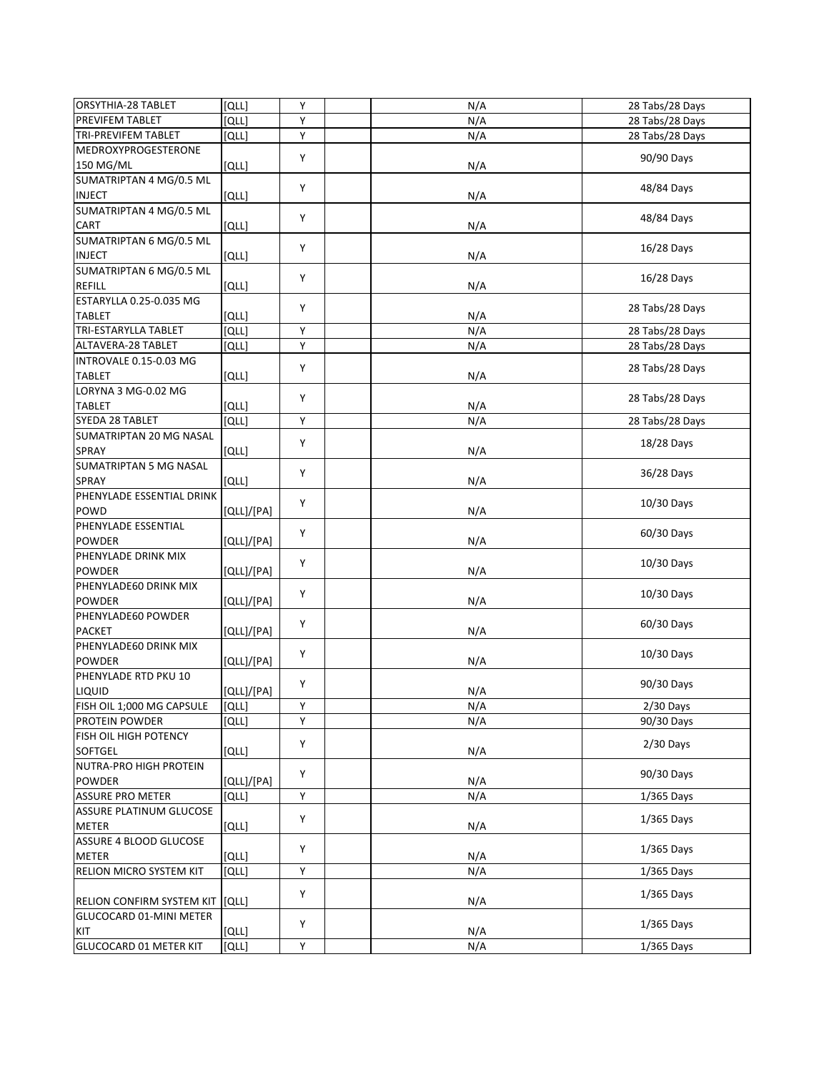| [QLL]<br>Y<br>28 Tabs/28 Days<br>PREVIFEM TABLET<br>N/A<br>Y<br>TRI-PREVIFEM TABLET<br>N/A<br>[QLL]<br>28 Tabs/28 Days<br>Y<br>90/90 Days<br>[QLL]<br>N/A<br>Υ<br>48/84 Days<br><b>INJECT</b><br>[QLL]<br>N/A<br>Y<br>48/84 Days<br>[QLL]<br>N/A<br>Υ<br>16/28 Days<br>[QLL]<br>N/A<br>Υ<br>16/28 Days<br><b>REFILL</b><br>[QLL]<br>N/A<br>ESTARYLLA 0.25-0.035 MG<br>Y<br>28 Tabs/28 Days<br><b>TABLET</b><br>וֹםנו<br>N/A<br>TRI-ESTARYLLA TABLET<br>N/A<br>[QLL]<br>Υ<br>28 Tabs/28 Days<br>Y<br>N/A<br>[QLL]<br>28 Tabs/28 Days<br>INTROVALE 0.15-0.03 MG<br>Υ<br>28 Tabs/28 Days<br>[QLL]<br>N/A<br>LORYNA 3 MG-0.02 MG<br>Υ<br>28 Tabs/28 Days<br>[QLL]<br>N/A<br>SYEDA 28 TABLET<br>Υ<br>[QLL]<br>N/A<br>28 Tabs/28 Days<br>SUMATRIPTAN 20 MG NASAL<br>Υ<br>18/28 Days<br><b>SPRAY</b><br>[QLL]<br>N/A<br>Υ<br>36/28 Days<br><b>SPRAY</b><br>[QLL]<br>N/A<br>PHENYLADE ESSENTIAL DRINK<br>Υ<br>10/30 Days<br>N/A<br>POWD<br>[QLL]/[PA]<br>PHENYLADE ESSENTIAL<br>Υ<br>60/30 Days<br><b>POWDER</b><br>[QLL]/[PA]<br>N/A<br>PHENYLADE DRINK MIX<br>Y<br>10/30 Days<br><b>POWDER</b><br>[QLL]/[PA]<br>N/A<br>PHENYLADE60 DRINK MIX<br>Υ<br>10/30 Days<br><b>POWDER</b><br>[QLL]/[PA]<br>N/A<br>PHENYLADE60 POWDER<br>Υ<br>60/30 Days<br>N/A<br><b>PACKET</b><br>[QLL]/[PA]<br>PHENYLADE60 DRINK MIX<br>Υ<br>10/30 Days<br><b>POWDER</b><br>[QLL]/[PA]<br>N/A<br>PHENYLADE RTD PKU 10<br>Υ<br>90/30 Days<br>LIQUID<br>[QLL]/[PA]<br>N/A<br>FISH OIL 1;000 MG CAPSULE<br>[QLL]<br>Y<br>N/A<br>2/30 Days<br>Υ<br>[QLL]<br>PROTEIN POWDER<br>N/A<br>90/30 Days<br>FISH OIL HIGH POTENCY<br>Υ<br>$2/30$ Days<br><b>SOFTGEL</b><br>[QLL]<br>N/A<br>NUTRA-PRO HIGH PROTEIN<br>Υ<br>90/30 Days<br>POWDER<br>[QLL]/[PA]<br>N/A<br><b>ASSURE PRO METER</b><br>Υ<br>וֹםנו<br>N/A<br>$1/365$ Days<br>ASSURE PLATINUM GLUCOSE<br>Υ<br>$1/365$ Days<br><b>METER</b><br>[QLL]<br>N/A<br>ASSURE 4 BLOOD GLUCOSE<br>Υ<br>$1/365$ Days<br><b>METER</b><br>[QLL]<br>N/A<br>Υ<br><b>RELION MICRO SYSTEM KIT</b><br>[QLL]<br>N/A<br>$1/365$ Days<br>Υ<br>$1/365$ Days<br>RELION CONFIRM SYSTEM KIT<br>[QLL]<br>N/A<br>GLUCOCARD 01-MINI METER<br>Y<br>$1/365$ Days<br>KIT<br>[QLL]<br>N/A<br>Υ | <b>ORSYTHIA-28 TABLET</b>  | וֹםנו | Υ | N/A | 28 Tabs/28 Days |
|-------------------------------------------------------------------------------------------------------------------------------------------------------------------------------------------------------------------------------------------------------------------------------------------------------------------------------------------------------------------------------------------------------------------------------------------------------------------------------------------------------------------------------------------------------------------------------------------------------------------------------------------------------------------------------------------------------------------------------------------------------------------------------------------------------------------------------------------------------------------------------------------------------------------------------------------------------------------------------------------------------------------------------------------------------------------------------------------------------------------------------------------------------------------------------------------------------------------------------------------------------------------------------------------------------------------------------------------------------------------------------------------------------------------------------------------------------------------------------------------------------------------------------------------------------------------------------------------------------------------------------------------------------------------------------------------------------------------------------------------------------------------------------------------------------------------------------------------------------------------------------------------------------------------------------------------------------------------------------------------------------------------------------------------------------------------------------------------------------------------------------------------------------------------------------|----------------------------|-------|---|-----|-----------------|
|                                                                                                                                                                                                                                                                                                                                                                                                                                                                                                                                                                                                                                                                                                                                                                                                                                                                                                                                                                                                                                                                                                                                                                                                                                                                                                                                                                                                                                                                                                                                                                                                                                                                                                                                                                                                                                                                                                                                                                                                                                                                                                                                                                               |                            |       |   |     |                 |
|                                                                                                                                                                                                                                                                                                                                                                                                                                                                                                                                                                                                                                                                                                                                                                                                                                                                                                                                                                                                                                                                                                                                                                                                                                                                                                                                                                                                                                                                                                                                                                                                                                                                                                                                                                                                                                                                                                                                                                                                                                                                                                                                                                               |                            |       |   |     |                 |
|                                                                                                                                                                                                                                                                                                                                                                                                                                                                                                                                                                                                                                                                                                                                                                                                                                                                                                                                                                                                                                                                                                                                                                                                                                                                                                                                                                                                                                                                                                                                                                                                                                                                                                                                                                                                                                                                                                                                                                                                                                                                                                                                                                               | <b>MEDROXYPROGESTERONE</b> |       |   |     |                 |
|                                                                                                                                                                                                                                                                                                                                                                                                                                                                                                                                                                                                                                                                                                                                                                                                                                                                                                                                                                                                                                                                                                                                                                                                                                                                                                                                                                                                                                                                                                                                                                                                                                                                                                                                                                                                                                                                                                                                                                                                                                                                                                                                                                               | 150 MG/ML                  |       |   |     |                 |
|                                                                                                                                                                                                                                                                                                                                                                                                                                                                                                                                                                                                                                                                                                                                                                                                                                                                                                                                                                                                                                                                                                                                                                                                                                                                                                                                                                                                                                                                                                                                                                                                                                                                                                                                                                                                                                                                                                                                                                                                                                                                                                                                                                               | SUMATRIPTAN 4 MG/0.5 ML    |       |   |     |                 |
|                                                                                                                                                                                                                                                                                                                                                                                                                                                                                                                                                                                                                                                                                                                                                                                                                                                                                                                                                                                                                                                                                                                                                                                                                                                                                                                                                                                                                                                                                                                                                                                                                                                                                                                                                                                                                                                                                                                                                                                                                                                                                                                                                                               |                            |       |   |     |                 |
|                                                                                                                                                                                                                                                                                                                                                                                                                                                                                                                                                                                                                                                                                                                                                                                                                                                                                                                                                                                                                                                                                                                                                                                                                                                                                                                                                                                                                                                                                                                                                                                                                                                                                                                                                                                                                                                                                                                                                                                                                                                                                                                                                                               | SUMATRIPTAN 4 MG/0.5 ML    |       |   |     |                 |
|                                                                                                                                                                                                                                                                                                                                                                                                                                                                                                                                                                                                                                                                                                                                                                                                                                                                                                                                                                                                                                                                                                                                                                                                                                                                                                                                                                                                                                                                                                                                                                                                                                                                                                                                                                                                                                                                                                                                                                                                                                                                                                                                                                               | CART                       |       |   |     |                 |
|                                                                                                                                                                                                                                                                                                                                                                                                                                                                                                                                                                                                                                                                                                                                                                                                                                                                                                                                                                                                                                                                                                                                                                                                                                                                                                                                                                                                                                                                                                                                                                                                                                                                                                                                                                                                                                                                                                                                                                                                                                                                                                                                                                               | SUMATRIPTAN 6 MG/0.5 ML    |       |   |     |                 |
|                                                                                                                                                                                                                                                                                                                                                                                                                                                                                                                                                                                                                                                                                                                                                                                                                                                                                                                                                                                                                                                                                                                                                                                                                                                                                                                                                                                                                                                                                                                                                                                                                                                                                                                                                                                                                                                                                                                                                                                                                                                                                                                                                                               | <b>INJECT</b>              |       |   |     |                 |
|                                                                                                                                                                                                                                                                                                                                                                                                                                                                                                                                                                                                                                                                                                                                                                                                                                                                                                                                                                                                                                                                                                                                                                                                                                                                                                                                                                                                                                                                                                                                                                                                                                                                                                                                                                                                                                                                                                                                                                                                                                                                                                                                                                               | SUMATRIPTAN 6 MG/0.5 ML    |       |   |     |                 |
|                                                                                                                                                                                                                                                                                                                                                                                                                                                                                                                                                                                                                                                                                                                                                                                                                                                                                                                                                                                                                                                                                                                                                                                                                                                                                                                                                                                                                                                                                                                                                                                                                                                                                                                                                                                                                                                                                                                                                                                                                                                                                                                                                                               |                            |       |   |     |                 |
|                                                                                                                                                                                                                                                                                                                                                                                                                                                                                                                                                                                                                                                                                                                                                                                                                                                                                                                                                                                                                                                                                                                                                                                                                                                                                                                                                                                                                                                                                                                                                                                                                                                                                                                                                                                                                                                                                                                                                                                                                                                                                                                                                                               |                            |       |   |     |                 |
|                                                                                                                                                                                                                                                                                                                                                                                                                                                                                                                                                                                                                                                                                                                                                                                                                                                                                                                                                                                                                                                                                                                                                                                                                                                                                                                                                                                                                                                                                                                                                                                                                                                                                                                                                                                                                                                                                                                                                                                                                                                                                                                                                                               |                            |       |   |     |                 |
|                                                                                                                                                                                                                                                                                                                                                                                                                                                                                                                                                                                                                                                                                                                                                                                                                                                                                                                                                                                                                                                                                                                                                                                                                                                                                                                                                                                                                                                                                                                                                                                                                                                                                                                                                                                                                                                                                                                                                                                                                                                                                                                                                                               |                            |       |   |     |                 |
|                                                                                                                                                                                                                                                                                                                                                                                                                                                                                                                                                                                                                                                                                                                                                                                                                                                                                                                                                                                                                                                                                                                                                                                                                                                                                                                                                                                                                                                                                                                                                                                                                                                                                                                                                                                                                                                                                                                                                                                                                                                                                                                                                                               | ALTAVERA-28 TABLET         |       |   |     |                 |
|                                                                                                                                                                                                                                                                                                                                                                                                                                                                                                                                                                                                                                                                                                                                                                                                                                                                                                                                                                                                                                                                                                                                                                                                                                                                                                                                                                                                                                                                                                                                                                                                                                                                                                                                                                                                                                                                                                                                                                                                                                                                                                                                                                               |                            |       |   |     |                 |
|                                                                                                                                                                                                                                                                                                                                                                                                                                                                                                                                                                                                                                                                                                                                                                                                                                                                                                                                                                                                                                                                                                                                                                                                                                                                                                                                                                                                                                                                                                                                                                                                                                                                                                                                                                                                                                                                                                                                                                                                                                                                                                                                                                               | <b>TABLET</b>              |       |   |     |                 |
|                                                                                                                                                                                                                                                                                                                                                                                                                                                                                                                                                                                                                                                                                                                                                                                                                                                                                                                                                                                                                                                                                                                                                                                                                                                                                                                                                                                                                                                                                                                                                                                                                                                                                                                                                                                                                                                                                                                                                                                                                                                                                                                                                                               |                            |       |   |     |                 |
|                                                                                                                                                                                                                                                                                                                                                                                                                                                                                                                                                                                                                                                                                                                                                                                                                                                                                                                                                                                                                                                                                                                                                                                                                                                                                                                                                                                                                                                                                                                                                                                                                                                                                                                                                                                                                                                                                                                                                                                                                                                                                                                                                                               | <b>TABLET</b>              |       |   |     |                 |
|                                                                                                                                                                                                                                                                                                                                                                                                                                                                                                                                                                                                                                                                                                                                                                                                                                                                                                                                                                                                                                                                                                                                                                                                                                                                                                                                                                                                                                                                                                                                                                                                                                                                                                                                                                                                                                                                                                                                                                                                                                                                                                                                                                               |                            |       |   |     |                 |
|                                                                                                                                                                                                                                                                                                                                                                                                                                                                                                                                                                                                                                                                                                                                                                                                                                                                                                                                                                                                                                                                                                                                                                                                                                                                                                                                                                                                                                                                                                                                                                                                                                                                                                                                                                                                                                                                                                                                                                                                                                                                                                                                                                               |                            |       |   |     |                 |
|                                                                                                                                                                                                                                                                                                                                                                                                                                                                                                                                                                                                                                                                                                                                                                                                                                                                                                                                                                                                                                                                                                                                                                                                                                                                                                                                                                                                                                                                                                                                                                                                                                                                                                                                                                                                                                                                                                                                                                                                                                                                                                                                                                               |                            |       |   |     |                 |
|                                                                                                                                                                                                                                                                                                                                                                                                                                                                                                                                                                                                                                                                                                                                                                                                                                                                                                                                                                                                                                                                                                                                                                                                                                                                                                                                                                                                                                                                                                                                                                                                                                                                                                                                                                                                                                                                                                                                                                                                                                                                                                                                                                               | SUMATRIPTAN 5 MG NASAL     |       |   |     |                 |
|                                                                                                                                                                                                                                                                                                                                                                                                                                                                                                                                                                                                                                                                                                                                                                                                                                                                                                                                                                                                                                                                                                                                                                                                                                                                                                                                                                                                                                                                                                                                                                                                                                                                                                                                                                                                                                                                                                                                                                                                                                                                                                                                                                               |                            |       |   |     |                 |
|                                                                                                                                                                                                                                                                                                                                                                                                                                                                                                                                                                                                                                                                                                                                                                                                                                                                                                                                                                                                                                                                                                                                                                                                                                                                                                                                                                                                                                                                                                                                                                                                                                                                                                                                                                                                                                                                                                                                                                                                                                                                                                                                                                               |                            |       |   |     |                 |
|                                                                                                                                                                                                                                                                                                                                                                                                                                                                                                                                                                                                                                                                                                                                                                                                                                                                                                                                                                                                                                                                                                                                                                                                                                                                                                                                                                                                                                                                                                                                                                                                                                                                                                                                                                                                                                                                                                                                                                                                                                                                                                                                                                               |                            |       |   |     |                 |
|                                                                                                                                                                                                                                                                                                                                                                                                                                                                                                                                                                                                                                                                                                                                                                                                                                                                                                                                                                                                                                                                                                                                                                                                                                                                                                                                                                                                                                                                                                                                                                                                                                                                                                                                                                                                                                                                                                                                                                                                                                                                                                                                                                               |                            |       |   |     |                 |
|                                                                                                                                                                                                                                                                                                                                                                                                                                                                                                                                                                                                                                                                                                                                                                                                                                                                                                                                                                                                                                                                                                                                                                                                                                                                                                                                                                                                                                                                                                                                                                                                                                                                                                                                                                                                                                                                                                                                                                                                                                                                                                                                                                               |                            |       |   |     |                 |
|                                                                                                                                                                                                                                                                                                                                                                                                                                                                                                                                                                                                                                                                                                                                                                                                                                                                                                                                                                                                                                                                                                                                                                                                                                                                                                                                                                                                                                                                                                                                                                                                                                                                                                                                                                                                                                                                                                                                                                                                                                                                                                                                                                               |                            |       |   |     |                 |
|                                                                                                                                                                                                                                                                                                                                                                                                                                                                                                                                                                                                                                                                                                                                                                                                                                                                                                                                                                                                                                                                                                                                                                                                                                                                                                                                                                                                                                                                                                                                                                                                                                                                                                                                                                                                                                                                                                                                                                                                                                                                                                                                                                               |                            |       |   |     |                 |
|                                                                                                                                                                                                                                                                                                                                                                                                                                                                                                                                                                                                                                                                                                                                                                                                                                                                                                                                                                                                                                                                                                                                                                                                                                                                                                                                                                                                                                                                                                                                                                                                                                                                                                                                                                                                                                                                                                                                                                                                                                                                                                                                                                               |                            |       |   |     |                 |
|                                                                                                                                                                                                                                                                                                                                                                                                                                                                                                                                                                                                                                                                                                                                                                                                                                                                                                                                                                                                                                                                                                                                                                                                                                                                                                                                                                                                                                                                                                                                                                                                                                                                                                                                                                                                                                                                                                                                                                                                                                                                                                                                                                               |                            |       |   |     |                 |
|                                                                                                                                                                                                                                                                                                                                                                                                                                                                                                                                                                                                                                                                                                                                                                                                                                                                                                                                                                                                                                                                                                                                                                                                                                                                                                                                                                                                                                                                                                                                                                                                                                                                                                                                                                                                                                                                                                                                                                                                                                                                                                                                                                               |                            |       |   |     |                 |
|                                                                                                                                                                                                                                                                                                                                                                                                                                                                                                                                                                                                                                                                                                                                                                                                                                                                                                                                                                                                                                                                                                                                                                                                                                                                                                                                                                                                                                                                                                                                                                                                                                                                                                                                                                                                                                                                                                                                                                                                                                                                                                                                                                               |                            |       |   |     |                 |
|                                                                                                                                                                                                                                                                                                                                                                                                                                                                                                                                                                                                                                                                                                                                                                                                                                                                                                                                                                                                                                                                                                                                                                                                                                                                                                                                                                                                                                                                                                                                                                                                                                                                                                                                                                                                                                                                                                                                                                                                                                                                                                                                                                               |                            |       |   |     |                 |
|                                                                                                                                                                                                                                                                                                                                                                                                                                                                                                                                                                                                                                                                                                                                                                                                                                                                                                                                                                                                                                                                                                                                                                                                                                                                                                                                                                                                                                                                                                                                                                                                                                                                                                                                                                                                                                                                                                                                                                                                                                                                                                                                                                               |                            |       |   |     |                 |
|                                                                                                                                                                                                                                                                                                                                                                                                                                                                                                                                                                                                                                                                                                                                                                                                                                                                                                                                                                                                                                                                                                                                                                                                                                                                                                                                                                                                                                                                                                                                                                                                                                                                                                                                                                                                                                                                                                                                                                                                                                                                                                                                                                               |                            |       |   |     |                 |
|                                                                                                                                                                                                                                                                                                                                                                                                                                                                                                                                                                                                                                                                                                                                                                                                                                                                                                                                                                                                                                                                                                                                                                                                                                                                                                                                                                                                                                                                                                                                                                                                                                                                                                                                                                                                                                                                                                                                                                                                                                                                                                                                                                               |                            |       |   |     |                 |
|                                                                                                                                                                                                                                                                                                                                                                                                                                                                                                                                                                                                                                                                                                                                                                                                                                                                                                                                                                                                                                                                                                                                                                                                                                                                                                                                                                                                                                                                                                                                                                                                                                                                                                                                                                                                                                                                                                                                                                                                                                                                                                                                                                               |                            |       |   |     |                 |
|                                                                                                                                                                                                                                                                                                                                                                                                                                                                                                                                                                                                                                                                                                                                                                                                                                                                                                                                                                                                                                                                                                                                                                                                                                                                                                                                                                                                                                                                                                                                                                                                                                                                                                                                                                                                                                                                                                                                                                                                                                                                                                                                                                               |                            |       |   |     |                 |
|                                                                                                                                                                                                                                                                                                                                                                                                                                                                                                                                                                                                                                                                                                                                                                                                                                                                                                                                                                                                                                                                                                                                                                                                                                                                                                                                                                                                                                                                                                                                                                                                                                                                                                                                                                                                                                                                                                                                                                                                                                                                                                                                                                               |                            |       |   |     |                 |
|                                                                                                                                                                                                                                                                                                                                                                                                                                                                                                                                                                                                                                                                                                                                                                                                                                                                                                                                                                                                                                                                                                                                                                                                                                                                                                                                                                                                                                                                                                                                                                                                                                                                                                                                                                                                                                                                                                                                                                                                                                                                                                                                                                               |                            |       |   |     |                 |
|                                                                                                                                                                                                                                                                                                                                                                                                                                                                                                                                                                                                                                                                                                                                                                                                                                                                                                                                                                                                                                                                                                                                                                                                                                                                                                                                                                                                                                                                                                                                                                                                                                                                                                                                                                                                                                                                                                                                                                                                                                                                                                                                                                               |                            |       |   |     |                 |
|                                                                                                                                                                                                                                                                                                                                                                                                                                                                                                                                                                                                                                                                                                                                                                                                                                                                                                                                                                                                                                                                                                                                                                                                                                                                                                                                                                                                                                                                                                                                                                                                                                                                                                                                                                                                                                                                                                                                                                                                                                                                                                                                                                               |                            |       |   |     |                 |
|                                                                                                                                                                                                                                                                                                                                                                                                                                                                                                                                                                                                                                                                                                                                                                                                                                                                                                                                                                                                                                                                                                                                                                                                                                                                                                                                                                                                                                                                                                                                                                                                                                                                                                                                                                                                                                                                                                                                                                                                                                                                                                                                                                               |                            |       |   |     |                 |
|                                                                                                                                                                                                                                                                                                                                                                                                                                                                                                                                                                                                                                                                                                                                                                                                                                                                                                                                                                                                                                                                                                                                                                                                                                                                                                                                                                                                                                                                                                                                                                                                                                                                                                                                                                                                                                                                                                                                                                                                                                                                                                                                                                               |                            |       |   |     |                 |
|                                                                                                                                                                                                                                                                                                                                                                                                                                                                                                                                                                                                                                                                                                                                                                                                                                                                                                                                                                                                                                                                                                                                                                                                                                                                                                                                                                                                                                                                                                                                                                                                                                                                                                                                                                                                                                                                                                                                                                                                                                                                                                                                                                               |                            |       |   |     |                 |
|                                                                                                                                                                                                                                                                                                                                                                                                                                                                                                                                                                                                                                                                                                                                                                                                                                                                                                                                                                                                                                                                                                                                                                                                                                                                                                                                                                                                                                                                                                                                                                                                                                                                                                                                                                                                                                                                                                                                                                                                                                                                                                                                                                               |                            |       |   |     |                 |
|                                                                                                                                                                                                                                                                                                                                                                                                                                                                                                                                                                                                                                                                                                                                                                                                                                                                                                                                                                                                                                                                                                                                                                                                                                                                                                                                                                                                                                                                                                                                                                                                                                                                                                                                                                                                                                                                                                                                                                                                                                                                                                                                                                               |                            |       |   |     |                 |
|                                                                                                                                                                                                                                                                                                                                                                                                                                                                                                                                                                                                                                                                                                                                                                                                                                                                                                                                                                                                                                                                                                                                                                                                                                                                                                                                                                                                                                                                                                                                                                                                                                                                                                                                                                                                                                                                                                                                                                                                                                                                                                                                                                               |                            |       |   |     |                 |
|                                                                                                                                                                                                                                                                                                                                                                                                                                                                                                                                                                                                                                                                                                                                                                                                                                                                                                                                                                                                                                                                                                                                                                                                                                                                                                                                                                                                                                                                                                                                                                                                                                                                                                                                                                                                                                                                                                                                                                                                                                                                                                                                                                               |                            |       |   |     |                 |
|                                                                                                                                                                                                                                                                                                                                                                                                                                                                                                                                                                                                                                                                                                                                                                                                                                                                                                                                                                                                                                                                                                                                                                                                                                                                                                                                                                                                                                                                                                                                                                                                                                                                                                                                                                                                                                                                                                                                                                                                                                                                                                                                                                               |                            |       |   |     |                 |
|                                                                                                                                                                                                                                                                                                                                                                                                                                                                                                                                                                                                                                                                                                                                                                                                                                                                                                                                                                                                                                                                                                                                                                                                                                                                                                                                                                                                                                                                                                                                                                                                                                                                                                                                                                                                                                                                                                                                                                                                                                                                                                                                                                               |                            |       |   |     |                 |
|                                                                                                                                                                                                                                                                                                                                                                                                                                                                                                                                                                                                                                                                                                                                                                                                                                                                                                                                                                                                                                                                                                                                                                                                                                                                                                                                                                                                                                                                                                                                                                                                                                                                                                                                                                                                                                                                                                                                                                                                                                                                                                                                                                               | GLUCOCARD 01 METER KIT     | [QLL] |   | N/A | 1/365 Days      |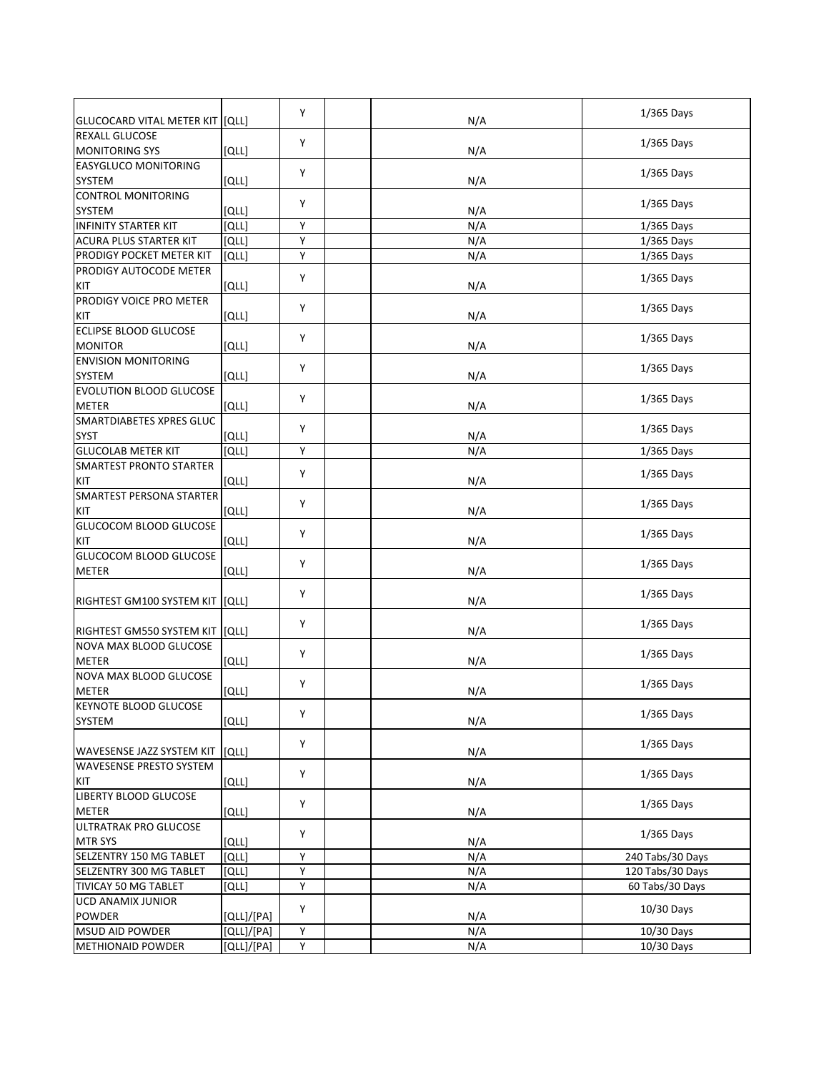| GLUCOCARD VITAL METER KIT  [QLL]               |              | Y | N/A | $1/365$ Days     |
|------------------------------------------------|--------------|---|-----|------------------|
| <b>REXALL GLUCOSE</b><br><b>MONITORING SYS</b> |              | Y |     | 1/365 Days       |
|                                                | [QLL]        |   | N/A |                  |
| <b>EASYGLUCO MONITORING</b><br><b>SYSTEM</b>   |              | Y |     | $1/365$ Days     |
| <b>CONTROL MONITORING</b>                      | [QLL]        |   | N/A |                  |
| SYSTEM                                         | [QLL]        | Y | N/A | $1/365$ Days     |
| <b>INFINITY STARTER KIT</b>                    | <b>[QLL]</b> | Υ | N/A | $1/365$ Days     |
| ACURA PLUS STARTER KIT                         | [QLL]        | Y | N/A | $1/365$ Days     |
| PRODIGY POCKET METER KIT                       | [QLL]        | Y | N/A | $1/365$ Days     |
| PRODIGY AUTOCODE METER                         |              |   |     |                  |
| KIT                                            | [QLL]        | Y | N/A | $1/365$ Days     |
| PRODIGY VOICE PRO METER                        |              |   |     |                  |
| KIT                                            | [QLL]        | Y | N/A | $1/365$ Days     |
| ECLIPSE BLOOD GLUCOSE                          |              |   |     |                  |
| <b>MONITOR</b>                                 |              | Y |     | 1/365 Days       |
| <b>ENVISION MONITORING</b>                     | [QLL]        |   | N/A |                  |
|                                                |              | Υ |     | 1/365 Days       |
| SYSTEM                                         | [QLL]        |   | N/A |                  |
| <b>EVOLUTION BLOOD GLUCOSE</b>                 |              | Y |     | $1/365$ Days     |
| METER                                          | [QLL]        |   | N/A |                  |
| <b>SMARTDIABETES XPRES GLUC</b>                |              | Y |     | $1/365$ Days     |
| <b>SYST</b>                                    | [QLL]        |   | N/A |                  |
| <b>GLUCOLAB METER KIT</b>                      | <b>[QLL]</b> | Y | N/A | $1/365$ Days     |
| <b>SMARTEST PRONTO STARTER</b>                 |              | Υ |     | $1/365$ Days     |
| KIT                                            | [QLL]        |   | N/A |                  |
| <b>SMARTEST PERSONA STARTER</b>                |              | Y |     | $1/365$ Days     |
| KIT                                            | [QLL]        |   | N/A |                  |
| GLUCOCOM BLOOD GLUCOSE                         |              | Y |     |                  |
| KIT                                            | [QLL]        |   | N/A | $1/365$ Days     |
| GLUCOCOM BLOOD GLUCOSE                         |              | Y |     |                  |
| <b>METER</b>                                   | [QLL]        |   | N/A | $1/365$ Days     |
|                                                |              |   |     |                  |
| RIGHTEST GM100 SYSTEM KIT                      | [QLL]        | Y | N/A | $1/365$ Days     |
|                                                |              |   |     |                  |
| RIGHTEST GM550 SYSTEM KIT   [QLL]              |              | Y | N/A | $1/365$ Days     |
| NOVA MAX BLOOD GLUCOSE                         |              |   |     |                  |
| <b>METER</b>                                   | [QLL]        | Y | N/A | $1/365$ Days     |
| NOVA MAX BLOOD GLUCOSE                         |              |   |     |                  |
| METER                                          | [QLL]        | Y | N/A | $1/365$ Days     |
| <b>KEYNOTE BLOOD GLUCOSE</b>                   |              |   |     |                  |
| SYSTEM                                         | [QLL]        | Y | N/A | $1/365$ Days     |
|                                                |              |   |     |                  |
| WAVESENSE JAZZ SYSTEM KIT                      | [QLL]        | Y | N/A | $1/365$ Days     |
| <b>WAVESENSE PRESTO SYSTEM</b>                 |              |   |     |                  |
| KIT                                            | [QLL]        | Υ | N/A | $1/365$ Days     |
| LIBERTY BLOOD GLUCOSE                          |              |   |     |                  |
| <b>METER</b>                                   | [QLL]        | Y | N/A | $1/365$ Days     |
| ULTRATRAK PRO GLUCOSE                          |              |   |     |                  |
| <b>MTR SYS</b>                                 | [QLL]        | Υ | N/A | $1/365$ Days     |
| SELZENTRY 150 MG TABLET                        | [QLL]        | Υ | N/A | 240 Tabs/30 Days |
| SELZENTRY 300 MG TABLET                        | [QLL]        | Υ | N/A | 120 Tabs/30 Days |
| TIVICAY 50 MG TABLET                           | [QLL]        | Υ | N/A | 60 Tabs/30 Days  |
|                                                |              |   |     |                  |
| UCD ANAMIX JUNIOR<br><b>POWDER</b>             |              | Y |     | 10/30 Days       |
|                                                | [QLL]/[PA]   | Y | N/A |                  |
| MSUD AID POWDER                                | [QLL]/[PA]   | Y | N/A | 10/30 Days       |
| METHIONAID POWDER                              | [QLL]/[PA]   |   | N/A | 10/30 Days       |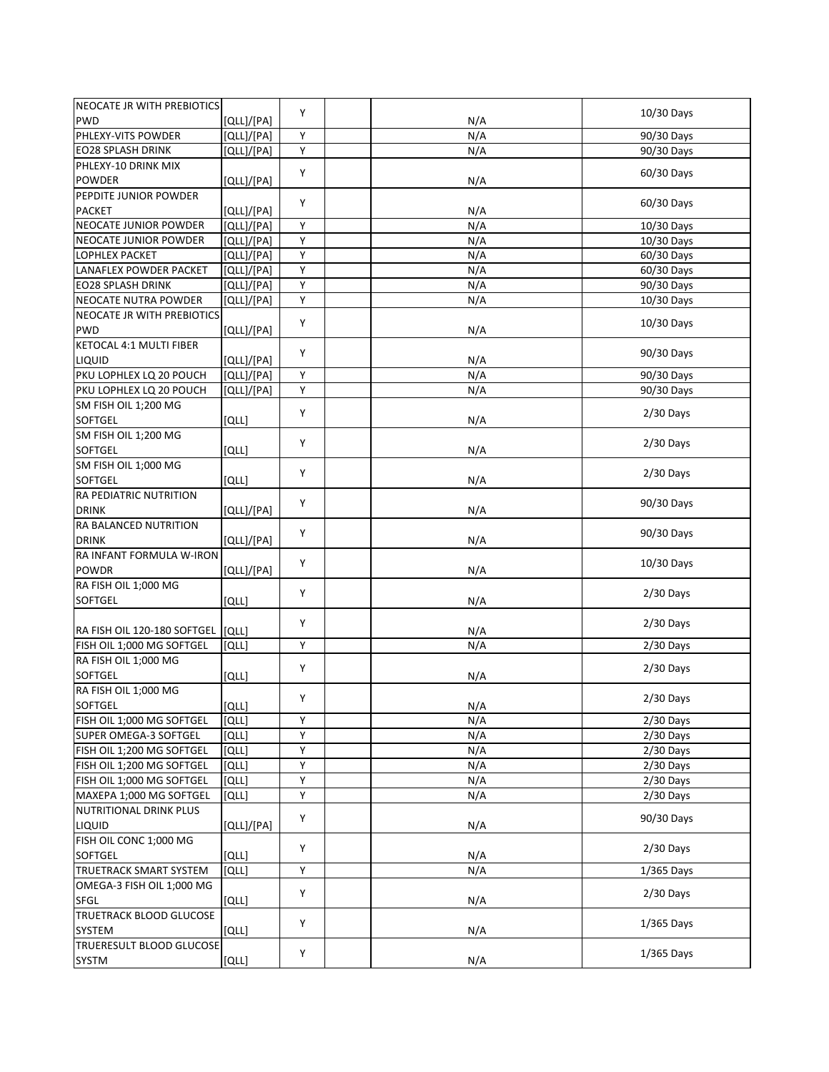| NEOCATE JR WITH PREBIOTICS      |            |   |     |              |
|---------------------------------|------------|---|-----|--------------|
| <b>PWD</b>                      | [QLL]/[PA] | Y | N/A | 10/30 Days   |
| PHLEXY-VITS POWDER              | [QLL]/[PA] | Y | N/A | 90/30 Days   |
| <b>EO28 SPLASH DRINK</b>        | [QLL]/[PA] | Υ | N/A | 90/30 Days   |
| PHLEXY-10 DRINK MIX             |            |   |     |              |
| <b>POWDER</b>                   | [QLL]/[PA] | Y | N/A | 60/30 Days   |
| PEPDITE JUNIOR POWDER           |            |   |     |              |
| <b>PACKET</b>                   | [QLL]/[PA] | Y | N/A | 60/30 Days   |
| NEOCATE JUNIOR POWDER           | [QLL]/[PA] | Y | N/A | 10/30 Days   |
| NEOCATE JUNIOR POWDER           | [QLL]/[PA] | Y | N/A | 10/30 Days   |
| LOPHLEX PACKET                  | [QLL]/[PA] | Y | N/A | 60/30 Days   |
| LANAFLEX POWDER PACKET          | [QLL]/[PA] | Υ | N/A | 60/30 Days   |
| <b>EO28 SPLASH DRINK</b>        | [QLL]/[PA] | Y | N/A | 90/30 Days   |
| NEOCATE NUTRA POWDER            |            | Y |     | 10/30 Days   |
| NEOCATE JR WITH PREBIOTICS      | [QLL]/[PA] |   | N/A |              |
|                                 |            | Y |     | 10/30 Days   |
| <b>PWD</b>                      | [QLL]/[PA] |   | N/A |              |
| KETOCAL 4:1 MULTI FIBER         |            | Y |     | 90/30 Days   |
| LIQUID                          | [QLL]/[PA] |   | N/A |              |
| PKU LOPHLEX LQ 20 POUCH         | [QLL]/[PA] | Υ | N/A | 90/30 Days   |
| PKU LOPHLEX LQ 20 POUCH         | [QLL]/[PA] | Y | N/A | 90/30 Days   |
| SM FISH OIL 1;200 MG            |            | Y |     | $2/30$ Days  |
| SOFTGEL                         | [QLL]      |   | N/A |              |
| SM FISH OIL 1;200 MG            |            | Y |     | $2/30$ Days  |
| <b>SOFTGEL</b>                  | [QLL]      |   | N/A |              |
| SM FISH OIL 1;000 MG            |            | Y |     | $2/30$ Days  |
| <b>SOFTGEL</b>                  | [QLL]      |   | N/A |              |
| RA PEDIATRIC NUTRITION          |            | Y |     | 90/30 Days   |
| <b>DRINK</b>                    | [QLL]/[PA] |   | N/A |              |
| RA BALANCED NUTRITION           |            | Y |     | 90/30 Days   |
| <b>DRINK</b>                    | [QLL]/[PA] |   | N/A |              |
| RA INFANT FORMULA W-IRON        |            | Y |     | 10/30 Days   |
| <b>POWDR</b>                    | [QLL]/[PA] |   | N/A |              |
| RA FISH OIL 1;000 MG            |            | Y |     |              |
| <b>SOFTGEL</b>                  | [QLL]      |   | N/A | $2/30$ Days  |
|                                 |            |   |     |              |
| RA FISH OIL 120-180 SOFTGEL     | [QLL]      | Y | N/A | $2/30$ Days  |
| FISH OIL 1;000 MG SOFTGEL       | [QLL]      | Y | N/A | $2/30$ Days  |
| RA FISH OIL 1;000 MG            |            |   |     |              |
| <b>SOFTGEL</b>                  | [QLL]      | Y | N/A | $2/30$ Days  |
| RA FISH OIL 1;000 MG            |            |   |     |              |
| SOFTGEL                         | [QLL]      | Y | N/A | $2/30$ Days  |
| FISH OIL 1;000 MG SOFTGEL       | [QLL]      | Υ | N/A | $2/30$ Days  |
| SUPER OMEGA-3 SOFTGEL           | [QLL]      | Υ | N/A | $2/30$ Days  |
| FISH OIL 1;200 MG SOFTGEL       | [QLL]      | Υ | N/A | $2/30$ Days  |
| FISH OIL 1;200 MG SOFTGEL       | [QLL]      | Υ | N/A | 2/30 Days    |
| FISH OIL 1;000 MG SOFTGEL       | [QLL]      | Υ | N/A | $2/30$ Days  |
| MAXEPA 1;000 MG SOFTGEL         | [QLL]      | Υ | N/A | $2/30$ Days  |
| <b>NUTRITIONAL DRINK PLUS</b>   |            |   |     |              |
| LIQUID                          | [QLL]/[PA] | Y | N/A | 90/30 Days   |
| FISH OIL CONC 1;000 MG          |            |   |     |              |
| SOFTGEL                         | [QLL]      | Υ | N/A | $2/30$ Days  |
|                                 |            |   |     |              |
| <b>TRUETRACK SMART SYSTEM</b>   | [QLL]      | Υ | N/A | $1/365$ Days |
| OMEGA-3 FISH OIL 1;000 MG       |            | Y |     | $2/30$ Days  |
| SFGL                            | [QLL]      |   | N/A |              |
| <b>TRUETRACK BLOOD GLUCOSE</b>  |            | Υ |     | $1/365$ Days |
| SYSTEM                          | [QLL]      |   | N/A |              |
| <b>TRUERESULT BLOOD GLUCOSE</b> |            | Υ |     | $1/365$ Days |
| <b>SYSTM</b>                    | [QLL]      |   | N/A |              |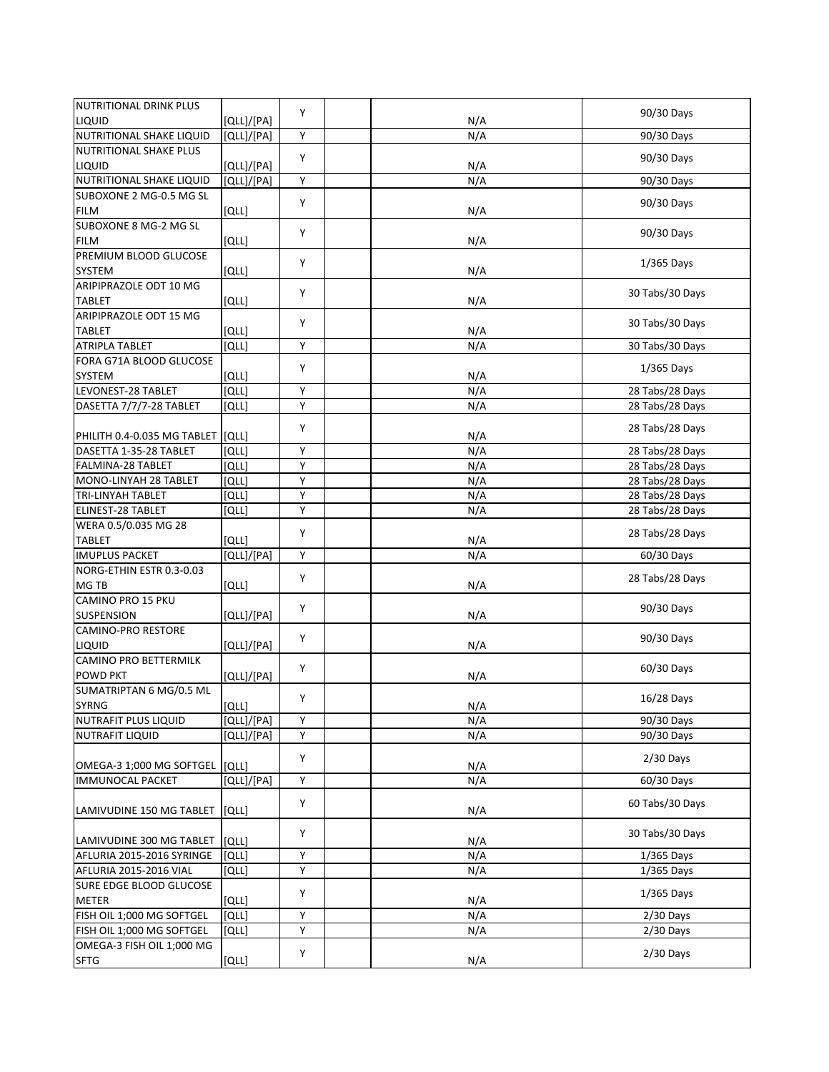| <b>NUTRITIONAL DRINK PLUS</b>                       |            |        |     |                 |
|-----------------------------------------------------|------------|--------|-----|-----------------|
| LIQUID                                              | [QLL]/[PA] | Y      | N/A | 90/30 Days      |
| NUTRITIONAL SHAKE LIQUID                            | [QLL]/[PA] | Y      | N/A | 90/30 Days      |
| NUTRITIONAL SHAKE PLUS                              |            |        |     |                 |
| LIQUID                                              | [QLL]/[PA] | Y      | N/A | 90/30 Days      |
| NUTRITIONAL SHAKE LIQUID                            | [QLL]/[PA] | Y      | N/A | 90/30 Days      |
| SUBOXONE 2 MG-0.5 MG SL                             |            |        |     |                 |
| <b>FILM</b>                                         | [QLL]      | Y      | N/A | 90/30 Days      |
| SUBOXONE 8 MG-2 MG SL                               |            |        |     |                 |
| <b>FILM</b>                                         | [QLL]      | Y      | N/A | 90/30 Days      |
| PREMIUM BLOOD GLUCOSE                               |            |        |     |                 |
| SYSTEM                                              | [QLL]      | Y      | N/A | $1/365$ Days    |
| ARIPIPRAZOLE ODT 10 MG                              |            |        |     |                 |
| <b>TABLET</b>                                       | [QLL]      | Υ      | N/A | 30 Tabs/30 Days |
| ARIPIPRAZOLE ODT 15 MG                              |            |        |     |                 |
| <b>TABLET</b>                                       | [QLL]      | Y      | N/A | 30 Tabs/30 Days |
| <b>ATRIPLA TABLET</b>                               | [QLL]      | Y      | N/A | 30 Tabs/30 Days |
| FORA G71A BLOOD GLUCOSE                             |            |        |     |                 |
| <b>SYSTEM</b>                                       | [QLL]      | Υ      | N/A | $1/365$ Days    |
| LEVONEST-28 TABLET                                  | [QLL]      | Y      | N/A | 28 Tabs/28 Days |
| DASETTA 7/7/7-28 TABLET                             | [QLL]      | Υ      | N/A | 28 Tabs/28 Days |
|                                                     |            |        |     |                 |
| PHILITH 0.4-0.035 MG TABLET                         | [QLL]      | Y      | N/A | 28 Tabs/28 Days |
| DASETTA 1-35-28 TABLET                              | [QLL]      | Υ      | N/A | 28 Tabs/28 Days |
| FALMINA-28 TABLET                                   | [QLL]      | Y      | N/A | 28 Tabs/28 Days |
| MONO-LINYAH 28 TABLET                               | [QLL]      | Υ      | N/A | 28 Tabs/28 Days |
| TRI-LINYAH TABLET                                   | [QLL]      | Υ      | N/A | 28 Tabs/28 Days |
| ELINEST-28 TABLET                                   | [QLL]      | Y      | N/A | 28 Tabs/28 Days |
| WERA 0.5/0.035 MG 28                                |            |        |     |                 |
| <b>TABLET</b>                                       | [QLL]      | Y      | N/A | 28 Tabs/28 Days |
| <b>IMUPLUS PACKET</b>                               | [QLL]/[PA] | Y      | N/A | 60/30 Days      |
| NORG-ETHIN ESTR 0.3-0.03                            |            |        |     |                 |
| MG TB                                               | [QLL]      | Y      | N/A | 28 Tabs/28 Days |
| CAMINO PRO 15 PKU                                   |            |        |     |                 |
| <b>SUSPENSION</b>                                   | [QLL]/[PA] | Y      | N/A | 90/30 Days      |
| <b>CAMINO-PRO RESTORE</b>                           |            |        |     |                 |
| LIQUID                                              | [QLL]/[PA] | Υ      | N/A | 90/30 Days      |
| <b>CAMINO PRO BETTERMILK</b>                        |            |        |     |                 |
| <b>POWD PKT</b>                                     | [QLL]/[PA] | Y      | N/A | 60/30 Days      |
| SUMATRIPTAN 6 MG/0.5 ML                             |            |        |     |                 |
| SYRNG                                               | [QLL]      | Υ      | N/A | 16/28 Days      |
| NUTRAFIT PLUS LIQUID                                | [QLL]/[PA] | Y      | N/A | 90/30 Days      |
| <b>NUTRAFIT LIQUID</b>                              | [QLL]/[PA] | Y      | N/A | 90/30 Days      |
|                                                     |            |        |     |                 |
| OMEGA-3 1;000 MG SOFTGEL                            | [QLL]      | Υ      | N/A | $2/30$ Days     |
| <b>IMMUNOCAL PACKET</b>                             | [QLL]/[PA] | Y      | N/A | 60/30 Days      |
|                                                     |            |        |     |                 |
| LAMIVUDINE 150 MG TABLET                            | [QLL]      | Y      | N/A | 60 Tabs/30 Days |
|                                                     |            |        |     |                 |
| LAMIVUDINE 300 MG TABLET                            | [QLL]      | Υ      | N/A | 30 Tabs/30 Days |
|                                                     |            |        |     |                 |
| AFLURIA 2015-2016 SYRINGE<br>AFLURIA 2015-2016 VIAL | [QLL]      | Υ<br>Υ | N/A | 1/365 Days      |
|                                                     | וֹםנו      |        | N/A | $1/365$ Days    |
| SURE EDGE BLOOD GLUCOSE                             |            | Y      |     | $1/365$ Days    |
| <b>METER</b>                                        | [QLL]      |        | N/A |                 |
| FISH OIL 1;000 MG SOFTGEL                           | [QLL]      | Υ      | N/A | $2/30$ Days     |
| FISH OIL 1;000 MG SOFTGEL                           | [QLL]      | Υ      | N/A | $2/30$ Days     |
| OMEGA-3 FISH OIL 1;000 MG                           |            | Υ      |     | $2/30$ Days     |
| <b>SFTG</b>                                         | [QLL]      |        | N/A |                 |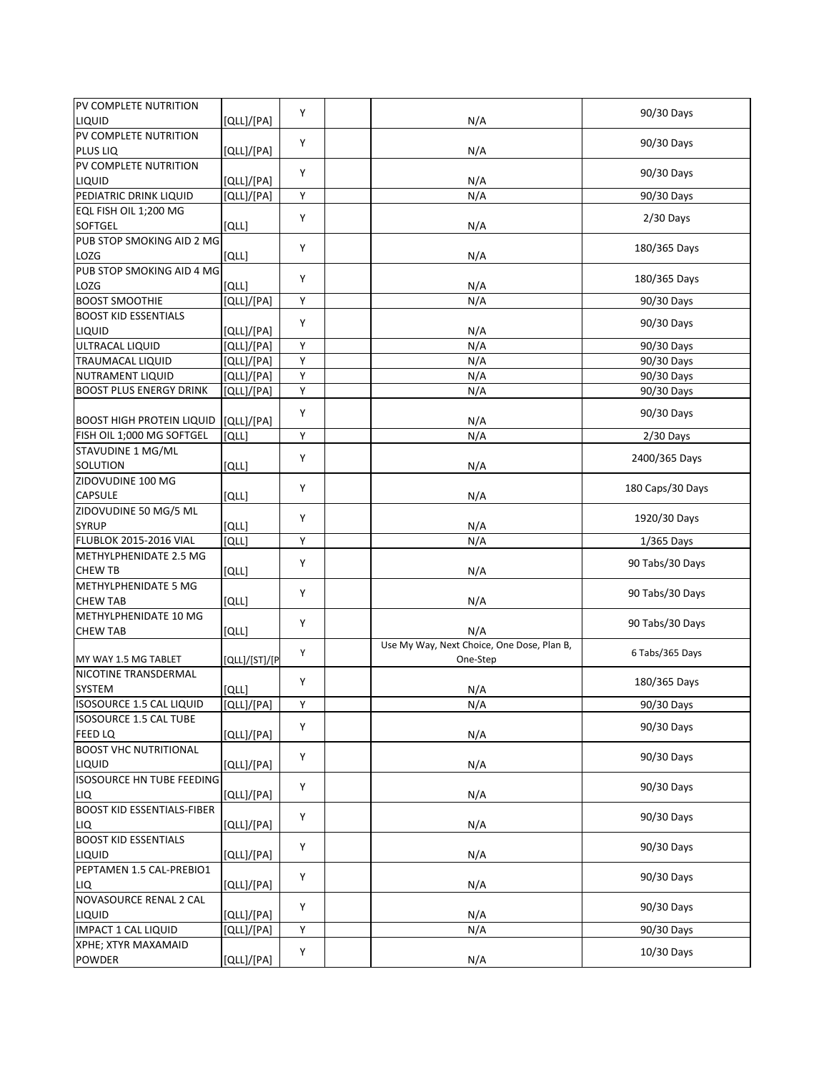| PV COMPLETE NUTRITION<br>Y<br>90/30 Days<br>PLUS LIQ<br>N/A<br>[QLL]/[PA]<br>PV COMPLETE NUTRITION<br>Y<br>90/30 Days<br>LIQUID<br>[QLL]/[PA]<br>N/A<br>PEDIATRIC DRINK LIQUID<br>[QLL]/[PA]<br>Υ<br>N/A<br>90/30 Days<br>EQL FISH OIL 1;200 MG<br>Y<br>$2/30$ Days<br>SOFTGEL<br>[QLL]<br>N/A<br>PUB STOP SMOKING AID 2 MG<br>Y<br>180/365 Days<br>[QLL]<br>N/A<br>PUB STOP SMOKING AID 4 MG<br>Y<br>180/365 Days<br>LOZG<br>וסננו<br>N/A<br><b>BOOST SMOOTHIE</b><br>[QLL]/[PA]<br>Υ<br>N/A<br>90/30 Days<br><b>BOOST KID ESSENTIALS</b><br>Y<br>90/30 Days<br>[QLL]/[PA]<br>N/A<br>ULTRACAL LIQUID<br>[QLL]/[PA]<br>Y<br>N/A<br>90/30 Days<br>TRAUMACAL LIQUID<br>Υ<br>[QLL]/[PA]<br>N/A<br>90/30 Days<br>[QLL]/[PA]<br>Υ<br>N/A<br>90/30 Days<br>Υ<br>N/A<br>[QLL]/[PA]<br>90/30 Days<br>Y<br>90/30 Days<br><b>BOOST HIGH PROTEIN LIQUID</b><br>[QLL]/[PA]<br>N/A<br>Y<br>N/A<br>FISH OIL 1;000 MG SOFTGEL<br>[QLL]<br>$2/30$ Days<br>STAVUDINE 1 MG/ML<br>Υ<br>2400/365 Days<br><b>SOLUTION</b><br>[QLL]<br>N/A<br>ZIDOVUDINE 100 MG<br>Υ<br>180 Caps/30 Days<br>CAPSULE<br>N/A<br>[QLL]<br>ZIDOVUDINE 50 MG/5 ML<br>Y<br>1920/30 Days<br><b>SYRUP</b><br>[QLL]<br>N/A<br><b>FLUBLOK 2015-2016 VIAL</b><br>N/A<br>[QLL]<br>Y<br>1/365 Days<br>METHYLPHENIDATE 2.5 MG<br>Υ<br>90 Tabs/30 Days<br><b>CHEW TB</b><br>[QLL]<br>N/A<br>METHYLPHENIDATE 5 MG<br>Y<br>90 Tabs/30 Days<br><b>CHEW TAB</b><br>[QLL]<br>N/A<br>METHYLPHENIDATE 10 MG<br>Y<br>90 Tabs/30 Days<br><b>CHEW TAB</b><br>[QLL]<br>N/A<br>Use My Way, Next Choice, One Dose, Plan B,<br>Υ<br>6 Tabs/365 Days<br>MY WAY 1.5 MG TABLET<br>One-Step<br>[QLL]/[ST]/[P<br>NICOTINE TRANSDERMAL<br>Y<br>180/365 Days<br>[QLL]<br>N/A<br>[QLL]/[PA]<br>ISOSOURCE 1.5 CAL LIQUID<br>Υ<br>N/A<br>90/30 Days<br><b>ISOSOURCE 1.5 CAL TUBE</b><br>Y<br>90/30 Days<br>FEED LQ<br>N/A<br>[QLL]/[PA]<br><b>BOOST VHC NUTRITIONAL</b><br>Υ<br>90/30 Days<br>[QLL]/[PA]<br>N/A<br><b>ISOSOURCE HN TUBE FEEDING</b><br>Y<br>90/30 Days<br>N/A<br>[QLL]/[PA]<br>Υ<br>90/30 Days<br>N/A<br>[QLL]/[PA]<br>Υ<br>90/30 Days<br>N/A<br>[QLL]/[PA]<br>Υ<br>90/30 Days<br>[QLL]/[PA]<br>N/A<br>Y<br>90/30 Days<br>[QLL]/[PA]<br>N/A<br>[QLL]/[PA]<br>Υ<br>N/A<br>90/30 Days<br>XPHE; XTYR MAXAMAID<br>10/30 Days<br>Υ<br>POWDER<br>[QLL]/[PA]<br>N/A | PV COMPLETE NUTRITION             |            | Y |     | 90/30 Days |
|-------------------------------------------------------------------------------------------------------------------------------------------------------------------------------------------------------------------------------------------------------------------------------------------------------------------------------------------------------------------------------------------------------------------------------------------------------------------------------------------------------------------------------------------------------------------------------------------------------------------------------------------------------------------------------------------------------------------------------------------------------------------------------------------------------------------------------------------------------------------------------------------------------------------------------------------------------------------------------------------------------------------------------------------------------------------------------------------------------------------------------------------------------------------------------------------------------------------------------------------------------------------------------------------------------------------------------------------------------------------------------------------------------------------------------------------------------------------------------------------------------------------------------------------------------------------------------------------------------------------------------------------------------------------------------------------------------------------------------------------------------------------------------------------------------------------------------------------------------------------------------------------------------------------------------------------------------------------------------------------------------------------------------------------------------------------------------------------------------------------------------------------------------------------------------------------------------------------------------------------------------------------------------------------------|-----------------------------------|------------|---|-----|------------|
|                                                                                                                                                                                                                                                                                                                                                                                                                                                                                                                                                                                                                                                                                                                                                                                                                                                                                                                                                                                                                                                                                                                                                                                                                                                                                                                                                                                                                                                                                                                                                                                                                                                                                                                                                                                                                                                                                                                                                                                                                                                                                                                                                                                                                                                                                                 | LIQUID                            | [QLL]/[PA] |   | N/A |            |
|                                                                                                                                                                                                                                                                                                                                                                                                                                                                                                                                                                                                                                                                                                                                                                                                                                                                                                                                                                                                                                                                                                                                                                                                                                                                                                                                                                                                                                                                                                                                                                                                                                                                                                                                                                                                                                                                                                                                                                                                                                                                                                                                                                                                                                                                                                 |                                   |            |   |     |            |
|                                                                                                                                                                                                                                                                                                                                                                                                                                                                                                                                                                                                                                                                                                                                                                                                                                                                                                                                                                                                                                                                                                                                                                                                                                                                                                                                                                                                                                                                                                                                                                                                                                                                                                                                                                                                                                                                                                                                                                                                                                                                                                                                                                                                                                                                                                 |                                   |            |   |     |            |
|                                                                                                                                                                                                                                                                                                                                                                                                                                                                                                                                                                                                                                                                                                                                                                                                                                                                                                                                                                                                                                                                                                                                                                                                                                                                                                                                                                                                                                                                                                                                                                                                                                                                                                                                                                                                                                                                                                                                                                                                                                                                                                                                                                                                                                                                                                 |                                   |            |   |     |            |
|                                                                                                                                                                                                                                                                                                                                                                                                                                                                                                                                                                                                                                                                                                                                                                                                                                                                                                                                                                                                                                                                                                                                                                                                                                                                                                                                                                                                                                                                                                                                                                                                                                                                                                                                                                                                                                                                                                                                                                                                                                                                                                                                                                                                                                                                                                 |                                   |            |   |     |            |
|                                                                                                                                                                                                                                                                                                                                                                                                                                                                                                                                                                                                                                                                                                                                                                                                                                                                                                                                                                                                                                                                                                                                                                                                                                                                                                                                                                                                                                                                                                                                                                                                                                                                                                                                                                                                                                                                                                                                                                                                                                                                                                                                                                                                                                                                                                 |                                   |            |   |     |            |
|                                                                                                                                                                                                                                                                                                                                                                                                                                                                                                                                                                                                                                                                                                                                                                                                                                                                                                                                                                                                                                                                                                                                                                                                                                                                                                                                                                                                                                                                                                                                                                                                                                                                                                                                                                                                                                                                                                                                                                                                                                                                                                                                                                                                                                                                                                 |                                   |            |   |     |            |
|                                                                                                                                                                                                                                                                                                                                                                                                                                                                                                                                                                                                                                                                                                                                                                                                                                                                                                                                                                                                                                                                                                                                                                                                                                                                                                                                                                                                                                                                                                                                                                                                                                                                                                                                                                                                                                                                                                                                                                                                                                                                                                                                                                                                                                                                                                 |                                   |            |   |     |            |
|                                                                                                                                                                                                                                                                                                                                                                                                                                                                                                                                                                                                                                                                                                                                                                                                                                                                                                                                                                                                                                                                                                                                                                                                                                                                                                                                                                                                                                                                                                                                                                                                                                                                                                                                                                                                                                                                                                                                                                                                                                                                                                                                                                                                                                                                                                 |                                   |            |   |     |            |
|                                                                                                                                                                                                                                                                                                                                                                                                                                                                                                                                                                                                                                                                                                                                                                                                                                                                                                                                                                                                                                                                                                                                                                                                                                                                                                                                                                                                                                                                                                                                                                                                                                                                                                                                                                                                                                                                                                                                                                                                                                                                                                                                                                                                                                                                                                 | LOZG                              |            |   |     |            |
|                                                                                                                                                                                                                                                                                                                                                                                                                                                                                                                                                                                                                                                                                                                                                                                                                                                                                                                                                                                                                                                                                                                                                                                                                                                                                                                                                                                                                                                                                                                                                                                                                                                                                                                                                                                                                                                                                                                                                                                                                                                                                                                                                                                                                                                                                                 |                                   |            |   |     |            |
|                                                                                                                                                                                                                                                                                                                                                                                                                                                                                                                                                                                                                                                                                                                                                                                                                                                                                                                                                                                                                                                                                                                                                                                                                                                                                                                                                                                                                                                                                                                                                                                                                                                                                                                                                                                                                                                                                                                                                                                                                                                                                                                                                                                                                                                                                                 |                                   |            |   |     |            |
|                                                                                                                                                                                                                                                                                                                                                                                                                                                                                                                                                                                                                                                                                                                                                                                                                                                                                                                                                                                                                                                                                                                                                                                                                                                                                                                                                                                                                                                                                                                                                                                                                                                                                                                                                                                                                                                                                                                                                                                                                                                                                                                                                                                                                                                                                                 |                                   |            |   |     |            |
|                                                                                                                                                                                                                                                                                                                                                                                                                                                                                                                                                                                                                                                                                                                                                                                                                                                                                                                                                                                                                                                                                                                                                                                                                                                                                                                                                                                                                                                                                                                                                                                                                                                                                                                                                                                                                                                                                                                                                                                                                                                                                                                                                                                                                                                                                                 |                                   |            |   |     |            |
|                                                                                                                                                                                                                                                                                                                                                                                                                                                                                                                                                                                                                                                                                                                                                                                                                                                                                                                                                                                                                                                                                                                                                                                                                                                                                                                                                                                                                                                                                                                                                                                                                                                                                                                                                                                                                                                                                                                                                                                                                                                                                                                                                                                                                                                                                                 | LIQUID                            |            |   |     |            |
|                                                                                                                                                                                                                                                                                                                                                                                                                                                                                                                                                                                                                                                                                                                                                                                                                                                                                                                                                                                                                                                                                                                                                                                                                                                                                                                                                                                                                                                                                                                                                                                                                                                                                                                                                                                                                                                                                                                                                                                                                                                                                                                                                                                                                                                                                                 |                                   |            |   |     |            |
|                                                                                                                                                                                                                                                                                                                                                                                                                                                                                                                                                                                                                                                                                                                                                                                                                                                                                                                                                                                                                                                                                                                                                                                                                                                                                                                                                                                                                                                                                                                                                                                                                                                                                                                                                                                                                                                                                                                                                                                                                                                                                                                                                                                                                                                                                                 |                                   |            |   |     |            |
|                                                                                                                                                                                                                                                                                                                                                                                                                                                                                                                                                                                                                                                                                                                                                                                                                                                                                                                                                                                                                                                                                                                                                                                                                                                                                                                                                                                                                                                                                                                                                                                                                                                                                                                                                                                                                                                                                                                                                                                                                                                                                                                                                                                                                                                                                                 | NUTRAMENT LIQUID                  |            |   |     |            |
|                                                                                                                                                                                                                                                                                                                                                                                                                                                                                                                                                                                                                                                                                                                                                                                                                                                                                                                                                                                                                                                                                                                                                                                                                                                                                                                                                                                                                                                                                                                                                                                                                                                                                                                                                                                                                                                                                                                                                                                                                                                                                                                                                                                                                                                                                                 | <b>BOOST PLUS ENERGY DRINK</b>    |            |   |     |            |
|                                                                                                                                                                                                                                                                                                                                                                                                                                                                                                                                                                                                                                                                                                                                                                                                                                                                                                                                                                                                                                                                                                                                                                                                                                                                                                                                                                                                                                                                                                                                                                                                                                                                                                                                                                                                                                                                                                                                                                                                                                                                                                                                                                                                                                                                                                 |                                   |            |   |     |            |
|                                                                                                                                                                                                                                                                                                                                                                                                                                                                                                                                                                                                                                                                                                                                                                                                                                                                                                                                                                                                                                                                                                                                                                                                                                                                                                                                                                                                                                                                                                                                                                                                                                                                                                                                                                                                                                                                                                                                                                                                                                                                                                                                                                                                                                                                                                 |                                   |            |   |     |            |
|                                                                                                                                                                                                                                                                                                                                                                                                                                                                                                                                                                                                                                                                                                                                                                                                                                                                                                                                                                                                                                                                                                                                                                                                                                                                                                                                                                                                                                                                                                                                                                                                                                                                                                                                                                                                                                                                                                                                                                                                                                                                                                                                                                                                                                                                                                 |                                   |            |   |     |            |
|                                                                                                                                                                                                                                                                                                                                                                                                                                                                                                                                                                                                                                                                                                                                                                                                                                                                                                                                                                                                                                                                                                                                                                                                                                                                                                                                                                                                                                                                                                                                                                                                                                                                                                                                                                                                                                                                                                                                                                                                                                                                                                                                                                                                                                                                                                 |                                   |            |   |     |            |
|                                                                                                                                                                                                                                                                                                                                                                                                                                                                                                                                                                                                                                                                                                                                                                                                                                                                                                                                                                                                                                                                                                                                                                                                                                                                                                                                                                                                                                                                                                                                                                                                                                                                                                                                                                                                                                                                                                                                                                                                                                                                                                                                                                                                                                                                                                 |                                   |            |   |     |            |
|                                                                                                                                                                                                                                                                                                                                                                                                                                                                                                                                                                                                                                                                                                                                                                                                                                                                                                                                                                                                                                                                                                                                                                                                                                                                                                                                                                                                                                                                                                                                                                                                                                                                                                                                                                                                                                                                                                                                                                                                                                                                                                                                                                                                                                                                                                 |                                   |            |   |     |            |
|                                                                                                                                                                                                                                                                                                                                                                                                                                                                                                                                                                                                                                                                                                                                                                                                                                                                                                                                                                                                                                                                                                                                                                                                                                                                                                                                                                                                                                                                                                                                                                                                                                                                                                                                                                                                                                                                                                                                                                                                                                                                                                                                                                                                                                                                                                 |                                   |            |   |     |            |
|                                                                                                                                                                                                                                                                                                                                                                                                                                                                                                                                                                                                                                                                                                                                                                                                                                                                                                                                                                                                                                                                                                                                                                                                                                                                                                                                                                                                                                                                                                                                                                                                                                                                                                                                                                                                                                                                                                                                                                                                                                                                                                                                                                                                                                                                                                 |                                   |            |   |     |            |
|                                                                                                                                                                                                                                                                                                                                                                                                                                                                                                                                                                                                                                                                                                                                                                                                                                                                                                                                                                                                                                                                                                                                                                                                                                                                                                                                                                                                                                                                                                                                                                                                                                                                                                                                                                                                                                                                                                                                                                                                                                                                                                                                                                                                                                                                                                 |                                   |            |   |     |            |
|                                                                                                                                                                                                                                                                                                                                                                                                                                                                                                                                                                                                                                                                                                                                                                                                                                                                                                                                                                                                                                                                                                                                                                                                                                                                                                                                                                                                                                                                                                                                                                                                                                                                                                                                                                                                                                                                                                                                                                                                                                                                                                                                                                                                                                                                                                 |                                   |            |   |     |            |
|                                                                                                                                                                                                                                                                                                                                                                                                                                                                                                                                                                                                                                                                                                                                                                                                                                                                                                                                                                                                                                                                                                                                                                                                                                                                                                                                                                                                                                                                                                                                                                                                                                                                                                                                                                                                                                                                                                                                                                                                                                                                                                                                                                                                                                                                                                 |                                   |            |   |     |            |
|                                                                                                                                                                                                                                                                                                                                                                                                                                                                                                                                                                                                                                                                                                                                                                                                                                                                                                                                                                                                                                                                                                                                                                                                                                                                                                                                                                                                                                                                                                                                                                                                                                                                                                                                                                                                                                                                                                                                                                                                                                                                                                                                                                                                                                                                                                 |                                   |            |   |     |            |
|                                                                                                                                                                                                                                                                                                                                                                                                                                                                                                                                                                                                                                                                                                                                                                                                                                                                                                                                                                                                                                                                                                                                                                                                                                                                                                                                                                                                                                                                                                                                                                                                                                                                                                                                                                                                                                                                                                                                                                                                                                                                                                                                                                                                                                                                                                 |                                   |            |   |     |            |
|                                                                                                                                                                                                                                                                                                                                                                                                                                                                                                                                                                                                                                                                                                                                                                                                                                                                                                                                                                                                                                                                                                                                                                                                                                                                                                                                                                                                                                                                                                                                                                                                                                                                                                                                                                                                                                                                                                                                                                                                                                                                                                                                                                                                                                                                                                 |                                   |            |   |     |            |
|                                                                                                                                                                                                                                                                                                                                                                                                                                                                                                                                                                                                                                                                                                                                                                                                                                                                                                                                                                                                                                                                                                                                                                                                                                                                                                                                                                                                                                                                                                                                                                                                                                                                                                                                                                                                                                                                                                                                                                                                                                                                                                                                                                                                                                                                                                 |                                   |            |   |     |            |
|                                                                                                                                                                                                                                                                                                                                                                                                                                                                                                                                                                                                                                                                                                                                                                                                                                                                                                                                                                                                                                                                                                                                                                                                                                                                                                                                                                                                                                                                                                                                                                                                                                                                                                                                                                                                                                                                                                                                                                                                                                                                                                                                                                                                                                                                                                 |                                   |            |   |     |            |
|                                                                                                                                                                                                                                                                                                                                                                                                                                                                                                                                                                                                                                                                                                                                                                                                                                                                                                                                                                                                                                                                                                                                                                                                                                                                                                                                                                                                                                                                                                                                                                                                                                                                                                                                                                                                                                                                                                                                                                                                                                                                                                                                                                                                                                                                                                 |                                   |            |   |     |            |
|                                                                                                                                                                                                                                                                                                                                                                                                                                                                                                                                                                                                                                                                                                                                                                                                                                                                                                                                                                                                                                                                                                                                                                                                                                                                                                                                                                                                                                                                                                                                                                                                                                                                                                                                                                                                                                                                                                                                                                                                                                                                                                                                                                                                                                                                                                 |                                   |            |   |     |            |
|                                                                                                                                                                                                                                                                                                                                                                                                                                                                                                                                                                                                                                                                                                                                                                                                                                                                                                                                                                                                                                                                                                                                                                                                                                                                                                                                                                                                                                                                                                                                                                                                                                                                                                                                                                                                                                                                                                                                                                                                                                                                                                                                                                                                                                                                                                 |                                   |            |   |     |            |
|                                                                                                                                                                                                                                                                                                                                                                                                                                                                                                                                                                                                                                                                                                                                                                                                                                                                                                                                                                                                                                                                                                                                                                                                                                                                                                                                                                                                                                                                                                                                                                                                                                                                                                                                                                                                                                                                                                                                                                                                                                                                                                                                                                                                                                                                                                 | SYSTEM                            |            |   |     |            |
|                                                                                                                                                                                                                                                                                                                                                                                                                                                                                                                                                                                                                                                                                                                                                                                                                                                                                                                                                                                                                                                                                                                                                                                                                                                                                                                                                                                                                                                                                                                                                                                                                                                                                                                                                                                                                                                                                                                                                                                                                                                                                                                                                                                                                                                                                                 |                                   |            |   |     |            |
|                                                                                                                                                                                                                                                                                                                                                                                                                                                                                                                                                                                                                                                                                                                                                                                                                                                                                                                                                                                                                                                                                                                                                                                                                                                                                                                                                                                                                                                                                                                                                                                                                                                                                                                                                                                                                                                                                                                                                                                                                                                                                                                                                                                                                                                                                                 |                                   |            |   |     |            |
|                                                                                                                                                                                                                                                                                                                                                                                                                                                                                                                                                                                                                                                                                                                                                                                                                                                                                                                                                                                                                                                                                                                                                                                                                                                                                                                                                                                                                                                                                                                                                                                                                                                                                                                                                                                                                                                                                                                                                                                                                                                                                                                                                                                                                                                                                                 |                                   |            |   |     |            |
|                                                                                                                                                                                                                                                                                                                                                                                                                                                                                                                                                                                                                                                                                                                                                                                                                                                                                                                                                                                                                                                                                                                                                                                                                                                                                                                                                                                                                                                                                                                                                                                                                                                                                                                                                                                                                                                                                                                                                                                                                                                                                                                                                                                                                                                                                                 |                                   |            |   |     |            |
|                                                                                                                                                                                                                                                                                                                                                                                                                                                                                                                                                                                                                                                                                                                                                                                                                                                                                                                                                                                                                                                                                                                                                                                                                                                                                                                                                                                                                                                                                                                                                                                                                                                                                                                                                                                                                                                                                                                                                                                                                                                                                                                                                                                                                                                                                                 | LIQUID                            |            |   |     |            |
|                                                                                                                                                                                                                                                                                                                                                                                                                                                                                                                                                                                                                                                                                                                                                                                                                                                                                                                                                                                                                                                                                                                                                                                                                                                                                                                                                                                                                                                                                                                                                                                                                                                                                                                                                                                                                                                                                                                                                                                                                                                                                                                                                                                                                                                                                                 |                                   |            |   |     |            |
|                                                                                                                                                                                                                                                                                                                                                                                                                                                                                                                                                                                                                                                                                                                                                                                                                                                                                                                                                                                                                                                                                                                                                                                                                                                                                                                                                                                                                                                                                                                                                                                                                                                                                                                                                                                                                                                                                                                                                                                                                                                                                                                                                                                                                                                                                                 | LIQ                               |            |   |     |            |
|                                                                                                                                                                                                                                                                                                                                                                                                                                                                                                                                                                                                                                                                                                                                                                                                                                                                                                                                                                                                                                                                                                                                                                                                                                                                                                                                                                                                                                                                                                                                                                                                                                                                                                                                                                                                                                                                                                                                                                                                                                                                                                                                                                                                                                                                                                 | <b>BOOST KID ESSENTIALS-FIBER</b> |            |   |     |            |
|                                                                                                                                                                                                                                                                                                                                                                                                                                                                                                                                                                                                                                                                                                                                                                                                                                                                                                                                                                                                                                                                                                                                                                                                                                                                                                                                                                                                                                                                                                                                                                                                                                                                                                                                                                                                                                                                                                                                                                                                                                                                                                                                                                                                                                                                                                 | LIQ                               |            |   |     |            |
|                                                                                                                                                                                                                                                                                                                                                                                                                                                                                                                                                                                                                                                                                                                                                                                                                                                                                                                                                                                                                                                                                                                                                                                                                                                                                                                                                                                                                                                                                                                                                                                                                                                                                                                                                                                                                                                                                                                                                                                                                                                                                                                                                                                                                                                                                                 | <b>BOOST KID ESSENTIALS</b>       |            |   |     |            |
|                                                                                                                                                                                                                                                                                                                                                                                                                                                                                                                                                                                                                                                                                                                                                                                                                                                                                                                                                                                                                                                                                                                                                                                                                                                                                                                                                                                                                                                                                                                                                                                                                                                                                                                                                                                                                                                                                                                                                                                                                                                                                                                                                                                                                                                                                                 | LIQUID                            |            |   |     |            |
|                                                                                                                                                                                                                                                                                                                                                                                                                                                                                                                                                                                                                                                                                                                                                                                                                                                                                                                                                                                                                                                                                                                                                                                                                                                                                                                                                                                                                                                                                                                                                                                                                                                                                                                                                                                                                                                                                                                                                                                                                                                                                                                                                                                                                                                                                                 | PEPTAMEN 1.5 CAL-PREBIO1          |            |   |     |            |
|                                                                                                                                                                                                                                                                                                                                                                                                                                                                                                                                                                                                                                                                                                                                                                                                                                                                                                                                                                                                                                                                                                                                                                                                                                                                                                                                                                                                                                                                                                                                                                                                                                                                                                                                                                                                                                                                                                                                                                                                                                                                                                                                                                                                                                                                                                 | LIQ                               |            |   |     |            |
|                                                                                                                                                                                                                                                                                                                                                                                                                                                                                                                                                                                                                                                                                                                                                                                                                                                                                                                                                                                                                                                                                                                                                                                                                                                                                                                                                                                                                                                                                                                                                                                                                                                                                                                                                                                                                                                                                                                                                                                                                                                                                                                                                                                                                                                                                                 | NOVASOURCE RENAL 2 CAL            |            |   |     |            |
|                                                                                                                                                                                                                                                                                                                                                                                                                                                                                                                                                                                                                                                                                                                                                                                                                                                                                                                                                                                                                                                                                                                                                                                                                                                                                                                                                                                                                                                                                                                                                                                                                                                                                                                                                                                                                                                                                                                                                                                                                                                                                                                                                                                                                                                                                                 | LIQUID                            |            |   |     |            |
|                                                                                                                                                                                                                                                                                                                                                                                                                                                                                                                                                                                                                                                                                                                                                                                                                                                                                                                                                                                                                                                                                                                                                                                                                                                                                                                                                                                                                                                                                                                                                                                                                                                                                                                                                                                                                                                                                                                                                                                                                                                                                                                                                                                                                                                                                                 | <b>IMPACT 1 CAL LIQUID</b>        |            |   |     |            |
|                                                                                                                                                                                                                                                                                                                                                                                                                                                                                                                                                                                                                                                                                                                                                                                                                                                                                                                                                                                                                                                                                                                                                                                                                                                                                                                                                                                                                                                                                                                                                                                                                                                                                                                                                                                                                                                                                                                                                                                                                                                                                                                                                                                                                                                                                                 |                                   |            |   |     |            |
|                                                                                                                                                                                                                                                                                                                                                                                                                                                                                                                                                                                                                                                                                                                                                                                                                                                                                                                                                                                                                                                                                                                                                                                                                                                                                                                                                                                                                                                                                                                                                                                                                                                                                                                                                                                                                                                                                                                                                                                                                                                                                                                                                                                                                                                                                                 |                                   |            |   |     |            |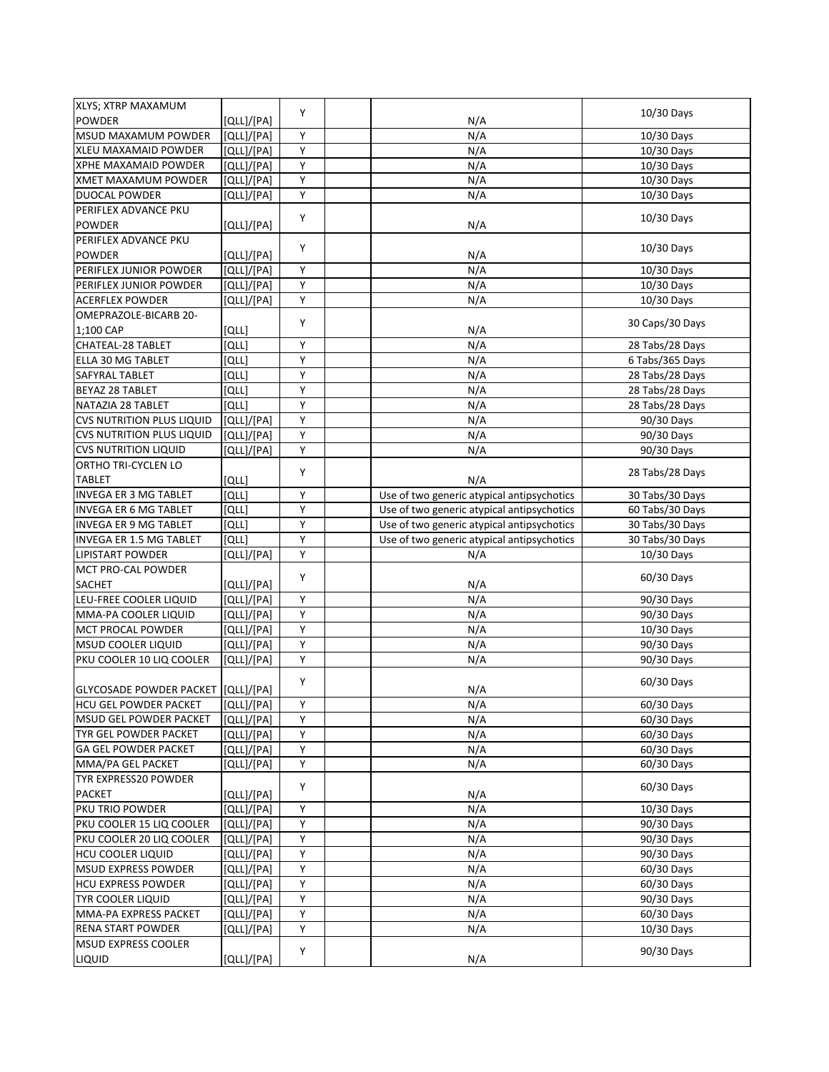| XLYS; XTRP MAXAMUM                                   |            |        |                                            |                 |
|------------------------------------------------------|------------|--------|--------------------------------------------|-----------------|
| <b>POWDER</b>                                        | [QLL]/[PA] | Y      | N/A                                        | 10/30 Days      |
| MSUD MAXAMUM POWDER                                  | [QLL]/[PA] | Υ      | N/A                                        | 10/30 Days      |
| XLEU MAXAMAID POWDER                                 | [QLL]/[PA] | Υ      | N/A                                        | 10/30 Days      |
| XPHE MAXAMAID POWDER                                 | [QLL]/[PA] | Υ      | N/A                                        | 10/30 Days      |
| XMET MAXAMUM POWDER                                  | [QLL]/[PA] | Υ      | N/A                                        | 10/30 Days      |
| DUOCAL POWDER                                        | [QLL]/[PA] | Υ      | N/A                                        | 10/30 Days      |
| PERIFLEX ADVANCE PKU                                 |            |        |                                            |                 |
| <b>POWDER</b>                                        | [QLL]/[PA] | Υ      | N/A                                        | 10/30 Days      |
| PERIFLEX ADVANCE PKU                                 |            |        |                                            |                 |
| <b>POWDER</b>                                        | [QLL]/[PA] | Υ      | N/A                                        | 10/30 Days      |
| PERIFLEX JUNIOR POWDER                               | [QLL]/[PA] | Υ      | N/A                                        | 10/30 Days      |
| PERIFLEX JUNIOR POWDER                               | [QLL]/[PA] | Υ      | N/A                                        | 10/30 Days      |
| <b>ACERFLEX POWDER</b>                               | [QLL]/[PA] | Υ      | N/A                                        | 10/30 Days      |
| OMEPRAZOLE-BICARB 20-                                |            |        |                                            |                 |
| 1;100 CAP                                            | [QLL]      | Y      | N/A                                        | 30 Caps/30 Days |
| CHATEAL-28 TABLET                                    | [QLL]      | Υ      | N/A                                        |                 |
| ELLA 30 MG TABLET                                    | [QLL]      | Υ      | N/A                                        | 28 Tabs/28 Days |
|                                                      |            |        |                                            | 6 Tabs/365 Days |
| SAFYRAL TABLET                                       | וֹםנו      | Υ      | N/A                                        | 28 Tabs/28 Days |
| BEYAZ 28 TABLET                                      | [QLL]      | Υ      | N/A                                        | 28 Tabs/28 Days |
| NATAZIA 28 TABLET                                    | [QLL]      | Υ      | N/A                                        | 28 Tabs/28 Days |
| <b>CVS NUTRITION PLUS LIQUID</b>                     | [QLL]/[PA] | Y      | N/A                                        | 90/30 Days      |
| <b>CVS NUTRITION PLUS LIQUID</b>                     | [QLL]/[PA] | Υ      | N/A                                        | 90/30 Days      |
| <b>CVS NUTRITION LIQUID</b>                          | [QLL]/[PA] | Υ      | N/A                                        | 90/30 Days      |
| ORTHO TRI-CYCLEN LO                                  |            | Υ      |                                            | 28 Tabs/28 Days |
| <b>TABLET</b>                                        | וֹםנו      |        | N/A                                        |                 |
| INVEGA ER 3 MG TABLET                                | [QLL]      | Υ      | Use of two generic atypical antipsychotics | 30 Tabs/30 Days |
| <b>INVEGA ER 6 MG TABLET</b>                         | [QLL]      | Y      | Use of two generic atypical antipsychotics | 60 Tabs/30 Days |
| <b>INVEGA ER 9 MG TABLET</b>                         | [QLL]      | Y      | Use of two generic atypical antipsychotics | 30 Tabs/30 Days |
| INVEGA ER 1.5 MG TABLET                              | [QLL]      | Υ      | Use of two generic atypical antipsychotics | 30 Tabs/30 Days |
| LIPISTART POWDER                                     | [QLL]/[PA] | Υ      | N/A                                        | 10/30 Days      |
| MCT PRO-CAL POWDER                                   |            | Υ      |                                            | 60/30 Days      |
| SACHET                                               | [QLL]/[PA] |        | N/A                                        |                 |
| LEU-FREE COOLER LIQUID                               | [QLL]/[PA] | Υ      | N/A                                        |                 |
|                                                      |            |        |                                            | 90/30 Days      |
| MMA-PA COOLER LIQUID                                 | [QLL]/[PA] | Υ      | N/A                                        | 90/30 Days      |
| MCT PROCAL POWDER                                    | [QLL]/[PA] | Υ      | N/A                                        | 10/30 Days      |
| MSUD COOLER LIQUID                                   | [QLL]/[PA] | Υ      | N/A                                        | 90/30 Days      |
| PKU COOLER 10 LIQ COOLER                             | [QLL]/[PA] | Υ      | N/A                                        | 90/30 Days      |
|                                                      |            |        |                                            |                 |
| GLYCOSADE POWDER PACKET [QLL]/[PA]                   |            | Υ      |                                            | 60/30 Days      |
|                                                      |            |        | N/A                                        |                 |
| MSUD GEL POWDER PACKET                               | [QLL]/[PA] | Υ<br>Y | N/A<br>N/A                                 | 60/30 Days      |
| TYR GEL POWDER PACKET                                | [QLL]/[PA] | Υ      |                                            | 60/30 Days      |
|                                                      | [QLL]/[PA] |        | N/A                                        | 60/30 Days      |
| GA GEL POWDER PACKET                                 | [QLL]/[PA] | Υ      | N/A                                        | 60/30 Days      |
| MMA/PA GEL PACKET                                    | [QLL]/[PA] | Y      | N/A                                        | 60/30 Days      |
| <b>HCU GEL POWDER PACKET</b><br>TYR EXPRESS20 POWDER |            | Y      |                                            | 60/30 Days      |
| <b>PACKET</b>                                        | [QLL]/[PA] |        | N/A                                        |                 |
| PKU TRIO POWDER                                      | [QLL]/[PA] | Υ      | N/A                                        | 10/30 Days      |
| PKU COOLER 15 LIQ COOLER                             | [QLL]/[PA] | Υ      | N/A                                        | 90/30 Days      |
| PKU COOLER 20 LIQ COOLER                             | [QLL]/[PA] | Υ      | N/A                                        | 90/30 Days      |
| <b>HCU COOLER LIQUID</b>                             | [QLL]/[PA] | Υ      | N/A                                        | 90/30 Days      |
| <b>MSUD EXPRESS POWDER</b>                           | [QLL]/[PA] | Υ      | N/A                                        | 60/30 Days      |
| <b>HCU EXPRESS POWDER</b>                            | [QLL]/[PA] | Υ      | N/A                                        | 60/30 Days      |
| <b>TYR COOLER LIQUID</b>                             | [QLL]/[PA] | Υ      | N/A                                        | 90/30 Days      |
| MMA-PA EXPRESS PACKET                                | [QLL]/[PA] | Υ      | N/A                                        | 60/30 Days      |
| RENA START POWDER                                    | [QLL]/[PA] | Υ      | N/A                                        | 10/30 Days      |
| MSUD EXPRESS COOLER<br>LIQUID                        | [QLL]/[PA] | Υ      | N/A                                        | 90/30 Days      |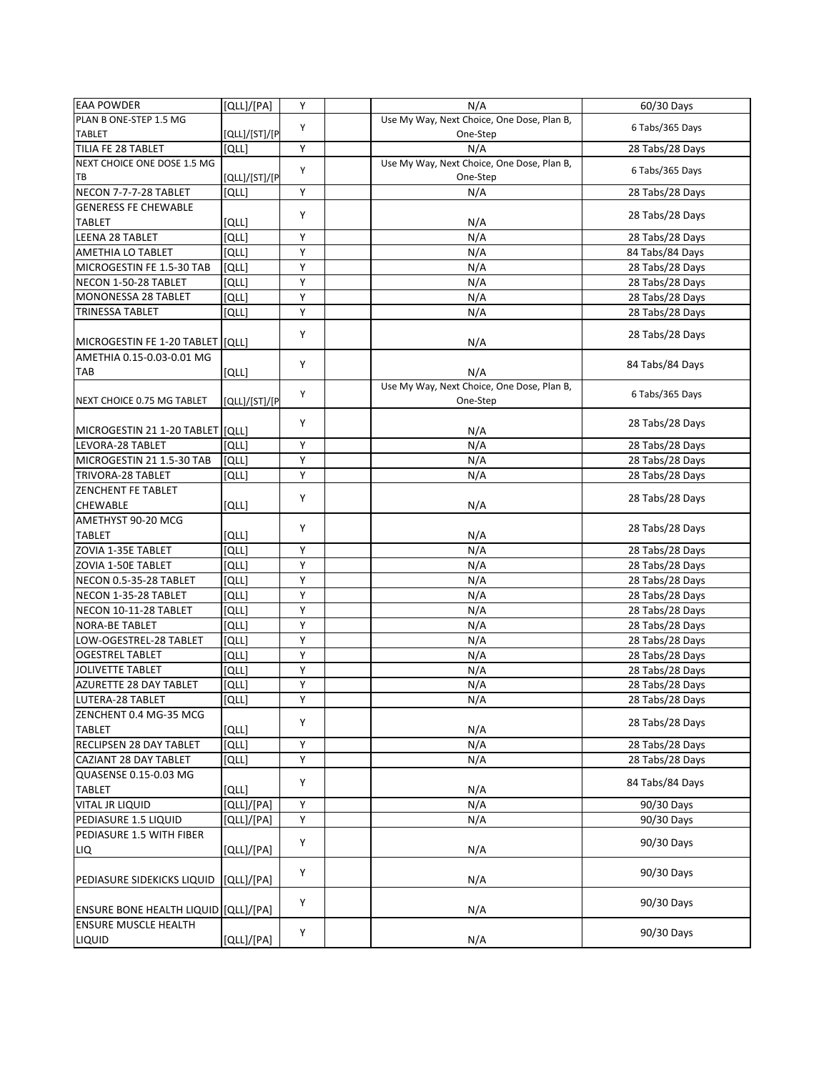| <b>EAA POWDER</b>                     | [QLL]/[PA]    | Y | N/A                                        | 60/30 Days      |
|---------------------------------------|---------------|---|--------------------------------------------|-----------------|
| PLAN B ONE-STEP 1.5 MG                |               | Y | Use My Way, Next Choice, One Dose, Plan B, |                 |
| <b>TABLET</b>                         | [QLL]/[ST]/[P |   | One-Step                                   | 6 Tabs/365 Days |
| TILIA FE 28 TABLET                    | <b>[QLL]</b>  | Y | N/A                                        | 28 Tabs/28 Days |
| NEXT CHOICE ONE DOSE 1.5 MG           |               |   | Use My Way, Next Choice, One Dose, Plan B, |                 |
| ТB                                    | [QLL]/[ST]/[P | Y | One-Step                                   | 6 Tabs/365 Days |
| NECON 7-7-7-28 TABLET                 | [QLL]         | Y | N/A                                        | 28 Tabs/28 Days |
| <b>GENERESS FE CHEWABLE</b>           |               |   |                                            |                 |
| <b>TABLET</b>                         | [QLL]         | Υ | N/A                                        | 28 Tabs/28 Days |
| LEENA 28 TABLET                       | [QLL]         | Υ | N/A                                        | 28 Tabs/28 Days |
| AMETHIA LO TABLET                     | [QLL]         | Υ | N/A                                        | 84 Tabs/84 Days |
| MICROGESTIN FE 1.5-30 TAB             | [QLL]         | Υ | N/A                                        | 28 Tabs/28 Days |
| NECON 1-50-28 TABLET                  | [QLL]         | Υ | N/A                                        | 28 Tabs/28 Days |
| MONONESSA 28 TABLET                   | [QLL]         | Υ | N/A                                        |                 |
|                                       |               |   |                                            | 28 Tabs/28 Days |
| <b>TRINESSA TABLET</b>                | [QLL]         | Υ | N/A                                        | 28 Tabs/28 Days |
| MICROGESTIN FE 1-20 TABLET            | [QLL]         | Υ | N/A                                        | 28 Tabs/28 Days |
| AMETHIA 0.15-0.03-0.01 MG             |               | Υ |                                            | 84 Tabs/84 Days |
| TAB                                   | [QLL]         |   | N/A                                        |                 |
|                                       |               |   | Use My Way, Next Choice, One Dose, Plan B, |                 |
| NEXT CHOICE 0.75 MG TABLET            | [QLL]/[ST]/[P | Υ | One-Step                                   | 6 Tabs/365 Days |
|                                       |               |   |                                            |                 |
| MICROGESTIN 21 1-20 TABLET [[QLL]     |               | Y | N/A                                        | 28 Tabs/28 Days |
| LEVORA-28 TABLET                      | [QLL]         | Υ | N/A                                        | 28 Tabs/28 Days |
| MICROGESTIN 21 1.5-30 TAB             | [QLL]         | Υ | N/A                                        | 28 Tabs/28 Days |
| TRIVORA-28 TABLET                     | [QLL]         | Y | N/A                                        | 28 Tabs/28 Days |
|                                       |               |   |                                            |                 |
| ZENCHENT FE TABLET                    |               | Υ |                                            | 28 Tabs/28 Days |
| <b>CHEWABLE</b>                       | [QLL]         |   | N/A                                        |                 |
| AMETHYST 90-20 MCG                    |               | Y |                                            | 28 Tabs/28 Days |
| <b>TABLET</b>                         | [QLL]         |   | N/A                                        |                 |
| ZOVIA 1-35E TABLET                    | [QLL]         | Y | N/A                                        | 28 Tabs/28 Days |
| ZOVIA 1-50E TABLET                    | [QLL]         | Υ | N/A                                        | 28 Tabs/28 Days |
| NECON 0.5-35-28 TABLET                | [QLL]         | Υ | N/A                                        | 28 Tabs/28 Days |
| NECON 1-35-28 TABLET                  | [QLL]         | Y | N/A                                        | 28 Tabs/28 Days |
| NECON 10-11-28 TABLET                 | [QLL]         | Υ | N/A                                        | 28 Tabs/28 Days |
| <b>NORA-BE TABLET</b>                 | [QLL]         | Υ | N/A                                        | 28 Tabs/28 Days |
| LOW-OGESTREL-28 TABLET                | [QLL]         | Y | N/A                                        | 28 Tabs/28 Days |
| <b>OGESTREL TABLET</b>                |               |   |                                            |                 |
| <b>JOLIVETTE TABLET</b>               |               |   |                                            |                 |
|                                       | [QLL]         | Y | N/A                                        | 28 Tabs/28 Days |
|                                       | [QLL]         | Υ | N/A                                        | 28 Tabs/28 Days |
| AZURETTE 28 DAY TABLET                | [QLL]         | Υ | N/A                                        | 28 Tabs/28 Days |
| LUTERA-28 TABLET                      | [QLL]         | Y | N/A                                        | 28 Tabs/28 Days |
| ZENCHENT 0.4 MG-35 MCG                |               |   |                                            |                 |
| <b>TABLET</b>                         | [QLL]         | Y | N/A                                        | 28 Tabs/28 Days |
| RECLIPSEN 28 DAY TABLET               | [QLL]         | Υ | N/A                                        | 28 Tabs/28 Days |
| CAZIANT 28 DAY TABLET                 | [QLL]         | Υ | N/A                                        | 28 Tabs/28 Days |
| <b>QUASENSE 0.15-0.03 MG</b>          |               |   |                                            |                 |
| <b>TABLET</b>                         | [QLL]         | Υ | N/A                                        | 84 Tabs/84 Days |
| VITAL JR LIQUID                       |               | Υ |                                            |                 |
| PEDIASURE 1.5 LIQUID                  | [QLL]/[PA]    | Υ | N/A<br>N/A                                 | 90/30 Days      |
|                                       | [QLL]/[PA]    |   |                                            | 90/30 Days      |
| PEDIASURE 1.5 WITH FIBER              |               | Υ |                                            | 90/30 Days      |
| LIQ                                   | [QLL]/[PA]    |   | N/A                                        |                 |
|                                       |               | Υ |                                            | 90/30 Days      |
| PEDIASURE SIDEKICKS LIQUID            | [QLL]/[PA]    |   | N/A                                        |                 |
| ENSURE BONE HEALTH LIQUID [[QLL]/[PA] |               | Y | N/A                                        | 90/30 Days      |
| <b>ENSURE MUSCLE HEALTH</b>           | [QLL]/[PA]    | Υ | N/A                                        | 90/30 Days      |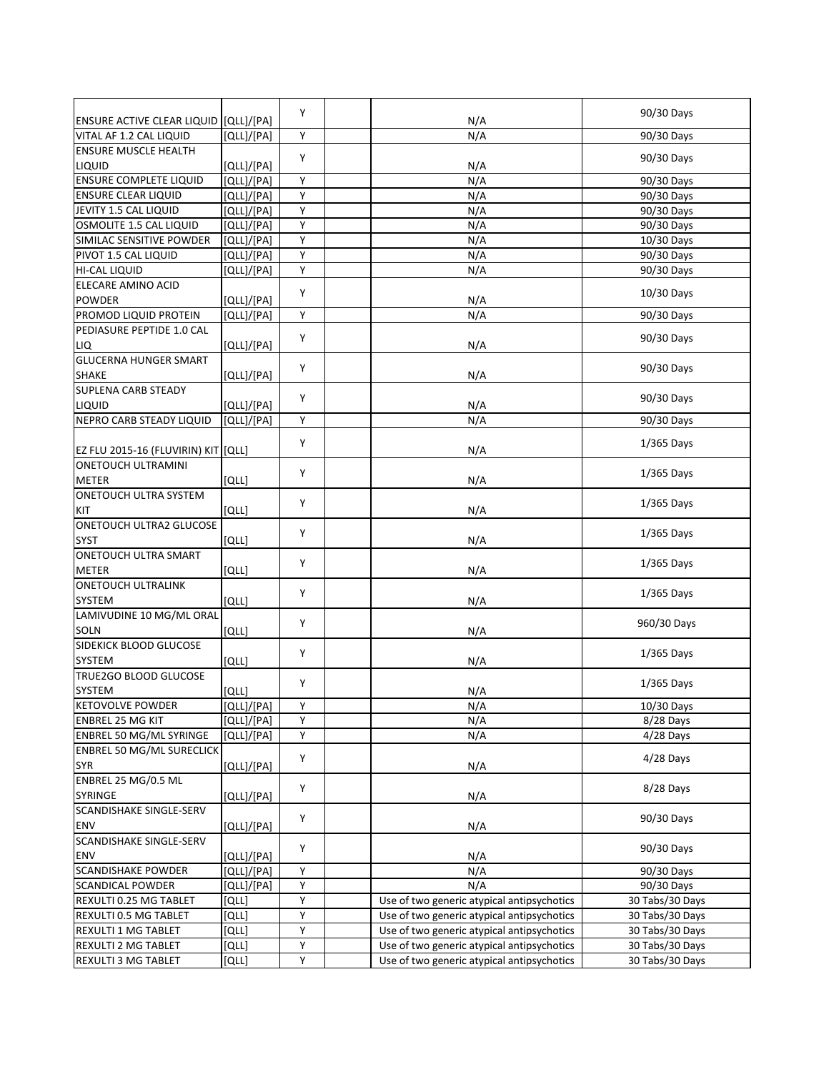|                                                             |            | Y |                                            | 90/30 Days      |
|-------------------------------------------------------------|------------|---|--------------------------------------------|-----------------|
| ENSURE ACTIVE CLEAR LIQUID [QLL]/[PA]                       |            |   | N/A                                        |                 |
| VITAL AF 1.2 CAL LIQUID                                     | [QLL]/[PA] | Y | N/A                                        | 90/30 Days      |
| <b>ENSURE MUSCLE HEALTH</b>                                 |            | Y |                                            | 90/30 Days      |
| LIQUID                                                      | [QLL]/[PA] |   | N/A                                        |                 |
| <b>ENSURE COMPLETE LIQUID</b>                               | [QLL]/[PA] | Υ | N/A                                        | 90/30 Days      |
| <b>ENSURE CLEAR LIQUID</b>                                  | [QLL]/[PA] | Υ | N/A                                        | 90/30 Days      |
| JEVITY 1.5 CAL LIQUID                                       | [QLL]/[PA] | Y | N/A                                        | 90/30 Days      |
| OSMOLITE 1.5 CAL LIQUID                                     | [QLL]/[PA] | Y | N/A                                        | 90/30 Days      |
| SIMILAC SENSITIVE POWDER                                    | [QLL]/[PA] | Y | N/A                                        | 10/30 Days      |
| PIVOT 1.5 CAL LIQUID                                        | [QLL]/[PA] | Y | N/A                                        | 90/30 Days      |
| HI-CAL LIQUID                                               | [QLL]/[PA] | Υ | N/A                                        | 90/30 Days      |
| ELECARE AMINO ACID                                          |            |   |                                            |                 |
| <b>POWDER</b>                                               | [QLL]/[PA] | Y | N/A                                        | 10/30 Days      |
| PROMOD LIQUID PROTEIN                                       | [QLL]/[PA] | Y | N/A                                        | 90/30 Days      |
| PEDIASURE PEPTIDE 1.0 CAL                                   |            |   |                                            |                 |
| LIQ                                                         | [QLL]/[PA] | Y | N/A                                        | 90/30 Days      |
| <b>GLUCERNA HUNGER SMART</b>                                |            |   |                                            |                 |
| <b>SHAKE</b>                                                | [QLL]/[PA] | Υ | N/A                                        | 90/30 Days      |
| <b>SUPLENA CARB STEADY</b>                                  |            |   |                                            |                 |
| LIQUID                                                      | [QLL]/[PA] | Y | N/A                                        | 90/30 Days      |
| NEPRO CARB STEADY LIQUID                                    | [QLL]/[PA] | Υ | N/A                                        | 90/30 Days      |
|                                                             |            |   |                                            |                 |
| EZ FLU 2015-16 (FLUVIRIN) KIT [QLL]                         |            | Y | N/A                                        | $1/365$ Days    |
| <b>ONETOUCH ULTRAMINI</b>                                   |            |   |                                            |                 |
| <b>METER</b>                                                | [QLL]      | Y | N/A                                        | 1/365 Days      |
| ONETOUCH ULTRA SYSTEM                                       |            |   |                                            |                 |
| KIT                                                         | [QLL]      | Y | N/A                                        | 1/365 Days      |
| ONETOUCH ULTRA2 GLUCOSE                                     |            |   |                                            |                 |
| <b>SYST</b>                                                 | [QLL]      | Y | N/A                                        | 1/365 Days      |
| ONETOUCH ULTRA SMART                                        |            |   |                                            |                 |
| <b>METER</b>                                                | [QLL]      | Υ | N/A                                        | $1/365$ Days    |
| <b>ONETOUCH ULTRALINK</b>                                   |            |   |                                            |                 |
| SYSTEM                                                      | [QLL]      | Y | N/A                                        | $1/365$ Days    |
| LAMIVUDINE 10 MG/ML ORAL                                    |            |   |                                            |                 |
| <b>SOLN</b>                                                 | [QLL]      | Y | N/A                                        | 960/30 Days     |
| SIDEKICK BLOOD GLUCOSE                                      |            |   |                                            |                 |
| SYSTEM                                                      | [QLL]      | Υ | N/A                                        | $1/365$ Days    |
| TRUE2GO BLOOD GLUCOSE                                       |            |   |                                            |                 |
| SYSTEM                                                      | [QLL]      | Y | N/A                                        | 1/365 Days      |
| <b>KETOVOLVE POWDER</b>                                     | [QLL]/[PA] | Y | N/A                                        | 10/30 Days      |
| ENBREL 25 MG KIT                                            | [QLL]/[PA] | Υ | N/A                                        | 8/28 Days       |
|                                                             |            | Y | N/A                                        | $4/28$ Days     |
| ENBREL 50 MG/ML SYRINGE<br><b>ENBREL 50 MG/ML SURECLICK</b> | [QLL]/[PA] |   |                                            |                 |
|                                                             |            | Υ |                                            | $4/28$ Days     |
| <b>SYR</b>                                                  | [QLL]/[PA] |   | N/A                                        |                 |
| ENBREL 25 MG/0.5 ML                                         |            | Y |                                            | 8/28 Days       |
| SYRINGE                                                     | [QLL]/[PA] |   | N/A                                        |                 |
| SCANDISHAKE SINGLE-SERV                                     |            | Y |                                            | 90/30 Days      |
| ENV                                                         | [QLL]/[PA] |   | N/A                                        |                 |
| SCANDISHAKE SINGLE-SERV                                     |            | Υ |                                            | 90/30 Days      |
| <b>ENV</b>                                                  | [QLL]/[PA] |   | N/A                                        |                 |
| <b>SCANDISHAKE POWDER</b>                                   | [QLL]/[PA] | Υ | N/A                                        | 90/30 Days      |
| <b>SCANDICAL POWDER</b>                                     | [QLL]/[PA] | Y | N/A                                        | 90/30 Days      |
| REXULTI 0.25 MG TABLET                                      | [QLL]      | Y | Use of two generic atypical antipsychotics | 30 Tabs/30 Days |
| REXULTI 0.5 MG TABLET                                       | [QLL]      | Υ | Use of two generic atypical antipsychotics | 30 Tabs/30 Days |
| REXULTI 1 MG TABLET                                         | וֹםנו      | Υ | Use of two generic atypical antipsychotics | 30 Tabs/30 Days |
| REXULTI 2 MG TABLET                                         | [QLL]      | Υ | Use of two generic atypical antipsychotics | 30 Tabs/30 Days |
| REXULTI 3 MG TABLET                                         | [QLL]      | Υ | Use of two generic atypical antipsychotics | 30 Tabs/30 Days |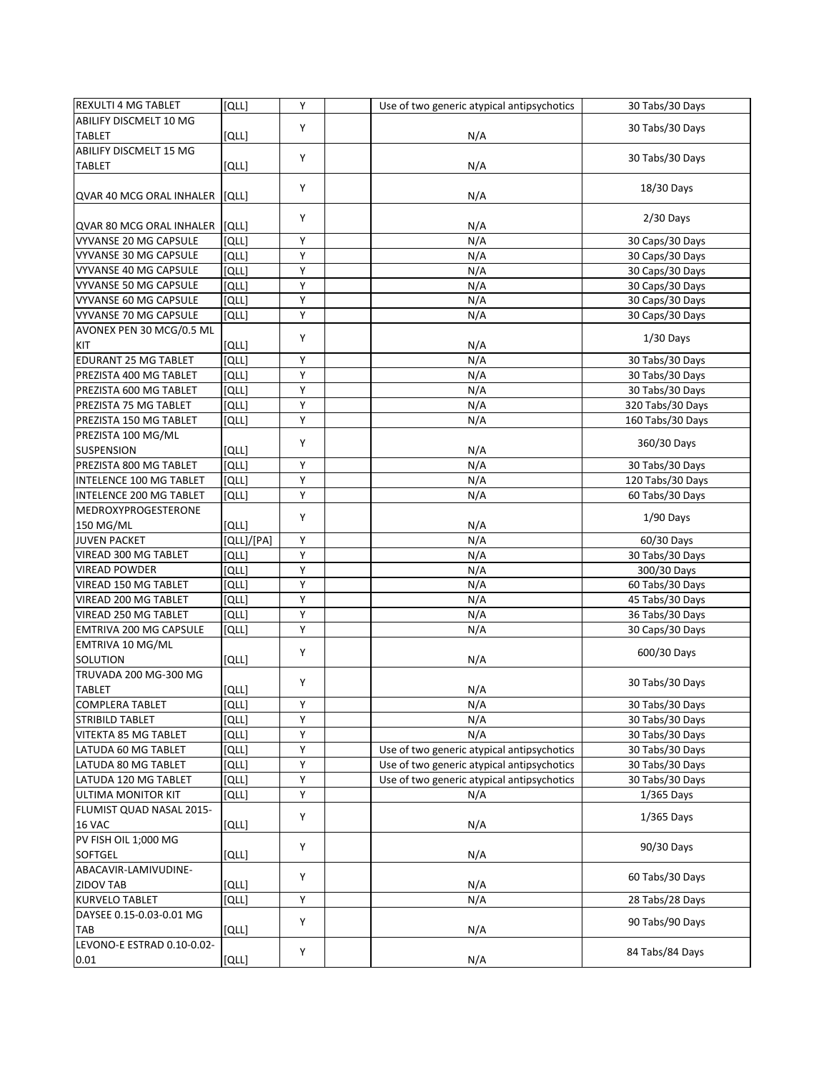| REXULTI 4 MG TABLET            | [QLL]        | Y | Use of two generic atypical antipsychotics | 30 Tabs/30 Days  |
|--------------------------------|--------------|---|--------------------------------------------|------------------|
| ABILIFY DISCMELT 10 MG         |              | Y |                                            |                  |
| <b>TABLET</b>                  | [QLL]        |   | N/A                                        | 30 Tabs/30 Days  |
| ABILIFY DISCMELT 15 MG         |              |   |                                            |                  |
| <b>TABLET</b>                  | [QLL]        | Y | N/A                                        | 30 Tabs/30 Days  |
|                                |              |   |                                            |                  |
| QVAR 40 MCG ORAL INHALER [QLL] |              | Υ | N/A                                        | 18/30 Days       |
|                                |              |   |                                            |                  |
| QVAR 80 MCG ORAL INHALER       | [QLL]        | Y | N/A                                        | $2/30$ Days      |
| <b>VYVANSE 20 MG CAPSULE</b>   | [QLL]        | Υ | N/A                                        | 30 Caps/30 Days  |
| VYVANSE 30 MG CAPSULE          | [QLL]        | Y | N/A                                        | 30 Caps/30 Days  |
| VYVANSE 40 MG CAPSULE          | [QLL]        | Υ | N/A                                        | 30 Caps/30 Days  |
| VYVANSE 50 MG CAPSULE          | [QLL]        | Υ | N/A                                        | 30 Caps/30 Days  |
| VYVANSE 60 MG CAPSULE          | [QLL]        | Υ | N/A                                        | 30 Caps/30 Days  |
| VYVANSE 70 MG CAPSULE          | [QLL]        | Υ | N/A                                        | 30 Caps/30 Days  |
| AVONEX PEN 30 MCG/0.5 ML       |              |   |                                            |                  |
| KIT                            | [QLL]        | Υ | N/A                                        | $1/30$ Days      |
| EDURANT 25 MG TABLET           | [QLL]        | Υ | N/A                                        | 30 Tabs/30 Days  |
| PREZISTA 400 MG TABLET         | [QLL]        | Υ | N/A                                        | 30 Tabs/30 Days  |
| PREZISTA 600 MG TABLET         | [QLL]        | Υ | N/A                                        | 30 Tabs/30 Days  |
| PREZISTA 75 MG TABLET          | [QLL]        | Υ | N/A                                        | 320 Tabs/30 Days |
| PREZISTA 150 MG TABLET         | [QLL]        | Υ | N/A                                        | 160 Tabs/30 Days |
| PREZISTA 100 MG/ML             |              |   |                                            |                  |
| <b>SUSPENSION</b>              | [QLL]        | Υ | N/A                                        | 360/30 Days      |
| PREZISTA 800 MG TABLET         | <b>[QLL]</b> | Υ | N/A                                        | 30 Tabs/30 Days  |
| INTELENCE 100 MG TABLET        | [QLL]        | Υ | N/A                                        | 120 Tabs/30 Days |
| INTELENCE 200 MG TABLET        | [QLL]        | Y | N/A                                        | 60 Tabs/30 Days  |
| MEDROXYPROGESTERONE            |              |   |                                            |                  |
| 150 MG/ML                      | [QLL]        | Y | N/A                                        | $1/90$ Days      |
| <b>JUVEN PACKET</b>            | [QLL]/[PA]   | Υ | N/A                                        | 60/30 Days       |
| VIREAD 300 MG TABLET           | וֹםנו        | Υ | N/A                                        | 30 Tabs/30 Days  |
| <b>VIREAD POWDER</b>           | [QLL]        | Υ | N/A                                        | 300/30 Days      |
| VIREAD 150 MG TABLET           | [QLL]        | Υ | N/A                                        | 60 Tabs/30 Days  |
| VIREAD 200 MG TABLET           | [QLL]        | Υ | N/A                                        | 45 Tabs/30 Days  |
| VIREAD 250 MG TABLET           | [QLL]        | Υ | N/A                                        | 36 Tabs/30 Days  |
| EMTRIVA 200 MG CAPSULE         | [QLL]        | Υ | N/A                                        | 30 Caps/30 Days  |
| EMTRIVA 10 MG/ML               |              |   |                                            |                  |
| SOLUTION                       |              | Υ |                                            | 600/30 Days      |
| <b>TRUVADA 200 MG-300 MG</b>   | [QLL]        |   | N/A                                        |                  |
|                                |              | Υ |                                            | 30 Tabs/30 Days  |
| <b>TABLET</b>                  | [QLL]        |   | N/A                                        |                  |
| <b>COMPLERA TABLET</b>         | [QLL]        | Y | N/A                                        | 30 Tabs/30 Days  |
| STRIBILD TABLET                | וֹםנו        | Y | N/A                                        | 30 Tabs/30 Days  |
| <b>VITEKTA 85 MG TABLET</b>    | [QLL]        | Υ | N/A                                        | 30 Tabs/30 Days  |
| LATUDA 60 MG TABLET            | וֹםנו        | Υ | Use of two generic atypical antipsychotics | 30 Tabs/30 Days  |
| LATUDA 80 MG TABLET            | וֹםנו        | Υ | Use of two generic atypical antipsychotics | 30 Tabs/30 Days  |
| LATUDA 120 MG TABLET           | [QLL]        | Υ | Use of two generic atypical antipsychotics | 30 Tabs/30 Days  |
| ULTIMA MONITOR KIT             | [QLL]        | Υ | N/A                                        | 1/365 Days       |
| FLUMIST QUAD NASAL 2015-       |              | Υ |                                            | 1/365 Days       |
| 16 VAC                         | [QLL]        |   | N/A                                        |                  |
| PV FISH OIL 1;000 MG           |              | Υ |                                            | 90/30 Days       |
| SOFTGEL                        | [QLL]        |   | N/A                                        |                  |
| ABACAVIR-LAMIVUDINE-           |              | Υ |                                            | 60 Tabs/30 Days  |
| <b>ZIDOV TAB</b>               | [QLL]        |   | N/A                                        |                  |
| <b>KURVELO TABLET</b>          | [QLL]        | Υ | N/A                                        | 28 Tabs/28 Days  |
| DAYSEE 0.15-0.03-0.01 MG       |              | Υ |                                            | 90 Tabs/90 Days  |
| TAB                            | [QLL]        |   | N/A                                        |                  |
| LEVONO-E ESTRAD 0.10-0.02-     |              | Υ |                                            | 84 Tabs/84 Days  |
| 0.01                           | [QLL]        |   | N/A                                        |                  |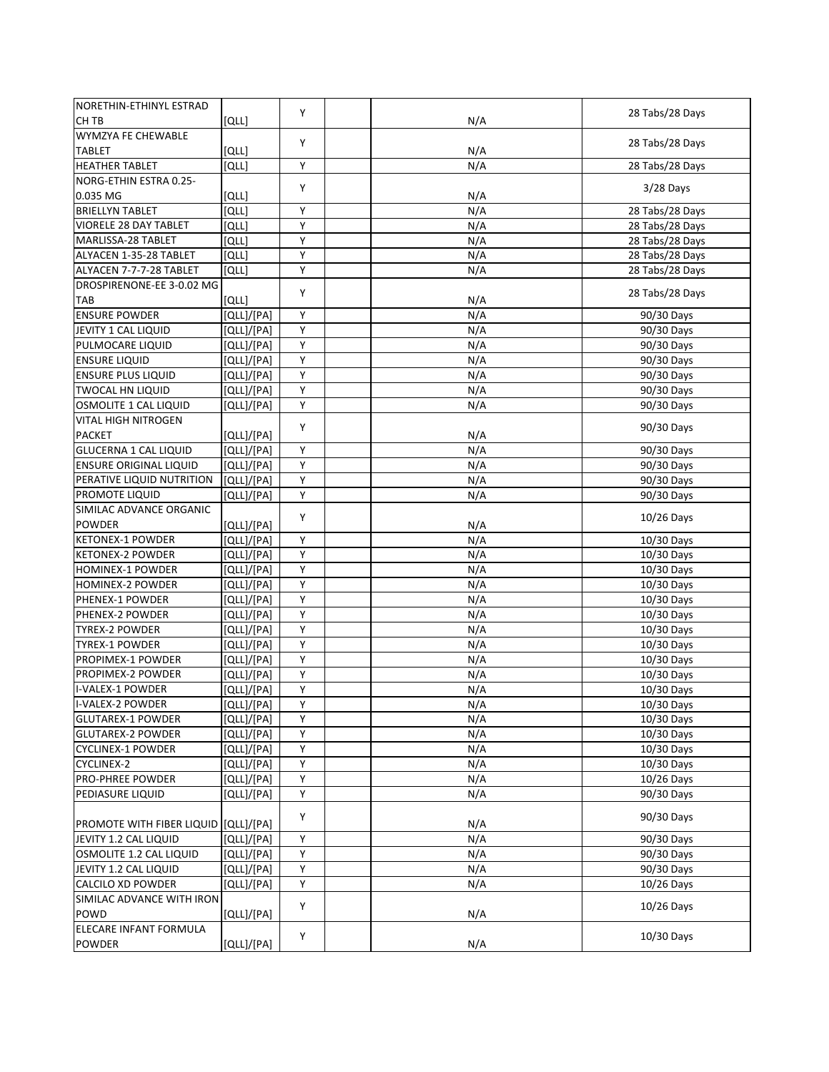| <b>NORETHIN-ETHINYL ESTRAD</b>       |              |                |     |                 |
|--------------------------------------|--------------|----------------|-----|-----------------|
| CH TB                                | [QLL]        | Y              | N/A | 28 Tabs/28 Days |
| WYMZYA FE CHEWABLE                   |              |                |     |                 |
| <b>TABLET</b>                        | [QLL]        | Y              | N/A | 28 Tabs/28 Days |
| <b>HEATHER TABLET</b>                | <b>[QLL]</b> | Υ              | N/A | 28 Tabs/28 Days |
| NORG-ETHIN ESTRA 0.25-               |              |                |     |                 |
| 0.035 MG                             | [QLL]        | Y              | N/A | $3/28$ Days     |
| <b>BRIELLYN TABLET</b>               | [QLL]        | Y              | N/A | 28 Tabs/28 Days |
| <b>VIORELE 28 DAY TABLET</b>         | [QLL]        | Y              | N/A | 28 Tabs/28 Days |
| MARLISSA-28 TABLET                   | [QLL]        | Υ              | N/A | 28 Tabs/28 Days |
| ALYACEN 1-35-28 TABLET               | [QLL]        | Υ              | N/A | 28 Tabs/28 Days |
| ALYACEN 7-7-7-28 TABLET              | [QLL]        | Υ              | N/A | 28 Tabs/28 Days |
| DROSPIRENONE-EE 3-0.02 MG            |              |                |     |                 |
| TAB                                  | [QLL]        | Y              | N/A | 28 Tabs/28 Days |
| <b>ENSURE POWDER</b>                 | [QLL]/[PA]   | Y              | N/A | 90/30 Days      |
| JEVITY 1 CAL LIQUID                  | [QLL]/[PA]   | Υ              | N/A | 90/30 Days      |
| PULMOCARE LIQUID                     | [QLL]/[PA]   | Υ              | N/A | 90/30 Days      |
| <b>ENSURE LIQUID</b>                 | [QLL]/[PA]   | Υ              | N/A | 90/30 Days      |
| <b>ENSURE PLUS LIQUID</b>            | [QLL]/[PA]   | Y              | N/A | 90/30 Days      |
| <b>TWOCAL HN LIQUID</b>              | [QLL]/[PA]   | Υ              | N/A | 90/30 Days      |
| OSMOLITE 1 CAL LIQUID                | [QLL]/[PA]   | Y              | N/A | 90/30 Days      |
| <b>VITAL HIGH NITROGEN</b>           |              |                |     |                 |
| <b>PACKET</b>                        | [QLL]/[PA]   | Υ              | N/A | 90/30 Days      |
| <b>GLUCERNA 1 CAL LIQUID</b>         | [QLL]/[PA]   | Υ              | N/A | 90/30 Days      |
| <b>ENSURE ORIGINAL LIQUID</b>        | [QLL]/[PA]   | Υ              | N/A | 90/30 Days      |
| PERATIVE LIQUID NUTRITION            | [QLL]/[PA]   | Υ              | N/A | 90/30 Days      |
| PROMOTE LIQUID                       | [QLL]/[PA]   | Y              | N/A | 90/30 Days      |
| SIMILAC ADVANCE ORGANIC              |              |                |     |                 |
| <b>POWDER</b>                        | [QLL]/[PA]   | Y              | N/A | $10/26$ Days    |
| <b>KETONEX-1 POWDER</b>              | [QLL]/[PA]   | Υ              | N/A | 10/30 Days      |
| <b>KETONEX-2 POWDER</b>              | [QLL]/[PA]   | Υ              | N/A | 10/30 Days      |
| <b>HOMINEX-1 POWDER</b>              | [QLL]/[PA]   | Υ              | N/A | 10/30 Days      |
| HOMINEX-2 POWDER                     | [QLL]/[PA]   | Y              | N/A | 10/30 Days      |
| PHENEX-1 POWDER                      | [QLL]/[PA]   | Υ              | N/A | 10/30 Days      |
| PHENEX-2 POWDER                      | [QLL]/[PA]   | Υ              | N/A | 10/30 Days      |
| <b>TYREX-2 POWDER</b>                | [QLL]/[PA]   | Υ              | N/A | 10/30 Days      |
| TYREX-1 POWDER                       | [QLL]/[PA]   | Υ              | N/A | 10/30 Days      |
| PROPIMEX-1 POWDER                    | [QLL]/[PA]   | Υ              | N/A | 10/30 Days      |
| PROPIMEX-2 POWDER                    | [QLL]/[PA]   | Υ              | N/A | 10/30 Days      |
| I-VALEX-1 POWDER                     | [QLL]/[PA]   | Υ              | N/A | $10/30$ Days    |
| I-VALEX-2 POWDER                     | [QLL]/[PA]   | $\overline{Y}$ | N/A | 10/30 Days      |
| <b>GLUTAREX-1 POWDER</b>             | [QLL]/[PA]   | Υ              | N/A | 10/30 Days      |
| <b>GLUTAREX-2 POWDER</b>             | [QLL]/[PA]   | Υ              | N/A | 10/30 Days      |
| <b>CYCLINEX-1 POWDER</b>             | [QLL]/[PA]   | Υ              | N/A | 10/30 Days      |
| CYCLINEX-2                           | [QLL]/[PA]   | Υ              | N/A | 10/30 Days      |
| PRO-PHREE POWDER                     | [QLL]/[PA]   | Υ              | N/A | 10/26 Days      |
| PEDIASURE LIQUID                     | [QLL]/[PA]   | Y              | N/A | 90/30 Days      |
|                                      |              |                |     |                 |
| PROMOTE WITH FIBER LIQUID (QLL)/[PA] |              | Υ              | N/A | 90/30 Days      |
| JEVITY 1.2 CAL LIQUID                | [QLL]/[PA]   | Υ              | N/A | 90/30 Days      |
| OSMOLITE 1.2 CAL LIQUID              | [QLL]/[PA]   | Υ              | N/A | 90/30 Days      |
| JEVITY 1.2 CAL LIQUID                | [QLL]/[PA]   | Υ              | N/A | 90/30 Days      |
| <b>CALCILO XD POWDER</b>             | [QLL]/[PA]   | Y              | N/A | 10/26 Days      |
| SIMILAC ADVANCE WITH IRON            |              |                |     |                 |
| POWD                                 | [QLL]/[PA]   | Υ              | N/A | $10/26$ Days    |
| ELECARE INFANT FORMULA               |              |                |     |                 |
| <b>POWDER</b>                        | [QLL]/[PA]   | Υ              | N/A | 10/30 Days      |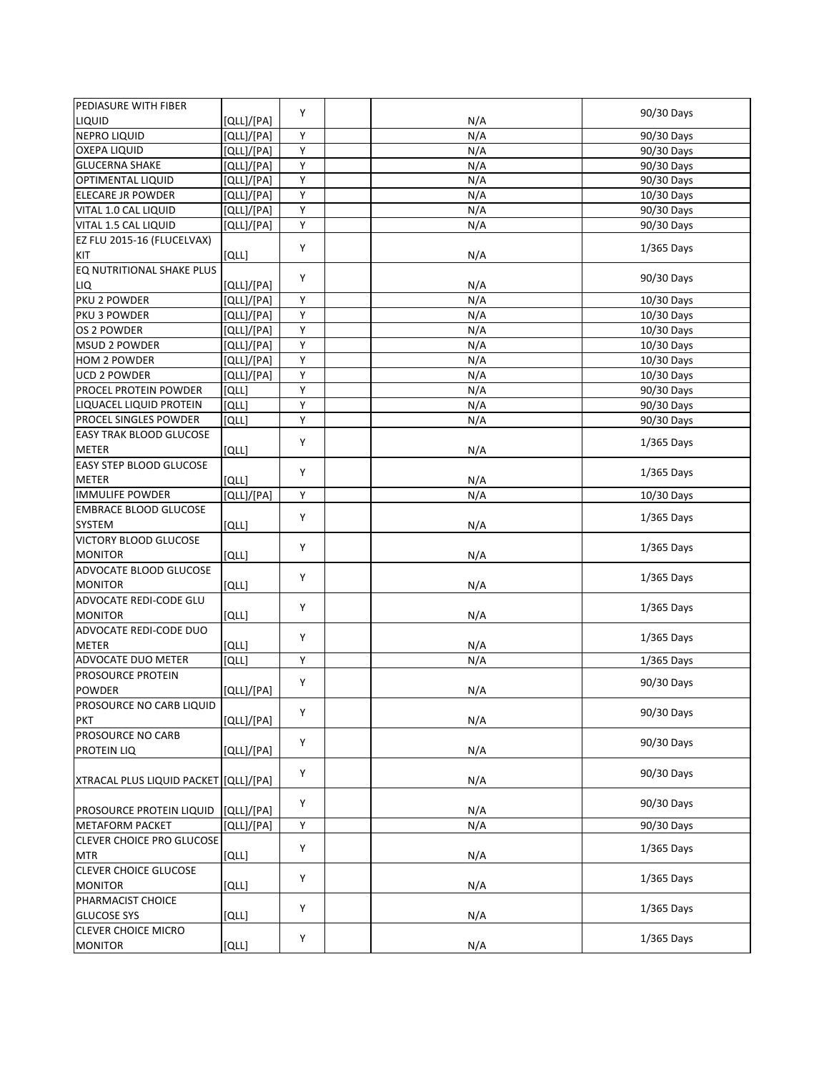| PEDIASURE WITH FIBER                  |            |   |     |              |
|---------------------------------------|------------|---|-----|--------------|
| LIQUID                                | [QLL]/[PA] | Y | N/A | 90/30 Days   |
| <b>NEPRO LIQUID</b>                   | [QLL]/[PA] | Υ | N/A | 90/30 Days   |
| <b>OXEPA LIQUID</b>                   | [QLL]/[PA] | Υ | N/A | 90/30 Days   |
| <b>GLUCERNA SHAKE</b>                 | [QLL]/[PA] | Υ | N/A | 90/30 Days   |
| OPTIMENTAL LIQUID                     | [QLL]/[PA] | Υ | N/A | 90/30 Days   |
| <b>ELECARE JR POWDER</b>              | [QLL]/[PA] | Y | N/A | 10/30 Days   |
| VITAL 1.0 CAL LIQUID                  | [QLL]/[PA] | Υ | N/A | 90/30 Days   |
| VITAL 1.5 CAL LIQUID                  | [QLL]/[PA] | Y | N/A | 90/30 Days   |
| EZ FLU 2015-16 (FLUCELVAX)            |            |   |     |              |
| KIT                                   | [QLL]      | Y | N/A | $1/365$ Days |
| EQ NUTRITIONAL SHAKE PLUS             |            |   |     |              |
| LIQ                                   | [QLL]/[PA] | Y | N/A | 90/30 Days   |
| PKU 2 POWDER                          | [QLL]/[PA] | Y | N/A | 10/30 Days   |
| PKU 3 POWDER                          | [QLL]/[PA] | Y | N/A | 10/30 Days   |
| OS 2 POWDER                           | [QLL]/[PA] | Y | N/A | 10/30 Days   |
| <b>MSUD 2 POWDER</b>                  | [QLL]/[PA] | Υ | N/A | 10/30 Days   |
| <b>HOM 2 POWDER</b>                   | [QLL]/[PA] | Υ | N/A | 10/30 Days   |
| <b>UCD 2 POWDER</b>                   | [QLL]/[PA] | Υ | N/A | 10/30 Days   |
| PROCEL PROTEIN POWDER                 | וֹםנו      | Y | N/A | 90/30 Days   |
| LIQUACEL LIQUID PROTEIN               | וֹםנו      | Υ | N/A | 90/30 Days   |
| PROCEL SINGLES POWDER                 | [QLL]      | Υ | N/A | 90/30 Days   |
| EASY TRAK BLOOD GLUCOSE               |            |   |     |              |
| <b>METER</b>                          |            | Y |     | $1/365$ Days |
| EASY STEP BLOOD GLUCOSE               | [QLL]      |   | N/A |              |
|                                       |            | Y |     | $1/365$ Days |
| <b>METER</b>                          | [QLL]      |   | N/A |              |
| <b>IMMULIFE POWDER</b>                | [QLL]/[PA] | Y | N/A | 10/30 Days   |
| <b>EMBRACE BLOOD GLUCOSE</b>          |            | Υ |     | $1/365$ Days |
| SYSTEM                                | וֹםנו      |   | N/A |              |
| VICTORY BLOOD GLUCOSE                 |            | Y |     | 1/365 Days   |
| <b>MONITOR</b>                        | [QLL]      |   | N/A |              |
| ADVOCATE BLOOD GLUCOSE                |            | Υ |     | $1/365$ Days |
| <b>MONITOR</b>                        | וֹםנו      |   | N/A |              |
| ADVOCATE REDI-CODE GLU                |            | Υ |     | $1/365$ Days |
| <b>MONITOR</b>                        | [QLL]      |   | N/A |              |
| ADVOCATE REDI-CODE DUO                |            | Y |     | 1/365 Days   |
| <b>METER</b>                          | וֹםנו      |   | N/A |              |
| ADVOCATE DUO METER                    | [QLL]      | Y | N/A | 1/365 Days   |
| PROSOURCE PROTEIN                     |            | Υ |     | 90/30 Days   |
| <b>POWDER</b>                         | [QLL]/[PA] |   | N/A |              |
| PROSOURCE NO CARB LIQUID              |            | Υ |     | 90/30 Days   |
| <b>PKT</b>                            | [QLL]/[PA] |   | N/A |              |
| PROSOURCE NO CARB                     |            | Y |     | 90/30 Days   |
| PROTEIN LIQ                           | [QLL]/[PA] |   | N/A |              |
|                                       |            | Y |     | 90/30 Days   |
| XTRACAL PLUS LIQUID PACKET [QLL]/[PA] |            |   | N/A |              |
|                                       |            | Y |     | 90/30 Days   |
| PROSOURCE PROTEIN LIQUID              | [QLL]/[PA] |   | N/A |              |
| <b>METAFORM PACKET</b>                | [QLL]/[PA] | Υ | N/A | 90/30 Days   |
| CLEVER CHOICE PRO GLUCOSE             |            | Y |     | $1/365$ Days |
| <b>MTR</b>                            | [QLL]      |   | N/A |              |
| <b>CLEVER CHOICE GLUCOSE</b>          |            | Υ |     | $1/365$ Days |
| <b>MONITOR</b>                        | [QLL]      |   | N/A |              |
| PHARMACIST CHOICE                     |            | Υ |     | $1/365$ Days |
| <b>GLUCOSE SYS</b>                    | [QLL]      |   | N/A |              |
| <b>CLEVER CHOICE MICRO</b>            |            | Υ |     | $1/365$ Days |
| <b>MONITOR</b>                        | [QLL]      |   | N/A |              |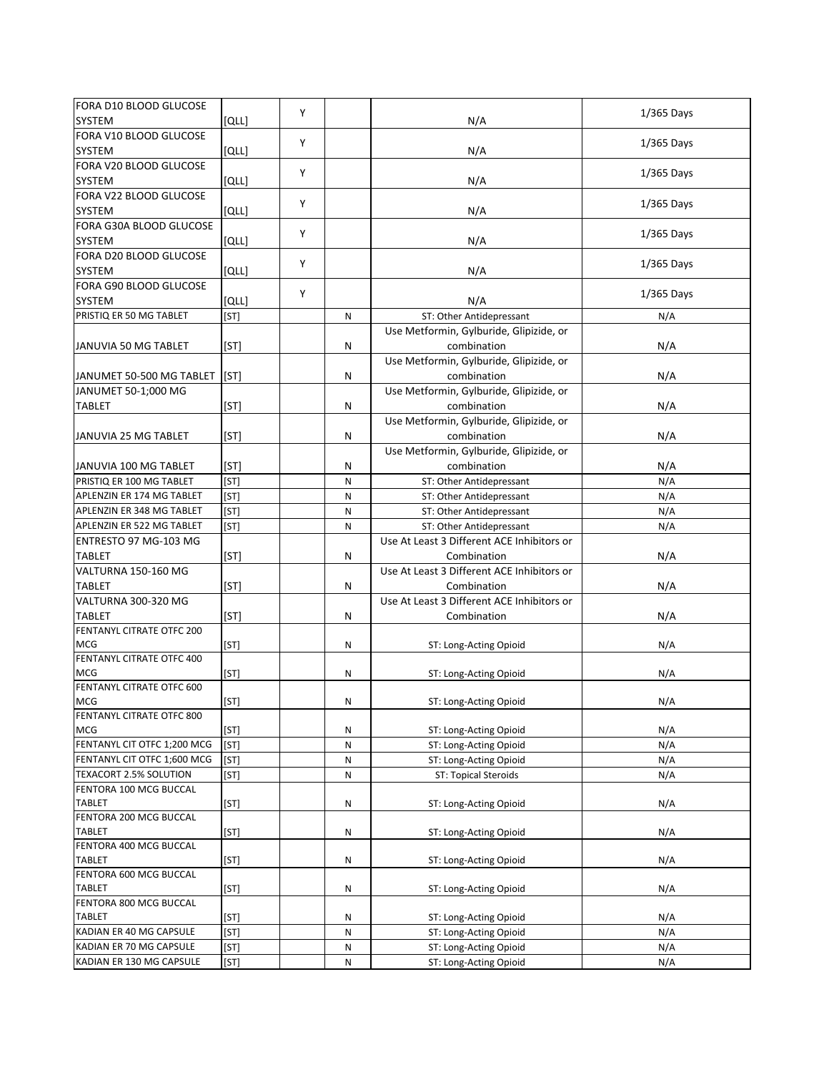| FORA D10 BLOOD GLUCOSE                              |              |   |           |                                                  |              |
|-----------------------------------------------------|--------------|---|-----------|--------------------------------------------------|--------------|
| SYSTEM                                              | [QLL]        | Y |           | N/A                                              | 1/365 Days   |
| FORA V10 BLOOD GLUCOSE                              |              |   |           |                                                  |              |
| SYSTEM                                              | [QLL]        | Y |           | N/A                                              | $1/365$ Days |
| FORA V20 BLOOD GLUCOSE                              |              |   |           |                                                  |              |
| SYSTEM                                              |              | Y |           |                                                  | $1/365$ Days |
| FORA V22 BLOOD GLUCOSE                              | [QLL]        |   |           | N/A                                              |              |
|                                                     |              | Y |           |                                                  | $1/365$ Days |
| SYSTEM                                              | [QLL]        |   |           | N/A                                              |              |
| FORA G30A BLOOD GLUCOSE                             |              | Y |           |                                                  | $1/365$ Days |
| SYSTEM                                              | [QLL]        |   |           | N/A                                              |              |
| FORA D20 BLOOD GLUCOSE                              |              | Y |           |                                                  | $1/365$ Days |
| SYSTEM                                              | [QLL]        |   |           | N/A                                              |              |
| FORA G90 BLOOD GLUCOSE                              |              | Y |           |                                                  | $1/365$ Days |
| SYSTEM                                              | [QLL]        |   |           | N/A                                              |              |
| PRISTIQ ER 50 MG TABLET                             | [ST]         |   | N         | ST: Other Antidepressant                         | N/A          |
|                                                     |              |   |           | Use Metformin, Gylburide, Glipizide, or          |              |
| JANUVIA 50 MG TABLET                                | [ST]         |   | ${\sf N}$ | combination                                      | N/A          |
|                                                     |              |   |           | Use Metformin, Gylburide, Glipizide, or          |              |
| JANUMET 50-500 MG TABLET                            | [ST]         |   | N         | combination                                      | N/A          |
| JANUMET 50-1;000 MG                                 |              |   |           | Use Metformin, Gylburide, Glipizide, or          |              |
| <b>TABLET</b>                                       | [ST]         |   | ${\sf N}$ | combination                                      | N/A          |
|                                                     |              |   |           | Use Metformin, Gylburide, Glipizide, or          |              |
|                                                     |              |   | N         | combination                                      | N/A          |
| JANUVIA 25 MG TABLET                                | [ST]         |   |           |                                                  |              |
|                                                     |              |   |           | Use Metformin, Gylburide, Glipizide, or          |              |
| JANUVIA 100 MG TABLET                               | [ST]         |   | N         | combination                                      | N/A          |
| PRISTIQ ER 100 MG TABLET                            | [ST]         |   | N         | ST: Other Antidepressant                         | N/A          |
| APLENZIN ER 174 MG TABLET                           | [ST]         |   | ${\sf N}$ | ST: Other Antidepressant                         | N/A          |
| APLENZIN ER 348 MG TABLET                           | [ST]         |   | N         | ST: Other Antidepressant                         | N/A          |
| APLENZIN ER 522 MG TABLET                           | [ST]         |   | N         | ST: Other Antidepressant                         | N/A          |
| ENTRESTO 97 MG-103 MG                               |              |   |           | Use At Least 3 Different ACE Inhibitors or       |              |
|                                                     |              |   |           |                                                  |              |
| <b>TABLET</b>                                       | [ST]         |   | ${\sf N}$ | Combination                                      | N/A          |
| VALTURNA 150-160 MG                                 |              |   |           | Use At Least 3 Different ACE Inhibitors or       |              |
| <b>TABLET</b>                                       |              |   | N         | Combination                                      |              |
| VALTURNA 300-320 MG                                 | [ST]         |   |           | Use At Least 3 Different ACE Inhibitors or       | N/A          |
| <b>TABLET</b>                                       |              |   |           |                                                  |              |
| FENTANYL CITRATE OTFC 200                           | [ST]         |   | N         | Combination                                      | N/A          |
| <b>MCG</b>                                          |              |   |           |                                                  |              |
|                                                     | [ST]         |   | ${\sf N}$ | ST: Long-Acting Opioid                           | N/A          |
| FENTANYL CITRATE OTFC 400                           |              |   |           |                                                  |              |
| <b>MCG</b>                                          | [ST]         |   | ${\sf N}$ | ST: Long-Acting Opioid                           | N/A          |
| FENTANYL CITRATE OTFC 600<br><b>MCG</b>             |              |   |           |                                                  |              |
|                                                     | [ST]         |   | Ν         | ST: Long-Acting Opioid                           | N/A          |
| FENTANYL CITRATE OTFC 800<br>MCG                    |              |   |           |                                                  |              |
|                                                     | [ST]         |   | N         | ST: Long-Acting Opioid                           | N/A          |
| FENTANYL CIT OTFC 1;200 MCG                         | [ST]         |   | N         | ST: Long-Acting Opioid                           | N/A          |
| FENTANYL CIT OTFC 1;600 MCG                         | [ST]         |   | N         | ST: Long-Acting Opioid                           | N/A          |
| TEXACORT 2.5% SOLUTION                              | [ST]         |   | N         | ST: Topical Steroids                             | N/A          |
| FENTORA 100 MCG BUCCAL                              |              |   |           |                                                  |              |
| <b>TABLET</b>                                       | [ST]         |   | N         | ST: Long-Acting Opioid                           | N/A          |
| FENTORA 200 MCG BUCCAL                              |              |   |           |                                                  |              |
| TABLET                                              | [ST]         |   | N         | ST: Long-Acting Opioid                           | N/A          |
| FENTORA 400 MCG BUCCAL                              |              |   |           |                                                  |              |
| TABLET                                              | [ST]         |   | N         | ST: Long-Acting Opioid                           | N/A          |
| FENTORA 600 MCG BUCCAL                              |              |   |           |                                                  |              |
| <b>TABLET</b>                                       | [ST]         |   | ${\sf N}$ | ST: Long-Acting Opioid                           | N/A          |
| FENTORA 800 MCG BUCCAL                              |              |   |           |                                                  |              |
| <b>TABLET</b>                                       | [ST]         |   | N         | ST: Long-Acting Opioid                           | N/A          |
| KADIAN ER 40 MG CAPSULE                             | [ST]         |   | N         | ST: Long-Acting Opioid                           | N/A          |
| KADIAN ER 70 MG CAPSULE<br>KADIAN ER 130 MG CAPSULE | [ST]<br>[ST] |   | N<br>N    | ST: Long-Acting Opioid<br>ST: Long-Acting Opioid | N/A<br>N/A   |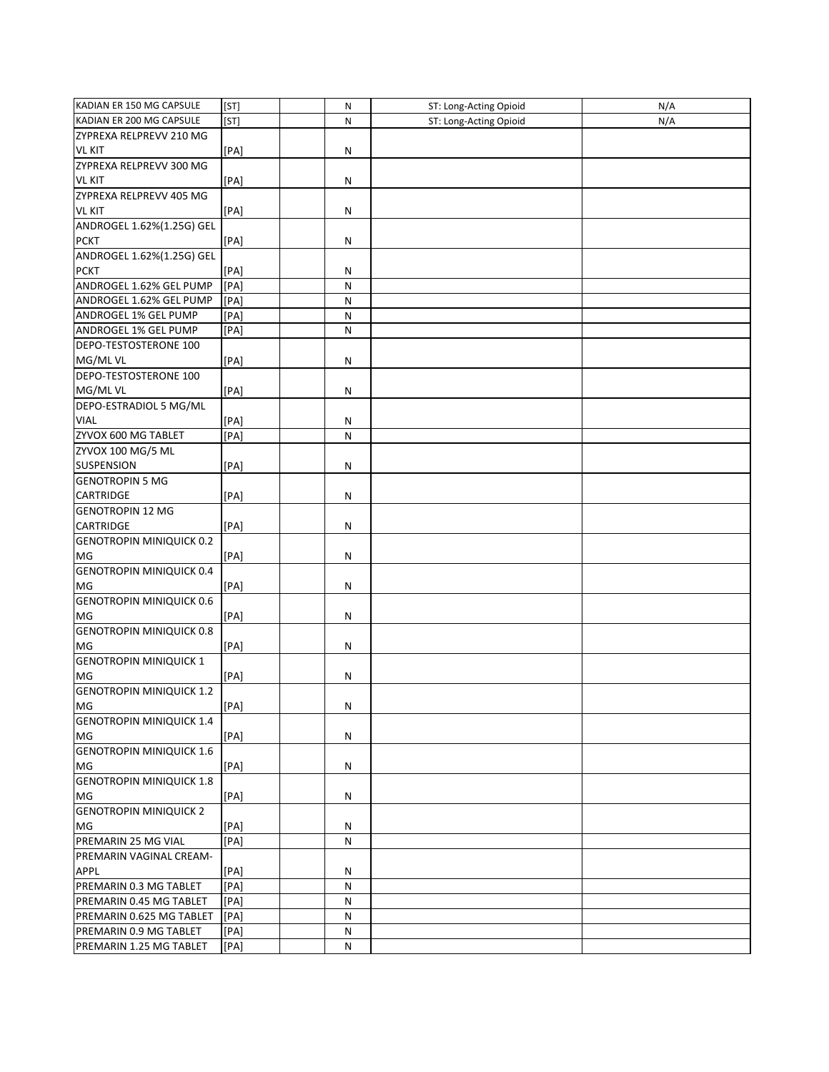| KADIAN ER 150 MG CAPSULE            | [ST]              | N            | ST: Long-Acting Opioid | N/A |
|-------------------------------------|-------------------|--------------|------------------------|-----|
| KADIAN ER 200 MG CAPSULE            | [ST]              | N            | ST: Long-Acting Opioid | N/A |
| ZYPREXA RELPREVV 210 MG             |                   |              |                        |     |
| <b>VL KIT</b>                       | [PA]              | N            |                        |     |
| ZYPREXA RELPREVV 300 MG             |                   |              |                        |     |
| <b>VL KIT</b>                       | [PA]              | N            |                        |     |
| ZYPREXA RELPREVV 405 MG             |                   |              |                        |     |
| <b>VL KIT</b>                       | [PA]              | ${\sf N}$    |                        |     |
| ANDROGEL 1.62%(1.25G) GEL           |                   |              |                        |     |
| <b>PCKT</b>                         | [PA]              | N            |                        |     |
| ANDROGEL 1.62%(1.25G) GEL           |                   |              |                        |     |
| <b>PCKT</b>                         | [PA]              | Ν            |                        |     |
| ANDROGEL 1.62% GEL PUMP             | [PA]              | N            |                        |     |
| ANDROGEL 1.62% GEL PUMP             | [PA]              | N            |                        |     |
| ANDROGEL 1% GEL PUMP                | [PA]              | N            |                        |     |
| ANDROGEL 1% GEL PUMP                | [PA]              | N            |                        |     |
| DEPO-TESTOSTERONE 100               |                   |              |                        |     |
| MG/MLVL                             | [PA]              | N            |                        |     |
| DEPO-TESTOSTERONE 100               |                   |              |                        |     |
| MG/MLVL                             | [PA]              | Ν            |                        |     |
| DEPO-ESTRADIOL 5 MG/ML              |                   |              |                        |     |
| <b>VIAL</b>                         | [PA]              | Ν            |                        |     |
| ZYVOX 600 MG TABLET                 | $\overline{[PA]}$ | $\mathsf{N}$ |                        |     |
| ZYVOX 100 MG/5 ML                   |                   |              |                        |     |
| <b>SUSPENSION</b>                   | [PA]              | N            |                        |     |
| <b>GENOTROPIN 5 MG</b>              |                   |              |                        |     |
| CARTRIDGE                           | [PA]              | ${\sf N}$    |                        |     |
| <b>GENOTROPIN 12 MG</b>             |                   |              |                        |     |
| <b>CARTRIDGE</b>                    | [PA]              | N            |                        |     |
| <b>GENOTROPIN MINIQUICK 0.2</b>     |                   |              |                        |     |
| MG                                  | [PA]              | N            |                        |     |
| <b>GENOTROPIN MINIQUICK 0.4</b>     |                   |              |                        |     |
| MG                                  | [PA]              | N            |                        |     |
| <b>GENOTROPIN MINIQUICK 0.6</b>     |                   |              |                        |     |
| MG                                  | [PA]              | ${\sf N}$    |                        |     |
| <b>GENOTROPIN MINIQUICK 0.8</b>     |                   |              |                        |     |
| MG                                  | [PA]              | N            |                        |     |
| <b>GENOTROPIN MINIQUICK 1</b><br>MG |                   |              |                        |     |
| <b>GENOTROPIN MINIQUICK 1.2</b>     | [PA]              | Ν            |                        |     |
| MG                                  |                   |              |                        |     |
| <b>GENOTROPIN MINIQUICK 1.4</b>     | [PA]              | N            |                        |     |
| MG                                  | [PA]              | Ν            |                        |     |
| <b>GENOTROPIN MINIQUICK 1.6</b>     |                   |              |                        |     |
| MG                                  | [PA]              | N            |                        |     |
| <b>GENOTROPIN MINIQUICK 1.8</b>     |                   |              |                        |     |
| MG                                  | [PA]              | Ν            |                        |     |
| <b>GENOTROPIN MINIQUICK 2</b>       |                   |              |                        |     |
| MG                                  | [PA]              | Ν            |                        |     |
| PREMARIN 25 MG VIAL                 | [PA]              | N            |                        |     |
| PREMARIN VAGINAL CREAM-             |                   |              |                        |     |
| <b>APPL</b>                         | [PA]              | N            |                        |     |
| PREMARIN 0.3 MG TABLET              | [PA]              | N            |                        |     |
| PREMARIN 0.45 MG TABLET             | [PA]              | Ν            |                        |     |
| PREMARIN 0.625 MG TABLET            | [PA]              | Ν            |                        |     |
| PREMARIN 0.9 MG TABLET              | [PA]              | N            |                        |     |
| PREMARIN 1.25 MG TABLET             | [PA]              | Ν            |                        |     |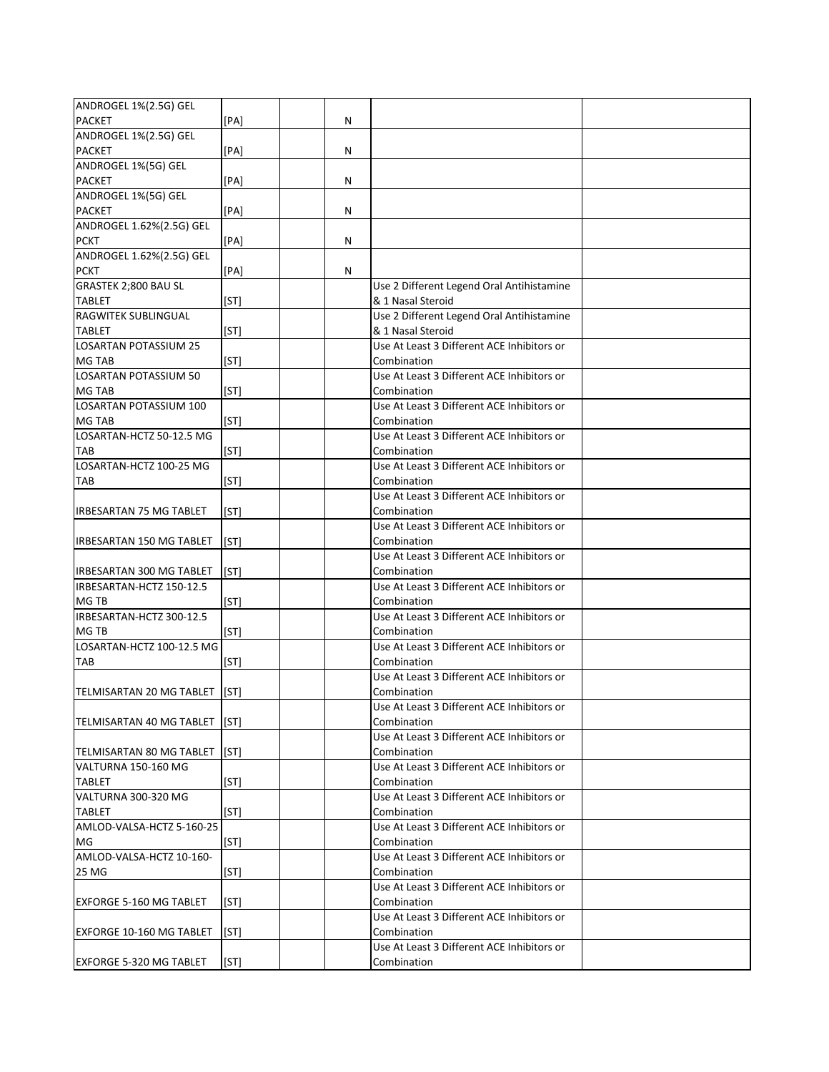| ANDROGEL 1%(2.5G) GEL          |      |   |                                                           |
|--------------------------------|------|---|-----------------------------------------------------------|
| <b>PACKET</b>                  | [PA] | N |                                                           |
| ANDROGEL 1%(2.5G) GEL          |      |   |                                                           |
| <b>PACKET</b>                  | [PA] | N |                                                           |
| ANDROGEL 1%(5G) GEL            |      |   |                                                           |
| <b>PACKET</b>                  | [PA] | N |                                                           |
| ANDROGEL 1%(5G) GEL            |      |   |                                                           |
| <b>PACKET</b>                  | [PA] | N |                                                           |
| ANDROGEL 1.62%(2.5G) GEL       |      |   |                                                           |
| <b>PCKT</b>                    | [PA] | N |                                                           |
| ANDROGEL 1.62%(2.5G) GEL       |      |   |                                                           |
| <b>PCKT</b>                    | [PA] | N |                                                           |
| GRASTEK 2;800 BAU SL           |      |   | Use 2 Different Legend Oral Antihistamine                 |
| <b>TABLET</b>                  | [ST] |   | & 1 Nasal Steroid                                         |
| RAGWITEK SUBLINGUAL            |      |   | Use 2 Different Legend Oral Antihistamine                 |
| <b>TABLET</b>                  | [ST] |   | & 1 Nasal Steroid                                         |
| <b>LOSARTAN POTASSIUM 25</b>   |      |   | Use At Least 3 Different ACE Inhibitors or                |
| <b>MG TAB</b>                  | [ST] |   | Combination                                               |
| <b>LOSARTAN POTASSIUM 50</b>   |      |   | Use At Least 3 Different ACE Inhibitors or                |
| <b>MG TAB</b>                  | [ST] |   | Combination                                               |
| LOSARTAN POTASSIUM 100         |      |   | Use At Least 3 Different ACE Inhibitors or                |
| <b>MG TAB</b>                  | [ST] |   | Combination                                               |
| LOSARTAN-HCTZ 50-12.5 MG       |      |   | Use At Least 3 Different ACE Inhibitors or                |
| TAB                            | [ST] |   | Combination                                               |
| LOSARTAN-HCTZ 100-25 MG        |      |   | Use At Least 3 Different ACE Inhibitors or                |
| TAB                            | [ST] |   | Combination                                               |
|                                |      |   | Use At Least 3 Different ACE Inhibitors or                |
| <b>IRBESARTAN 75 MG TABLET</b> | [ST] |   | Combination                                               |
|                                |      |   | Use At Least 3 Different ACE Inhibitors or                |
| IRBESARTAN 150 MG TABLET       | [ST] |   | Combination                                               |
|                                |      |   | Use At Least 3 Different ACE Inhibitors or                |
| IRBESARTAN 300 MG TABLET       | [ST] |   | Combination                                               |
| IRBESARTAN-HCTZ 150-12.5       |      |   | Use At Least 3 Different ACE Inhibitors or                |
| MG TB                          | [ST] |   | Combination                                               |
| IRBESARTAN-HCTZ 300-12.5       |      |   | Use At Least 3 Different ACE Inhibitors or                |
| MG TB                          | [ST] |   | Combination                                               |
| LOSARTAN-HCTZ 100-12.5 MG      |      |   | Use At Least 3 Different ACE Inhibitors or                |
| <b>TAB</b>                     | [ST] |   | Combination                                               |
|                                |      |   | Use At Least 3 Different ACE Inhibitors or                |
| TELMISARTAN 20 MG TABLET       | [ST] |   | Combination                                               |
|                                |      |   | Use At Least 3 Different ACE Inhibitors or                |
| TELMISARTAN 40 MG TABLET       | [ST] |   | Combination                                               |
|                                |      |   | Use At Least 3 Different ACE Inhibitors or                |
| TELMISARTAN 80 MG TABLET       | [ST] |   | Combination                                               |
| VALTURNA 150-160 MG            |      |   | Use At Least 3 Different ACE Inhibitors or                |
| <b>TABLET</b>                  | [ST] |   | Combination                                               |
| VALTURNA 300-320 MG            |      |   | Use At Least 3 Different ACE Inhibitors or                |
| <b>TABLET</b>                  | [ST] |   | Combination                                               |
| AMLOD-VALSA-HCTZ 5-160-25      |      |   | Use At Least 3 Different ACE Inhibitors or                |
| MG                             | [ST] |   | Combination                                               |
| AMLOD-VALSA-HCTZ 10-160-       |      |   | Use At Least 3 Different ACE Inhibitors or                |
| 25 MG                          | [ST] |   | Combination                                               |
|                                |      |   | Use At Least 3 Different ACE Inhibitors or                |
| <b>EXFORGE 5-160 MG TABLET</b> | [ST] |   | Combination                                               |
|                                |      |   | Use At Least 3 Different ACE Inhibitors or                |
| EXFORGE 10-160 MG TABLET       | [ST] |   | Combination<br>Use At Least 3 Different ACE Inhibitors or |
|                                |      |   |                                                           |
| <b>EXFORGE 5-320 MG TABLET</b> | [ST] |   | Combination                                               |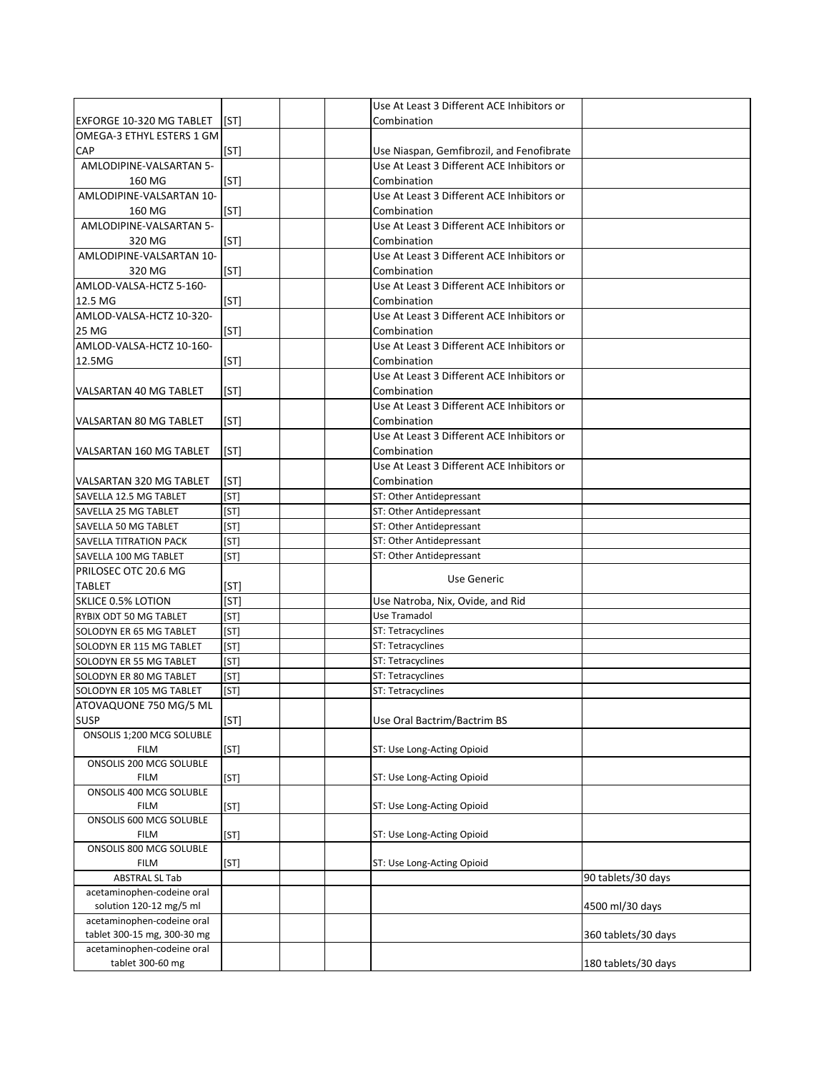|                                                    |      | Use At Least 3 Different ACE Inhibitors or |                     |
|----------------------------------------------------|------|--------------------------------------------|---------------------|
| EXFORGE 10-320 MG TABLET                           | [ST] | Combination                                |                     |
| OMEGA-3 ETHYL ESTERS 1 GM                          |      |                                            |                     |
| <b>CAP</b>                                         | [ST] | Use Niaspan, Gemfibrozil, and Fenofibrate  |                     |
| AMLODIPINE-VALSARTAN 5-                            |      | Use At Least 3 Different ACE Inhibitors or |                     |
| 160 MG                                             | [ST] | Combination                                |                     |
| AMLODIPINE-VALSARTAN 10-                           |      | Use At Least 3 Different ACE Inhibitors or |                     |
| 160 MG                                             | [ST] | Combination                                |                     |
| AMLODIPINE-VALSARTAN 5-                            |      | Use At Least 3 Different ACE Inhibitors or |                     |
| 320 MG                                             | [ST] | Combination                                |                     |
| AMLODIPINE-VALSARTAN 10-                           |      | Use At Least 3 Different ACE Inhibitors or |                     |
| 320 MG                                             | [ST] | Combination                                |                     |
| AMLOD-VALSA-HCTZ 5-160-                            |      | Use At Least 3 Different ACE Inhibitors or |                     |
| 12.5 MG                                            | [ST] | Combination                                |                     |
| AMLOD-VALSA-HCTZ 10-320-                           |      | Use At Least 3 Different ACE Inhibitors or |                     |
| 25 MG                                              | [ST] | Combination                                |                     |
| AMLOD-VALSA-HCTZ 10-160-                           |      | Use At Least 3 Different ACE Inhibitors or |                     |
| 12.5MG                                             | [ST] | Combination                                |                     |
|                                                    |      | Use At Least 3 Different ACE Inhibitors or |                     |
| VALSARTAN 40 MG TABLET                             | [ST] | Combination                                |                     |
|                                                    |      | Use At Least 3 Different ACE Inhibitors or |                     |
| VALSARTAN 80 MG TABLET                             | [ST] | Combination                                |                     |
|                                                    |      | Use At Least 3 Different ACE Inhibitors or |                     |
| VALSARTAN 160 MG TABLET                            | [ST] | Combination                                |                     |
|                                                    |      | Use At Least 3 Different ACE Inhibitors or |                     |
| VALSARTAN 320 MG TABLET                            | [ST] | Combination                                |                     |
| SAVELLA 12.5 MG TABLET                             | [ST] | ST: Other Antidepressant                   |                     |
| SAVELLA 25 MG TABLET                               | [ST] | ST: Other Antidepressant                   |                     |
| SAVELLA 50 MG TABLET                               | [ST] | ST: Other Antidepressant                   |                     |
| SAVELLA TITRATION PACK                             | [ST] | ST: Other Antidepressant                   |                     |
| SAVELLA 100 MG TABLET                              | [ST] | ST: Other Antidepressant                   |                     |
| PRILOSEC OTC 20.6 MG                               |      |                                            |                     |
| <b>TABLET</b>                                      | [ST] | Use Generic                                |                     |
| <b>SKLICE 0.5% LOTION</b>                          | [ST] | Use Natroba, Nix, Ovide, and Rid           |                     |
| RYBIX ODT 50 MG TABLET                             | [ST] | Use Tramadol                               |                     |
| SOLODYN ER 65 MG TABLET                            | [ST] | ST: Tetracyclines                          |                     |
| SOLODYN ER 115 MG TABLET                           | [ST] | ST: Tetracyclines                          |                     |
| SOLODYN ER 55 MG TABLET                            | [ST] | ST: Tetracyclines                          |                     |
| SOLODYN ER 80 MG TABLET                            | [ST] | ST: Tetracyclines                          |                     |
|                                                    | [ST] | ST: Tetracyclines                          |                     |
| SOLODYN ER 105 MG TABLET<br>ATOVAQUONE 750 MG/5 ML |      |                                            |                     |
| <b>SUSP</b>                                        | [ST] | Use Oral Bactrim/Bactrim BS                |                     |
| ONSOLIS 1;200 MCG SOLUBLE                          |      |                                            |                     |
| <b>FILM</b>                                        | [ST] | ST: Use Long-Acting Opioid                 |                     |
| ONSOLIS 200 MCG SOLUBLE                            |      |                                            |                     |
| <b>FILM</b>                                        | [ST] | ST: Use Long-Acting Opioid                 |                     |
| ONSOLIS 400 MCG SOLUBLE                            |      |                                            |                     |
| <b>FILM</b>                                        | [ST] | ST: Use Long-Acting Opioid                 |                     |
| ONSOLIS 600 MCG SOLUBLE                            |      |                                            |                     |
| <b>FILM</b>                                        | [ST] | ST: Use Long-Acting Opioid                 |                     |
| ONSOLIS 800 MCG SOLUBLE                            |      |                                            |                     |
| <b>FILM</b>                                        | [ST] | ST: Use Long-Acting Opioid                 |                     |
| <b>ABSTRAL SL Tab</b>                              |      |                                            | 90 tablets/30 days  |
| acetaminophen-codeine oral                         |      |                                            |                     |
| solution 120-12 mg/5 ml                            |      |                                            | 4500 ml/30 days     |
| acetaminophen-codeine oral                         |      |                                            |                     |
| tablet 300-15 mg, 300-30 mg                        |      |                                            | 360 tablets/30 days |
| acetaminophen-codeine oral                         |      |                                            |                     |
| tablet 300-60 mg                                   |      |                                            | 180 tablets/30 days |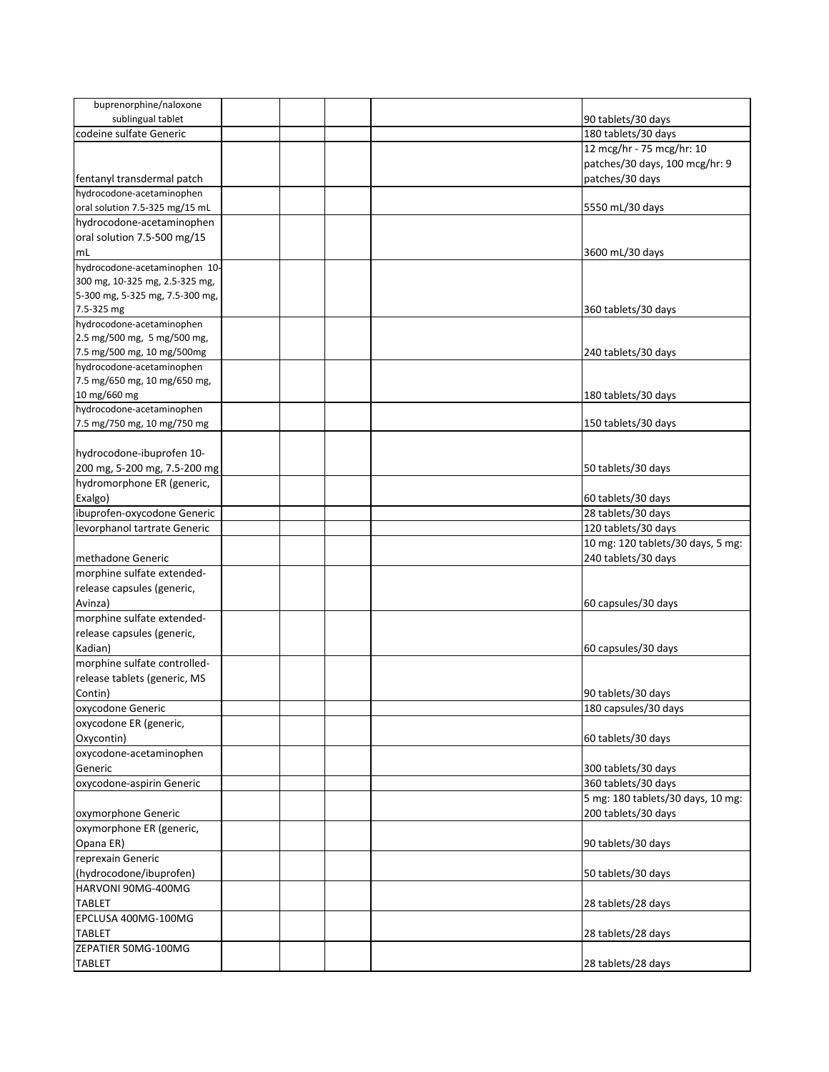| buprenorphine/naloxone          |  |                                   |
|---------------------------------|--|-----------------------------------|
| sublingual tablet               |  | 90 tablets/30 days                |
| codeine sulfate Generic         |  | 180 tablets/30 days               |
|                                 |  | 12 mcg/hr - 75 mcg/hr: 10         |
|                                 |  | patches/30 days, 100 mcg/hr: 9    |
| fentanyl transdermal patch      |  | patches/30 days                   |
| hydrocodone-acetaminophen       |  |                                   |
|                                 |  |                                   |
| oral solution 7.5-325 mg/15 mL  |  | 5550 mL/30 days                   |
| hydrocodone-acetaminophen       |  |                                   |
| oral solution 7.5-500 mg/15     |  |                                   |
| mL                              |  | 3600 mL/30 days                   |
| hydrocodone-acetaminophen 10-   |  |                                   |
| 300 mg, 10-325 mg, 2.5-325 mg,  |  |                                   |
| 5-300 mg, 5-325 mg, 7.5-300 mg, |  |                                   |
| 7.5-325 mg                      |  | 360 tablets/30 days               |
| hydrocodone-acetaminophen       |  |                                   |
| 2.5 mg/500 mg, 5 mg/500 mg,     |  |                                   |
| 7.5 mg/500 mg, 10 mg/500mg      |  | 240 tablets/30 days               |
| hydrocodone-acetaminophen       |  |                                   |
| 7.5 mg/650 mg, 10 mg/650 mg,    |  |                                   |
| 10 mg/660 mg                    |  | 180 tablets/30 days               |
| hydrocodone-acetaminophen       |  |                                   |
| 7.5 mg/750 mg, 10 mg/750 mg     |  | 150 tablets/30 days               |
|                                 |  |                                   |
| hydrocodone-ibuprofen 10-       |  |                                   |
|                                 |  |                                   |
| 200 mg, 5-200 mg, 7.5-200 mg    |  | 50 tablets/30 days                |
| hydromorphone ER (generic,      |  |                                   |
| Exalgo)                         |  | 60 tablets/30 days                |
| ibuprofen-oxycodone Generic     |  | 28 tablets/30 days                |
| levorphanol tartrate Generic    |  | 120 tablets/30 days               |
|                                 |  | 10 mg: 120 tablets/30 days, 5 mg: |
| methadone Generic               |  | 240 tablets/30 days               |
| morphine sulfate extended-      |  |                                   |
| release capsules (generic,      |  |                                   |
| Avinza)                         |  | 60 capsules/30 days               |
| morphine sulfate extended-      |  |                                   |
| release capsules (generic,      |  |                                   |
| Kadian)                         |  |                                   |
|                                 |  | 60 capsules/30 days               |
| morphine sulfate controlled-    |  |                                   |
| release tablets (generic, MS    |  |                                   |
| Contin)                         |  | 90 tablets/30 days                |
| oxycodone Generic               |  | 180 capsules/30 days              |
| oxycodone ER (generic,          |  |                                   |
| Oxycontin)                      |  | 60 tablets/30 days                |
| oxycodone-acetaminophen         |  |                                   |
| Generic                         |  | 300 tablets/30 days               |
| oxycodone-aspirin Generic       |  | 360 tablets/30 days               |
|                                 |  | 5 mg: 180 tablets/30 days, 10 mg: |
|                                 |  | 200 tablets/30 days               |
| oxymorphone Generic             |  |                                   |
| oxymorphone ER (generic,        |  |                                   |
| Opana ER)                       |  | 90 tablets/30 days                |
| reprexain Generic               |  |                                   |
| (hydrocodone/ibuprofen)         |  | 50 tablets/30 days                |
| HARVONI 90MG-400MG              |  |                                   |
| <b>TABLET</b>                   |  | 28 tablets/28 days                |
| EPCLUSA 400MG-100MG             |  |                                   |
| <b>TABLET</b>                   |  | 28 tablets/28 days                |
| ZEPATIER 50MG-100MG             |  |                                   |
|                                 |  |                                   |
| <b>TABLET</b>                   |  | 28 tablets/28 days                |